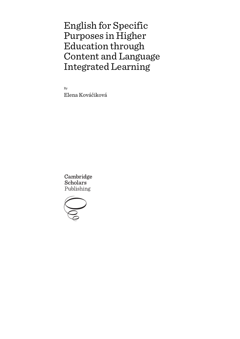By Elena Kováčiková

Cambridge **Scholars** Publishing

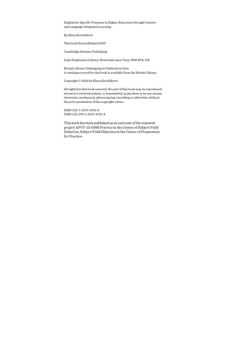By Elena Kováčiková

This book first published 2020

Cambridge Scholars Publishing

Lady Stephenson Library, Newcastle upon Tyne, NE6 2PA, UK

British Library Cataloguing in Publication Data A catalogue record for this book is available from the British Library

Copyright © 2020 by Elena Kováčiková

All rights for this book reserved. No part of this book may be reproduced, stored in a retrieval system, or transmitted, in any form or by any means, electronic, mechanical, photocopying, recording or otherwise, without the prior permission of the copyright owner.

ISBN (10): 1-5275-4701-9 ISBN (13): 978-1-5275-4701-8

This book has been published as an outcome of the research project APVV-15-0368 Practice in the Centre of Subject Field Didactics, Subject Field Didactics in the Centre of Preparation for Practice.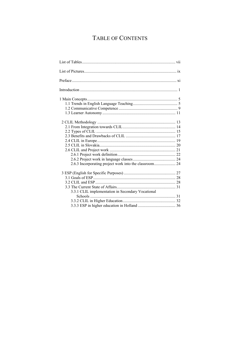# TABLE OF CONTENTS

| 3.3.1 CLIL implementation in Secondary Vocational |  |
|---------------------------------------------------|--|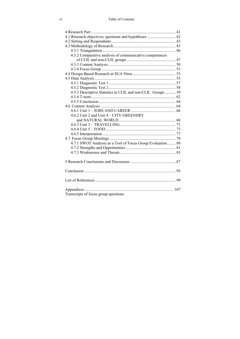| 4.1 Research objectives, questions and hypotheses  42        |  |
|--------------------------------------------------------------|--|
|                                                              |  |
|                                                              |  |
|                                                              |  |
| 4.3.2 Comparative analysis of communicative competences      |  |
|                                                              |  |
|                                                              |  |
|                                                              |  |
|                                                              |  |
|                                                              |  |
|                                                              |  |
|                                                              |  |
| 4.5.3 Descriptive Statistics in CLIL and non-CLIL Groups  59 |  |
|                                                              |  |
|                                                              |  |
|                                                              |  |
|                                                              |  |
| 4.6.2 Unit 2 and Unit 4 - CITY GREENERY                      |  |
|                                                              |  |
|                                                              |  |
|                                                              |  |
|                                                              |  |
|                                                              |  |
| 4.7.1 SWOT Analysis as a Tool of Focus Group Evaluation 80   |  |
|                                                              |  |
|                                                              |  |
|                                                              |  |
|                                                              |  |
|                                                              |  |
|                                                              |  |
|                                                              |  |
|                                                              |  |
|                                                              |  |
|                                                              |  |
| Transcripts of focus group questions                         |  |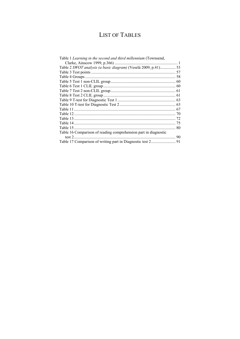# **LIST OF TABLES**

| Table 1 Learning in the second and third millennium (Townsend,  |  |
|-----------------------------------------------------------------|--|
|                                                                 |  |
| Table 2 SWOT analysis (a basic diagram) (Veselá 2009, p.41) 53  |  |
|                                                                 |  |
|                                                                 |  |
|                                                                 |  |
|                                                                 |  |
|                                                                 |  |
|                                                                 |  |
|                                                                 |  |
|                                                                 |  |
|                                                                 |  |
|                                                                 |  |
|                                                                 |  |
|                                                                 |  |
|                                                                 |  |
| Table 16 Comparison of reading comprehension part in diagnostic |  |
|                                                                 |  |
|                                                                 |  |
|                                                                 |  |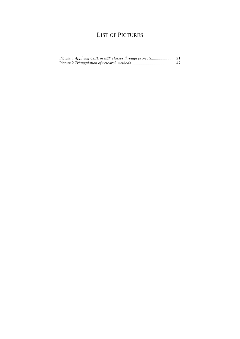# LIST OF PICTURES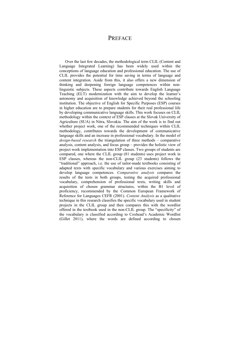# PREFACE

Over the last few decades, the methodological term CLIL (Content and Language Integrated Learning) has been widely used within the conceptions of language education and professional education. The use of CLIL provides the potential for time saving in terms of language and content integration. Aside from this, it also offers a new dimension of thinking and deepening foreign language competences within nonlinguistic subjects. These aspects contribute towards English Language Teaching (ELT) modernization with the aim to develop the learner's autonomy and acquisition of knowledge achieved beyond the schooling institution. The objective of English for Specific Purposes (ESP) courses in higher education are to prepare students for their real professional life by developing communicative language skills. This work focuses on CLIL methodology within the context of ESP classes at the Slovak University of Agriculture (SUA) in Nitra, Slovakia. The aim of the work is to find out whether project work, one of the recommended techniques within CLIL methodology, contributes towards the development of communicative language skills and an increase in professional vocabulary. In the model of *design-based research* the triangulation of three methods – comparative analysis, content analysis, and focus group – provides the holistic view of project work implementation into ESP classes. Two groups of students are compared, one where the CLIL group (81 students) uses project work in ESP classes, whereas the non-CLIL group (23 students) follows the "traditional" approach, i.e. the use of tailor-made textbooks consisting of adapted texts with specific vocabulary and various exercises aiming to develop language competences. *Comparative analysis* compares the results of the tests in both groups, testing the acquired professional vocabulary, comprehension of professional texts, writing skills and acquisition of chosen grammar structures, within the B1 level of proficiency, recommended by the Common European Framework of Reference for Languages CEFR (2001). *Content Analysis* as a qualitative technique in this research classifies the specific vocabulary used in student projects in the CLIL group and then compares this with the wordlist offered in the textbook used in the non-CLIL group. The "specificity" of the vocabulary is classified according to Coxhead's Academic Wordlist (Gillet 2011), where the words are defined according to chosen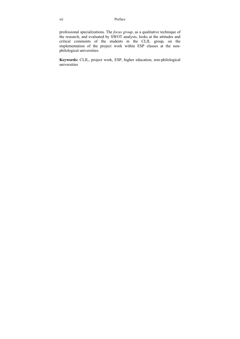professional specializations. The *focus group*, as a qualitative technique of the research, and evaluated by SWOT analysis, looks at the attitudes and critical comments of the students in the CLIL group, on the implementation of the project work within ESP classes at the nonphilological universities.

**Keywords:** CLIL, project work, ESP, higher education, non-philological universities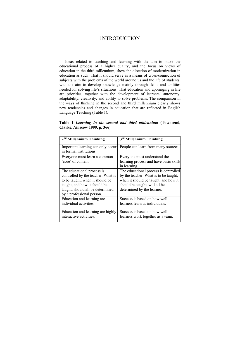## **INTRODUCTION**

Ideas related to teaching and learning with the aim to make the educational process of a higher quality, and the focus on views of education in the third millennium, show the direction of modernization in education as such: That it should serve as a means of cross-connection of subjects with the problems of the world around us and the life of students, with the aim to develop knowledge mainly through skills and abilities needed for solving life's situations. That education and upbringing in life are priorities, together with the development of learners' autonomy, adaptability, creativity, and ability to solve problems. The comparison in the ways of thinking in the second and third millennium clearly shows new tendencies and changes in education that are reflected in English Language Teaching (Table 1).

**Table 1** *Learning in the second and third millennium* **(Townsend, Clarke, Ainscow 1999, p. 366)** 

| 2 <sup>nd</sup> Millennium Thinking                          | 3rd Millennium Thinking                                |
|--------------------------------------------------------------|--------------------------------------------------------|
| Important learning can only occur<br>in formal institutions. | People can learn from many sources.                    |
| Everyone must learn a common                                 | Everyone must understand the                           |
| 'core' of content.                                           | learning process and have basic skills<br>in learning. |
| The educational process is                                   | The educational process is controlled                  |
| controlled by the teacher. What is                           | by the teacher. What is to be taught,                  |
| to be taught, when it should be                              | when it should be taught, and how it                   |
| taught, and how it should be                                 | should be taught, will all be                          |
| taught, should all be determined                             | determined by the learner.                             |
| by a professional person.                                    |                                                        |
| Education and learning are                                   | Success is based on how well                           |
| individual activities.                                       | learners learn as individuals.                         |
| Education and learning are highly                            | Success is based on how well                           |
| interactive activities.                                      | learners work together as a team.                      |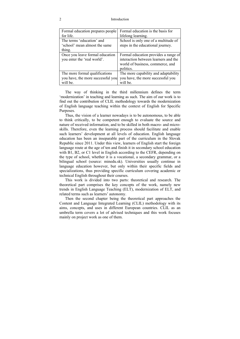### 2 Introduction

| Formal education prepares people  | Formal education is the basis for    |
|-----------------------------------|--------------------------------------|
| for life.                         | lifelong learning.                   |
| The terms 'education' and         | School is only one of a multitude of |
| 'school' mean almost the same     | steps in the educational journey.    |
| thing.                            |                                      |
| Once you leave formal education   | Formal education provides a range of |
| you enter the 'real world'.       | interaction between learners and the |
|                                   | world of business, commerce, and     |
|                                   | politics.                            |
| The more formal qualifications    | The more capability and adaptability |
| you have, the more successful you | you have, the more successful you    |
| will be.                          | will be.                             |

The way of thinking in the third millennium defines the term 'modernization' in teaching and learning as such. The aim of our work is to find out the contribution of CLIL methodology towards the modernization of English language teaching within the context of English for Specific Purposes.

Thus, the vision of a learner nowadays is to be autonomous, to be able to think critically, to be competent enough to evaluate the source and nature of received information, and to be skilled in both macro- and microskills. Therefore, even the learning process should facilitate and enable such learners' development at all levels of education. English language education has been an inseparable part of the curriculum in the Slovak Republic since 2011. Under this view, learners of English start the foreign language route at the age of ten and finish it in secondary school education with B1, B2, or C1 level in English according to the CEFR, depending on the type of school, whether it is a vocational, a secondary grammar, or a bilingual school (source: minedu.sk). Universities usually continue in language education however, but only within their specific fields and specializations, thus providing specific curriculum covering academic or technical English throughout their courses.

This work is divided into two parts: theoretical and research. The theoretical part comprises the key concepts of the work, namely new trends in English Language Teaching (ELT), modernization of ELT, and related terms such as learners' autonomy.

Then the second chapter being the theoretical part approaches the Content and Language Integrated Learning (CLIL) methodology with its aims, concepts, and uses in different European countries. CLIL as an umbrella term covers a lot of advised techniques and this work focuses mainly on project work as one of them.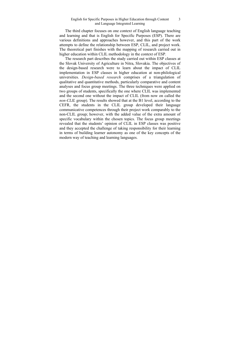The third chapter focuses on one context of English language teaching and learning and that is English for Specific Purposes (ESP). There are various definitions and approaches however, and this part of the work attempts to define the relationship between ESP, CLIL, and project work. The theoretical part finishes with the mapping of research carried out in higher education within CLIL methodology in the context of ESP.

The research part describes the study carried out within ESP classes at the Slovak University of Agriculture in Nitra, Slovakia. The objectives of the design-based research were to learn about the impact of CLIL implementation in ESP classes in higher education at non-philological universities. *Design-based research* comprises of a triangulation of qualitative and quantitative methods, particularly comparative and content analyses and focus group meetings. The three techniques were applied on two groups of students, specifically the one where CLIL was implemented and the second one without the impact of CLIL (from now on called the *non-CLIL* group). The results showed that at the B1 level, according to the CEFR, the students in the CLIL group developed their language communicative competences through their project work comparably to the non-CLIL group; however, with the added value of the extra amount of specific vocabulary within the chosen topics. The focus group meetings revealed that the students' opinion of CLIL in ESP classes was positive and they accepted the challenge of taking responsibility for their learning in terms of building learner autonomy as one of the key concepts of the modern way of teaching and learning languages.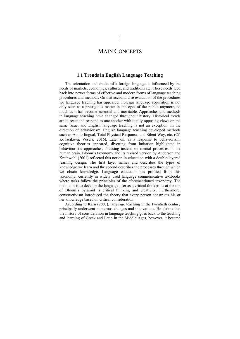## MAIN CONCEPTS

## **1.1 Trends in English Language Teaching**

The orientation and choice of a foreign language is influenced by the needs of markets, economies, cultures, and traditions etc. These needs feed back into newer forms of effective and modern forms of language teaching procedures and methods. On that account, a re-evaluation of the procedures for language teaching has appeared. Foreign language acquisition is not only seen as a prestigious matter in the eyes of the public anymore, so much as it has become essential and inevitable. Approaches and methods in language teaching have changed throughout history. Historical trends are to react and respond to one another with totally opposing views on the same issue, and English language teaching is not an exception. In the direction of behaviorism, English language teaching developed methods such as Audio-lingual, Total Physical Response, and Silent Way, etc. (Cf. Kováčiková, Veselá; 2016). Later on, as a response to behaviorism, cognitive theories appeared, diverting from imitation highlighted in behaviouristic approaches, focusing instead on mental processes in the human brain. Bloom's taxonomy and its revised version by Anderson and Krathwohl (2001) reflected this notion in education with a double-layered learning design. The first layer names and describes the types of knowledge we learn and the second describes the processes through which we obtain knowledge. Language education has profited from this taxonomy, currently in widely used language communicative textbooks where tasks follow the principles of the aforementioned taxonomy. The main aim is to develop the language user as a critical thinker, as at the top of Bloom's pyramid is critical thinking and creativity. Furthermore, constructivism introduced the theory that every person constructs his or her knowledge based on critical consideration.

According to Karn (2007), language teaching in the twentieth century principally underwent numerous changes and innovations. He claims that the history of consideration in language teaching goes back to the teaching and learning of Greek and Latin in the Middle Ages, however, it became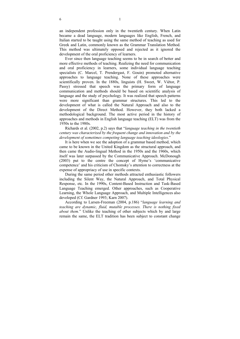an independent profession only in the twentieth century. When Latin became a dead language, modern languages like English, French, and Italian started to be taught using the same method of teaching as used for Greek and Latin, commonly known as the Grammar Translation Method. This method was ultimately opposed and rejected as it ignored the development of the oral proficiency of learners.

Ever since then language teaching seems to be in search of better and more effective methods of teaching. Realizing the need for communication and oral proficiency in learners, some individual language teaching specialists (C. Marcel, T. Prendergast, F. Gouin) promoted alternative approaches to language teaching. None of these approaches were scientifically proven. In the 1880s, linguists (H. Sweet, W. Viëtor, P. Passy) stressed that speech was the primary form of language communication and methods should be based on scientific analysis of language and the study of psychology. It was realized that speech patterns were more significant than grammar structures. This led to the development of what is called the Natural Approach and also to the development of the Direct Method. However, they both lacked a methodological background. The most active period in the history of approaches and methods in English language teaching (ELT) was from the 1950s to the 1980s.

Richards et al. (2002, p.2) says that "*language teaching in the twentieth century was characterized by the frequent change and innovation and by the development of sometimes competing language teaching ideologies*."

It is here when we see the adoption of a grammar based method, which came to be known in the United Kingdom as the structural approach, and then came the Audio-lingual Method in the 1950s and the 1960s, which itself was later surpassed by the Communicative Approach. McDonough (2003) put to the centre the concept of Hyme's 'communicative competence' and his criticism of Chomsky's attention to correctness at the expense of appropriacy of use in specific contexts.

During the same period other methods attracted enthusiastic followers including the Silent Way, the Natural Approach, and Total Physical Response, etc. In the 1990s, Content-Based Instruction and Task-Based Language Teaching emerged. Other approaches, such as Cooperative Learning, the Whole Language Approach, and Multiple Intelligences also developed (Cf. Gardner 1993; Karn 2007).

According to Larsen-Freeman (2004, p.186) "*language learning and teaching are dynamic, fluid, mutable processes. There is nothing fixed about them.*" Unlike the teaching of other subjects which by and large remain the same, the ELT tradition has been subject to constant change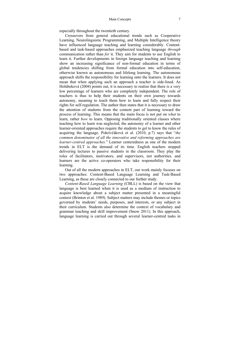especially throughout the twentieth century.

Crossovers from general educational trends such as Cooperative Learning, Neurolinguistic Programming, and Multiple Intelligence theory have influenced language teaching and learning considerably. Contentbased and task-based approaches emphasized teaching language *through*  communication rather than *for* it. They aim for students to use English to learn it. Further developments in foreign language teaching and learning show an increasing significance of non-formal education in terms of global tendencies shifting from formal education into self-education, otherwise known as autonomous and lifelong learning. The autonomous approach shifts the responsibility for learning onto the learners. It does not mean that when applying such an approach a teacher is side-lined. As Holúbeková (2004) points out, it is necessary to realize that there is a very low percentage of learners who are completely independent. The role of teachers is thus to help their students on their own journey towards autonomy, meaning to teach them how to learn and fully respect their rights for self-regulation. The author then states that it is necessary to draw the attention of students from the content part of learning toward the process of learning. This means that the main focus is not put on *what* to learn, rather *how* to learn. Opposing traditionally oriented classes where teaching how to learn was neglected, the autonomy of a learner and other learner-oriented approaches require the students to get to know the rules of acquiring the language. Pokrivčáková et al. (2010, p.7) says that "*the common denominator of all the innovative and reforming approaches are learner-centred approaches.*" Learner centeredness as one of the modern trends in ELT is the demand of its time. English teachers stopped delivering lectures to passive students in the classroom. They play the roles of facilitators, motivators, and supervisors, not authorities, and learners are the active co-operators who take responsibility for their learning.

Out of all the modern approaches in ELT, our work mainly focuses on two approaches: Content-Based Language Learning and Task-Based Learning, as these are closely connected to our further study.

*Content-Based Language Learning* (CBLL) is based on the view that language is best learned when it is used as a medium of instruction to acquire knowledge about a subject matter presented in a meaningful context (Brinton et al. 1989). Subject matters may include themes or topics governed by students' needs, purposes, and interests, or any subject in their curriculum. Students also determine the context of vocabulary and grammar teaching and skill improvement (Snow 2011). In this approach, language learning is carried out through several learner-centred tasks in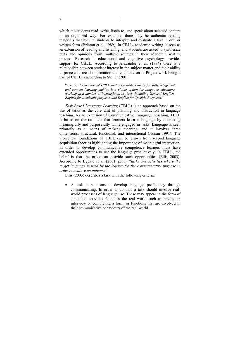which the students read, write, listen to, and speak about selected content in an organized way. For example, there may be authentic reading materials that require students to interpret and evaluate a text in oral or written form (Brinton et al. 1989). In CBLL, academic writing is seen as an extension of reading and listening, and students are asked to synthesize facts and opinions from multiple sources in their academic writing process. Research in educational and cognitive psychology provides support for CBLL. According to Alexander et al. (1994) there is a relationship between student interest in the subject matter and their ability to process it, recall information and elaborate on it. Project work being a part of CBLL is according to Stoller (2001):

"*a natural extension of CBLL and a versatile vehicle for fully integrated and content learning making it a viable option for language educators working in a number of instructional settings, including General English, English for Academic purposes and English for Specific Purpose*s."

*Task-Based Language Learning* (TBLL) is an approach based on the use of tasks as the core unit of planning and instruction in language teaching. As an extension of Communicative Language Teaching, TBLL is based on the rationale that learners learn a language by interacting meaningfully and purposefully while engaged in tasks. Language is seen primarily as a means of making meaning, and it involves three dimensions: structural, functional, and interactional (Nunan 1991). The theoretical foundations of TBLL can be drawn from second language acquisition theories highlighting the importance of meaningful interaction. In order to develop communicative competence learners must have extended opportunities to use the language productively. In TBLL, the belief is that the tasks can provide such opportunities (Ellis 2003). According to Bygate et al. (2001, p.11): "*tasks are activities where the target language is used by the learner for the communicative purpose in order to achieve an outcome.*"

Ellis (2003) describes a task with the following criteria:

 A task is a means to develop language proficiency through communicating. In order to do this, a task should involve realworld processes of language use. These may appear in the form of simulated activities found in the real world such as having an interview or completing a form, or functions that are involved in the communicative behaviours of the real world.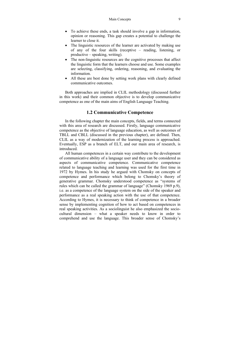- To achieve these ends, a task should involve a gap in information, opinion or reasoning. This gap creates a potential to challenge the learner to close it.
- The linguistic resources of the learner are activated by making use of any of the four skills (receptive – reading, listening, or productive – speaking, writing).
- The non-linguistic resources are the cognitive processes that affect the linguistic form that the learners choose and use. Some examples are selecting, classifying, ordering, reasoning, and evaluating the information.
- All these are best done by setting work plans with clearly defined communicative outcomes.

Both approaches are implied in CLIL methodology (discussed further in this work) and their common objective is to develop communicative competence as one of the main aims of English Language Teaching.

## **1.2 Communicative Competence**

In the following chapter the main concepts, fields, and terms connected with this area of research are discussed. Firstly, language communicative competence as the objective of language education, as well as outcomes of TBLL and CBLL (discussed in the previous chapter), are defined. Then, CLIL as a way of modernization of the learning process is approached. Eventually, ESP as a branch of ELT, and our main area of research, is introduced.

All human competences in a certain way contribute to the development of communicative ability of a language user and they can be considered as aspects of communicative competence. Communicative competence related to language teaching and learning was used for the first time in 1972 by Hymes. In his study he argued with Chomsky on concepts of competence and performance which belong to Chomsky's theory of generative grammar. Chomsky understood competence as "systems of rules which can be called the grammar of language" (Chomsky 1969 p.9), i.e. as a competence of the language system on the side of the speaker and performance as a real speaking action with the use of that competence. According to Hymes, it is necessary to think of competence in a broader sense by implementing cognition of how to act based on competences in real speaking activities. As a sociolinguist he also emphasized the sociocultural dimension – what a speaker needs to know in order to comprehend and use the language. This broader sense of Chomsky's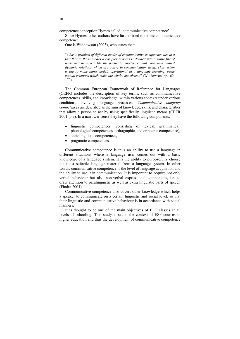competence conception Hymes called 'communicative competence'.

Since Hymes, other authors have further tried to define communicative competence.

One is Widdowson (2003), who states that:

"*a basic problem of different modes of communicative competence lies in a*  fact that in those modes a complex process is divided into a static file of *parts and in such a file the particular models cannot cope with mutual dynamic relations which are active in communication itself. Thus, when trying to make those models operational in a language learning, basic mutual relations which make the whole, are absent.*" (Widdowson, pp.169- 170).

The Common European Framework of Reference for Languages (CEFR) includes the description of key terms, such as communicative competences, skills, and knowledge, within various contexts under various conditions, involving language processes. *Communicative language competences* are described as the sum of knowledge, skills, and characteristics that allow a person to act by using specifically linguistic means (CEFR 2001, p.9). In a narrower sense they have the following components:

- linguistic competences (consisting of lexical, grammatical, phonological competences, orthographic, and orthoepic competence),
- sociolinguistic competences,
- pragmatic competences.

Communicative competence is thus an ability to use a language in different situations where a language user comes out with a basic knowledge of a language system. It is the ability to purposefully choose the most suitable language material from a language system. In other words, communicative competence is the level of language acquisition and the ability to use it in communication. It is important to acquire not only verbal behaviour but also non-verbal expressional components, i.e. to draw attention to paralinguistic as well as extra linguistic parts of speech (Findra 2004).

Communicative competence also covers other knowledge which helps a speaker to communicate on a certain linguistic and social level, so that their linguistic and communicative behaviour is in accordance with social manners.

It is thought to be one of the main objectives of ELT classes at all levels of schooling. This study is set in the context of ESP courses in higher education and thus the development of communicative competence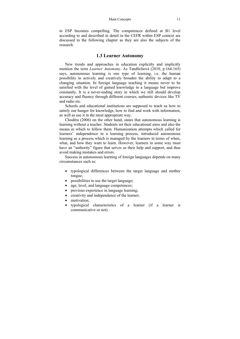#### Main Concepts 11

in ESP becomes compelling. The competences defined at B1 level according to and described in detail in the CEFR within ESP context are discussed in the following chapter as they are also the subjects of the research.

### **1.3 Learner Autonomy**

New trends and approaches in education explicitly and implicitly mention the term *Learner Autonomy*. As Tandlichová (2010, p.164-165) says, autonomous learning is one type of learning, i.e. the human possibility to actively and creatively broaden the ability to adapt to a changing situation. In foreign language teaching it means never to be satisfied with the level of gained knowledge in a language but improve constantly. It is a never-ending story in which we still should develop accuracy and fluency through different courses, authentic devices like TV and radio etc.

Schools and educational institutions are supposed to teach us how to satisfy our hunger for knowledge, how to find and work with information, as well as use it in the most appropriate way.

Choděra (2006) on the other hand, states that autonomous learning is learning without a teacher. Students set their educational aims and also the means in which to follow them. Humanization attempts which called for learners' independence in a learning process, introduced autonomous learning as a process which is managed by the learners in terms of when, what, and how they want to learn. However, learners in some way must have an "authority" figure that serves as their help and support, and thus avoid making mistakes and errors.

Success in autonomous learning of foreign languages depends on many circumstances such as:

- typological differences between the target language and mother tongue;
- possibilities to use the target language;
- age, level, and language competences;
- previous experience in language learning;
- creativity and independence of the learner;
- motivation:
- typological characteristics of a learner (if a learner is communicative or not).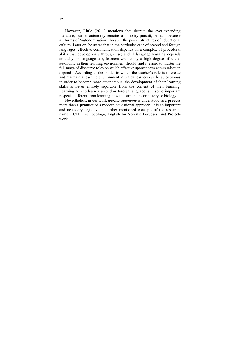However, Little (2011) mentions that despite the ever-expanding literature, learner autonomy remains a minority pursuit, perhaps because all forms of 'autonomisation' threaten the power structures of educational culture. Later on, he states that in the particular case of second and foreign languages, effective communication depends on a complex of procedural skills that develop only through use; and if language learning depends crucially on language use, learners who enjoy a high degree of social autonomy in their learning environment should find it easier to master the full range of discourse roles on which effective spontaneous communication depends. According to the model in which the teacher's role is to create and maintain a learning environment in which learners can be autonomous in order to become more autonomous, the development of their learning skills is never entirely separable from the content of their learning. Learning how to learn a second or foreign language is in some important respects different from learning how to learn maths or history or biology.

Nevertheless, in our work *learner autonomy* is understood as a **process**  more than a **product** of a modern educational approach. It is an important and necessary objective in further mentioned concepts of the research, namely CLIL methodology, English for Specific Purposes, and Projectwork.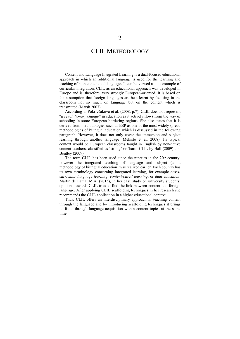# CLIL METHODOLOGY

Content and Language Integrated Learning is a dual-focused educational approach in which an additional language is used for the learning and teaching of both content and language. It can be viewed as one example of curricular integration. CLIL as an educational approach was developed in Europe and is, therefore, very strongly European-oriented. It is based on the assumption that foreign languages are best learnt by focusing in the classroom not so much on language but on the content which is transmitted (Marsh 2007).

According to Pokrivčáková et al. (2008, p.7), CLIL does not represent "*a revolutionary change*" in education as it actively flows from the way of schooling in some European bordering regions. She also states that it is derived from methodologies such as ESP as one of the most widely spread methodologies of bilingual education which is discussed in the following paragraph. However, it does not only cover the immersion and subject learning through another language (Mehisto et al. 2008). Its typical context would be European classrooms taught in English by non-native content teachers, classified as 'strong' or 'hard' CLIL by Ball (2009) and Bentley (2009).

The term CLIL has been used since the nineties in the  $20<sup>th</sup>$  century, however the integrated teaching of language and subject (as a methodology of bilingual education) was realized earlier. Each country has its own terminology concerning integrated learning, for example *crosscurricular language learning*, *content-based learning*, or *dual education*. Martín de Lama, M.A. (2015), in her case study on university students' opinions towards CLIL tries to find the link between content and foreign language. After applying CLIL scaffolding techniques in her research she recommends the CLIL application in a higher educational context.

Thus, CLIL offers an interdisciplinary approach in teaching content through the language and by introducing scaffolding techniques it brings its fruits through language acquisition within content topics at the same time.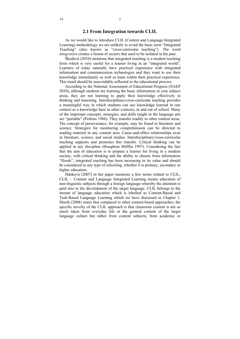### **2.1 From Integration towards CLIL**

As we would like to introduce CLIL (Content and Language Integrated Learning) methodology we are unlikely to avoid the basic term "Integrated Teaching" (also known as "cross-curricular teaching"). The word *integration* creates a fusion of sectors that used to be isolated in the past.

Škodová (2010) mentions that integrated teaching is a modern teaching form which is very useful for a learner living in an "integrated world". Learners of today naturally have practical experience with integrated information and communication technologies and they want to use their knowledge immediately as well as learn within their practical experience. This trend should be unavoidably reflected in the educational process.

According to the National Assessment of Educational Progress (NAEP 2010), although students are learning the basic information in core subject areas, they are not learning to apply their knowledge effectively in thinking and reasoning. Interdisciplinary/cross-curricular teaching provides a meaningful way in which students can use knowledge learned in one context as a knowledge base in other contexts, in and out of school. Many of the important concepts, strategies, and skills taught in the language arts are "portable" (Perkins 1986). They transfer readily to other content areas. The concept of perseverance, for example, may be found in literature and science. Strategies for monitoring comprehension can be directed to reading material in any content area. Cause-and-effect relationships exist in literature, science, and social studies. Interdisciplinary/cross-curricular teaching supports and promotes this transfer. Critical thinking can be applied in any discipline (Houghton Mifflin 1997). Considering the fact that the aim of education is to prepare a learner for living in a modern society, with critical thinking and the ability to choose from information "floods", integrated teaching has been increasing in its value and should be considered in any type of schooling, whether it is primary, secondary or higher education.

Hánková (2007) in her paper mentions a few terms related to CLIL; CLIL – Content and Language Integrated Learning means education of non-linguistic subjects through a foreign language whereby the attention is paid also to the development of the target language. CLIL belongs to the stream of language education which is labelled as Content-Based and Task-Based Language Learning which we have discussed in Chapter 1. Marsh (2008) states that compared to other content-based approaches, the specific novelty of the CLIL approach is that classroom content is not so much taken from everyday life or the general content of the target language culture but rather from content subjects, from academic or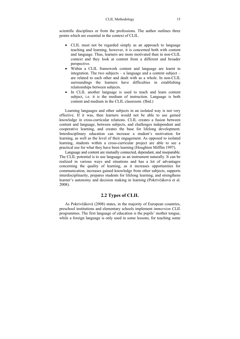scientific disciplines or from the professions. The author outlines three points which are essential in the context of CLIL.

- CLIL must not be regarded simply as an approach to language teaching and learning, however, it is concerned both with content and language. Thus, learners are more motivated than in non-CLIL context and they look at content from a different and broader perspective.
- Within a CLIL framework content and language are learnt in integration. The two subjects – a language and a content subject – are related to each other and dealt with as a whole. In non-CLIL surroundings the learners have difficulties in establishing relationships between subjects.
- In CLIL another language is used to teach and learn content subject, i.e. it is the medium of instruction. Language is both content and medium in the CLIL classroom. (Ibid.)

Learning languages and other subjects in an isolated way is not very effective. If it was, then learners would not be able to use gained knowledge in cross-curricular relations. CLIL creates a fusion between content and language, between subjects, and challenges independent and cooperative learning, and creates the base for lifelong development. Interdisciplinary education can increase a student's motivation for learning, as well as the level of their engagement. As opposed to isolated learning, students within a cross-curricular project are able to see a practical use for what they have been learning (Houghton Mifflin 1997).

Language and content are mutually connected, dependant, and inseparable. The CLIL potential is to use language as an instrument naturally. It can be realized in various ways and situations and has a lot of advantages concerning the quality of learning, as it increases opportunities for communication, increases gained knowledge from other subjects, supports interdisciplinarity, prepares students for lifelong learning, and strengthens learner's autonomy and decision making in learning (Pokrivčáková et al. 2008).

## **2.2 Types of CLIL**

As Pokrivčáková (2008) states, in the majority of European countries, preschool institutions and elementary schools implement *immersion CLIL*  programmes. The first language of education is the pupils' mother tongue, while a foreign language is only used in some lessons, for teaching some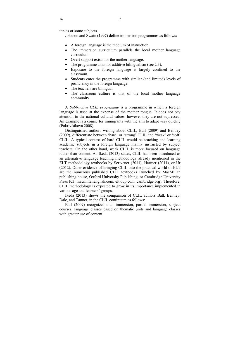topics or some subjects.

Johnson and Swain (1997) define immersion programmes as follows:

- A foreign language is the medium of instruction.
- The immersion curriculum parallels the local mother language curriculum.
- Overt support exists for the mother language.
- The programme aims for additive bilingualism (see 2.3).
- Exposure to the foreign language is largely confined to the classroom.
- Students enter the programme with similar (and limited) levels of proficiency in the foreign language.
- The teachers are bilingual.
- The classroom culture is that of the local mother language community.

A *Subtractive CLIL programme* is a programme in which a foreign language is used at the expense of the mother tongue. It does not pay attention to the national cultural values, however they are not supressed. An example is a course for immigrants with the aim to adapt very quickly (Pokrivčáková 2008).

Distinguished authors writing about CLIL, Ball (2009) and Bentley (2009), differentiate between 'hard' or 'strong' CLIL and 'weak' or 'soft' CLIL. A typical context of hard CLIL would be teaching and learning academic subjects in a foreign language mainly instructed by subject teachers. On the other hand, weak CLIL is more focused on language rather than content. As Ikeda (2013) states, CLIL has been introduced as an alternative language teaching methodology already mentioned in the ELT methodology textbooks by Scrivener (2011), Harmer (2011), or Ur (2012). Other evidence of bringing CLIL into the practical world of ELT are the numerous published CLIL textbooks launched by MacMillan publishing house, Oxford University Publishing, or Cambridge University Press (Cf. macmillanenglish.com, elt.oup.com, cambridge.org). Therefore, CLIL methodology is expected to grow in its importance implemented in various age and learners' groups.

Ikeda (2013) shows the comparison of CLIL authors Ball, Bentley, Dale, and Tanner, in the CLIL continuum as follows:

Ball (2009) recognizes total immersion, partial immersion, subject courses, language classes based on thematic units and language classes with greater use of content.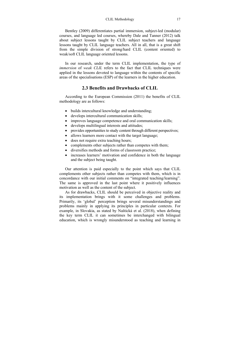Bentley (2009) differentiates partial immersion, subject-led (modular) courses, and language led courses, whereby Dale and Tanner (2012) talk about subject lessons taught by CLIL subject teachers and language lessons taught by CLIL language teachers. All in all, that is a great shift from the simple division of strong/hard CLIL (content oriented) to weak/soft CLIL language oriented lessons.

In our research, under the term CLIL implementation, the type of *immersion* of *weak CLIL* refers to the fact that CLIL techniques were applied in the lessons devoted to language within the contents of specific areas of the specialisations (ESP) of the learners in the higher education.

### **2.3 Benefits and Drawbacks of CLIL**

According to the European Commission (2011) the benefits of CLIL methodology are as follows:

- builds intercultural knowledge and understanding;
- develops intercultural communication skills;
- improves language competence and oral communication skills;
- develops multilingual interests and attitudes;
- provides opportunities to study content through different perspectives;
- allows learners more contact with the target language;
- does not require extra teaching hours;
- complements other subjects rather than competes with them;
- diversifies methods and forms of classroom practice;
- increases learners' motivation and confidence in both the language and the subject being taught.

Our attention is paid especially to the point which says that CLIL complements other subjects rather than competes with them, which is in concordance with our initial comments on "integrated teaching/learning". The same is approved in the last point where it positively influences motivation as well as the content of the subject.

As for drawbacks, CLIL should be perceived in objective reality and its implementation brings with it some challenges and problems. Primarily, its 'global' perception brings several misunderstandings and problems mainly in applying its principles in particular contexts. For example, in Slovakia, as stated by Naštická et al. (2018), when defining the key term CLIL it can sometimes be interchanged with bilingual education, which is wrongly misunderstood as teaching and learning in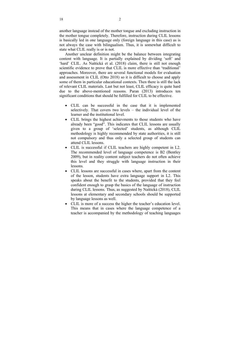another language instead of the mother tongue and excluding instruction in the mother tongue completely. Therefore, instruction during CLIL lessons is basically led in one language only (foreign language in this case) as is not always the case with bilingualism. Thus, it is somewhat difficult to state what CLIL really is or is not.

Another unclear definition might be the balance between integrating content with language. It is partially explained by dividing 'soft' and 'hard' CLIL. As Naštická et al. (2018) claim, there is still not enough scientific evidence to prove that CLIL is more effective than 'traditional' approaches. Moreover, there are several functional models for evaluation and assessment in CLIL (Otto 2018) so it is difficult to choose and apply some of them in particular educational contexts. Then there is still the lack of relevant CLIL materials. Last but not least, CLIL efficacy is quite hard due to the above-mentioned reasons. Paran (2013) introduces ten significant conditions that should be fulfilled for CLIL to be effective.

- CLIL can be successful in the case that it is implemented selectively. That covers two levels – the individual level of the learner and the institutional level.
- CLIL brings the highest achievments to those students who have already been "good". This indicates that CLIL lessons are usually given to a group of 'selected' students, as although CLIL methodology is highly recommended by state authorities, it is still not compulsory and thus only a selected group of students can attend CLIL lessons.
- CLIL is successful if CLIL teachers are highly competent in L2. The recommended level of language competence is B2 (Bentley 2009), but in reality content subject teachers do not often achieve this level and they struggle with language instruction in their lessons.
- CLIL lessons are successful in cases where, apart from the content of the lesson, students have extra language support in L2. This speaks about the benefit to the students, provided that they feel confident enough to grasp the basics of the language of instruction during CLIL lessons. Thus, as suggested by Naštická (2018), CLIL lessons at elementary and secondary schools should be supported by language lessons as well.
- CLIL is more of a success the higher the teacher's education level. This means that in cases where the language competence of a teacher is accompanied by the methodology of teaching languages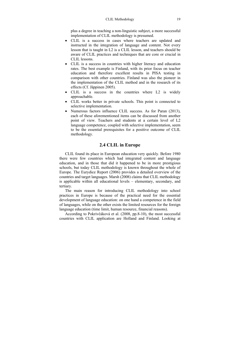plus a degree in teaching a non-linguistic subject, a more successful implementation of CLIL methodology is presumed.

- CLIL is a success in cases where teachers are updated and instructed in the integration of language and content. Not every lesson that is taught in L2 is a CLIL lesson, and teachers should be aware of CLIL practices and techniques that are core or crucial in CLIL lessons.
- CLIL is a success in countries with higher literacy and education rates. The best example is Finland, with its prior focus on teacher education and therefore excellent results in PISA testing in comparison with other countries. Finland was also the pioneer in the implementation of the CLIL method and in the research of its effects (Cf. Jäppinen 2005).
- CLIL is a success in the countries where L2 is widely approachable.
- CLIL works better in private schools. This point is connected to selective implementation.
- Numerous factors influence CLIL success. As for Paran (2013), each of these aforementioned items can be discussed from another point of view. Teachers and students at a certain level of L2 language competence, coupled with selective implementation, seem to be the essential prerequisites for a positive outcome of CLIL methodology.

## **2.4 CLIL in Europe**

CLIL found its place in European education very quickly. Before 1980 there were few countries which had integrated content and language education, and in those that did it happened to be in more prestigious schools, but today CLIL methodology is known throughout the whole of Europe. The Eurydice Report (2006) provides a detailed overview of the countries and target languages. Marsh (2008) claims that CLIL methodology is applicable within all educational levels – elementary, secondary, and tertiary.

The main reason for introducing CLIL methodology into school practices in Europe is because of the practical need for the essential development of language education: on one hand a competence in the field of languages, while on the other exists the limited resources for the foreign language education (time limit, human resource, financial reasons).

According to Pokrivčáková et al. (2008, pp.8-10), the most successful countries with CLIL application are Holland and Finland. Looking at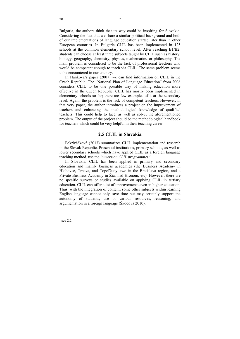Bulgaria, the authors think that its way could be inspiring for Slovakia. Considering the fact that we share a similar political background and both of our implementations of language education started later than in other European countries. In Bulgaria CLIL has been implemented in 125 schools at the common elementary school level. After reaching B1/B2, students can choose at least three subjects taught by CLIL such as history, biology, geography, chemistry, physics, mathematics, or philosophy. The main problem is considered to be the lack of professional teachers who would be competent enough to teach via CLIL. The same problem seems to be encountered in our country.

In Hanková's paper (2007) we can find information on CLIL in the Czech Republic. The "National Plan of Language Education" from 2006 considers CLIL to be one possible way of making education more effective in the Czech Republic. CLIL has mostly been implemented in elementary schools so far; there are few examples of it at the secondary level. Again, the problem is the lack of competent teachers. However, in that very paper, the author introduces a project on the improvement of teachers and enhancing the methodological knowledge of qualified teachers. This could help to face, as well as solve, the aforementioned problem. The output of the project should be the methodological handbook for teachers which could be very helpful in their teaching career.

## **2.5 CLIL in Slovakia**

Pokrivčáková (2013) summarizes CLIL implementation and research in the Slovak Republic. Preschool institutions, primary schools, as well as lower secondary schools which have applied CLIL as a foreign language teaching method, use the *immersion CLIL programmes.1*

In Slovakia, CLIL has been applied in primary and secondary education and mainly business academies (the Business Academy in Hlohovec, Trnava, and Topoľčany, two in the Bratislava region, and a Private Business Academy in Žiar nad Hronom, etc). However, there are no specific surveys or studies available on applying CLIL in tertiary education. CLIL can offer a lot of improvements even in higher education. Thus, with the integration of content, some other subjects within learning English language cannot only save time but may certainly support the autonomy of students, use of various resources, reasoning, and argumentation in a foreign language (Škodová 2010).

 $1$  see 2.2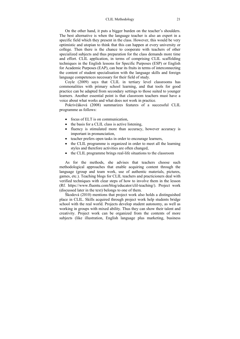On the other hand, it puts a bigger burden on the teacher's shoulders. The best alternative is when the language teacher is also an expert in a specific field which they present in the class. However, this would be very optimistic and utopian to think that this can happen at every university or college. Then there is the chance to cooperate with teachers of other specialized subjects and thus preparation for the class demands more time and effort. CLIL application, in terms of comprising CLIL scaffolding techniques in the English lessons for Specific Purposes (ESP) or English for Academic Purposes (EAP), can bear its fruits in terms of interconnecting the content of student specialisation with the language skills and foreign language competences necessary for their field of study.

Coyle (2009) says that CLIL in tertiary level classrooms has commonalities with primary school learning, and that tools for good practice can be adapted from secondary settings to those suited to younger learners. Another essential point is that classroom teachers must have a voice about what works and what does not work in practice.

Pokrivčáková (2008) summarizes features of a successful CLIL programme as follows:

- focus of ELT is on communication.
- the basis for a CLIL class is active listening.
- fluency is stimulated more than accuracy, however accuracy is important in pronunciation,
- teacher prefers open tasks in order to encourage learners,
- the CLIL programme is organized in order to meet all the learning styles and therefore activities are often changed,
- the CLIL programme brings real-life situations to the classroom

As for the methods, she advises that teachers choose such methodological approaches that enable acquiring content through the language (group and team work, use of authentic materials, pictures, games, etc.). Teaching blogs for CLIL teachers and practicioners deal with verified techniques with clear steps of how to involve them in the lesson (Rf. https://www.fluentu.com/blog/educator/clil-teaching/). Project work (discussed later in the text) belongs to one of them.

Škodová (2010) mentions that project work also holds a distinguished place in CLIL. Skills acquired through project work help students bridge school with the real world. Projects develop student autonomy, as well as working in groups with mixed ability. Thus they can show their talent and creativity. Project work can be organized from the contents of more subjects (like illustration, English language plus marketing, business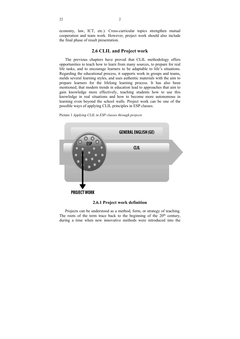economy, law, ICT, etc.). Cross-curricular topics strengthen mutual cooperation and team work. However, project work should also include the final phase of result presentation.

### **2.6 CLIL and Project work**

The previous chapters have proved that CLIL methodology offers opportunities to teach how to learn from many sources, to prepare for real life tasks, and to encourage learners to be adaptable to life's situations. Regarding the educational process, it supports work in groups and teams, melds several learning styles, and uses authentic materials with the aim to prepare learners for the lifelong learning process. It has also been mentioned, that modern trends in education lead to approaches that aim to gain knowledge more effectively, teaching students how to use this knowledge in real situations and how to become more autonomous in learning even beyond the school walls. Project work can be one of the possible ways of applying CLIL principles in ESP classes.





#### **2.6.1 Project work definition**

Projects can be understood as a method, form, or strategy of teaching. The roots of the term trace back to the beginning of the  $20<sup>th</sup>$  century, during a time when new innovative methods were introduced into the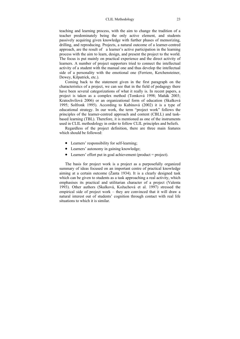teaching and learning process, with the aim to change the tradition of a teacher predominately being the only active element, and students passively acquiring given knowledge with further phases of memorizing, drilling, and reproducing. Projects, a natural outcome of a learner-centred approach, are the result of a learner's active participation in the learning process with the aim to learn, design, and present the project to the world. The focus is put mainly on practical experience and the direct activity of learners. A number of project supporters tried to connect the intellectual activity of a student with the manual one and thus develop the intellectual side of a personality with the emotional one (Ferriere, Kerchensteiner, Dewey, Kilpatrick, etc.).

Coming back to the statement given in the first paragraph on the characteristics of a project, we can see that in the field of pedagogy there have been several categorizations of what it really is. In recent papers, a project is taken as a complex method (Tomková 1998; Maňák 2003; Kratochvílová 2006) or an organizational form of education (Skalková 1995; Solfronk 1995). According to Kubínová (2002) it is a type of educational strategy. In our work, the term "project work" follows the principles of the learner-centred approach and content (CBLL) and taskbased learning (TBL). Therefore, it is mentioned as one of the instruments used in CLIL methodology in order to follow CLIL principles and beliefs.

Regardless of the project definition, there are three main features which should be followed:

- Learners' responsibility for self-learning;
- Learners' autonomy in gaining knowledge;
- Learners' effort put in goal achievement (product = project).

The basis for project work is a project as a purposefully organized summary of ideas focused on an important centre of practical knowledge aiming at a certain outcome (Žanta 1934). It is a clearly designed task which can be given to students as a task approaching a real activity, which emphasises its practical and utilitarian character of a project (Valenta 1993). Other authors (Skalková, Kožuchová et al. 1997) stressed the empirical side of project work – they are convinced that it will draw a natural interest out of students' cognition through contact with real life situations to which it is similar.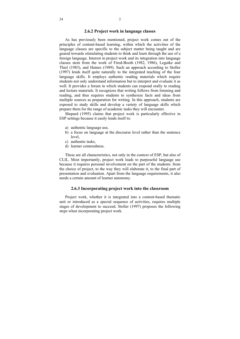### **2.6.2 Project work in language classes**

As has previously been mentioned, project work comes out of the principles of content-based learning, within which the activities of the language classes are specific to the subject matter being taught and are geared towards stimulating students to think and learn through the use of a foreign language. Interest in project work and its integration into language classes stem from the work of Fired-Booth (1982, 1986), Legutke and Thiel (1983), and Haines (1989). Such an approach according to Stoller (1997) lends itself quite naturally to the integrated teaching of the four language skills. It employs authentic reading materials which require students not only understand information but to interpret and evaluate it as well. It provides a forum in which students can respond orally to reading and lecture materials. It recognizes that writing follows from listening and reading, and thus requires students to synthesize facts and ideas from multiple sources as preparation for writing. In this approach, students are exposed to study skills and develop a variety of language skills which prepare them for the range of academic tasks they will encounter.

Shepard (1995) claims that project work is particularly effective in ESP settings because it easily lends itself to:

- a) authentic language use,
- b) a focus on language at the discourse level rather than the sentence level,
- c) authentic tasks,
- d) learner centeredness.

These are all characteristics, not only in the context of ESP, but also of CLIL. Most importantly, project work leads to purposeful language use because it requires personal involvement on the part of the students: from the choice of project, to the way they will elaborate it, to the final part of presentation and evaluation. Apart from the language requirements, it also needs a certain amount of learner autonomy.

### **2.6.3 Incorporating project work into the classroom**

Project work, whether it is integrated into a content-based thematic unit or introduced as a special sequence of activities, requires multiple stages of development to succeed. Stoller (1997) proposes the following steps when incorporating project work.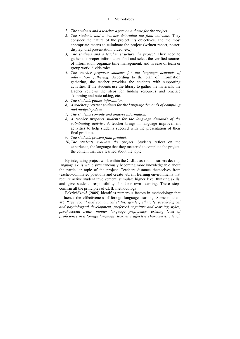- *1) The students and a teacher agree on a theme for the project.*
- *2) The students and a teacher determine the final outcome.* They consider the nature of the project, its objectives, and the most appropriate means to culminate the project (written report, poster, display, oral presentation, video, etc.).
- *3) The students and a teacher structure the project.* They need to gather the proper information, find and select the verified sources of information, organize time management, and in case of team or group work, divide roles.
- *4) The teacher prepares students for the language demands of information gathering.* According to the plan of information gathering, the teacher provides the students with supporting activities. If the students use the library to gather the materials, the teacher reviews the steps for finding resources and practice skimming and note-taking, etc.
- *5) The students gather information.*
- *6) A teacher prepares students for the language demands of compiling and analysing data.*
- *7) The students compile and analyse information.*
- *8) A teacher prepares students for the language demands of the culminating activity*. A teacher brings in language improvement activities to help students succeed with the presentation of their final products.
- *9) The students present final product.*
- *10)The* s*tudents evaluate the project.* Students reflect on the experience, the language that they mastered to complete the project, the content that they learned about the topic.

By integrating project work within the CLIL classroom, learners develop language skills while simultaneously becoming more knowledgeable about the particular topic of the project. Teachers distance themselves from teacher-dominated positions and create vibrant learning environments that require active student involvement, stimulate higher level thinking skills, and give students responsibility for their own learning. These steps confirm all the principles of CLIL methodology.

Pokrivčáková (2009) identifies numerous factors in methodology that influence the effectiveness of foreign language learning. Some of them are: "*age, social and economical status, gender, ethnicity, psychological and physiological development, preferred cognitive and learning styles, psychosocial traits, mother language proficiency, existing level of proficiency in a foreign language, learner's affective characteristic (such*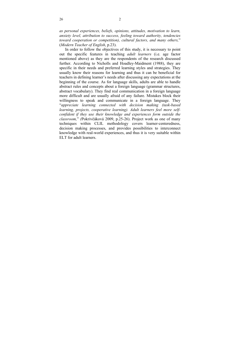*as personal experiences, beliefs, opinions, attitudes, motivation to learn, anxiety level, attribution to success, feeling toward authority, tendencies toward cooperation or competition), cultural factors, and many others,*" (*Modern Teacher of English*, p.23).

In order to follow the objectives of this study, it is necessary to point out the specific features in teaching *adult learners* (i.e. age factor mentioned above) as they are the respondents of the research discussed further. According to Nicholls and Hoadley-Maidment (1988), they are specific in their needs and preferred learning styles and strategies. They usually know their reasons for learning and thus it can be beneficial for teachers in defining learner's needs after discussing any expectations at the beginning of the course. As for language skills, adults are able to handle abstract rules and concepts about a foreign language (grammar structures, abstract vocabulary). They find real communication in a foreign language more difficult and are usually afraid of any failure. Mistakes block their willingness to speak and communicate in a foreign language. They "*appreciate learning connected with decision making (task-based learning, projects, cooperative learning). Adult learners feel more selfconfident if they use their knowledge and experiences form outside the classroom,*" *(*Pokrivčáková 2009, p.25-26). Project work as one of many techniques within CLIL methodology covers learner-centeredness, decision making processes, and provides possibilities to interconnect knowledge with real-world experiences, and thus it is very suitable within ELT for adult learners.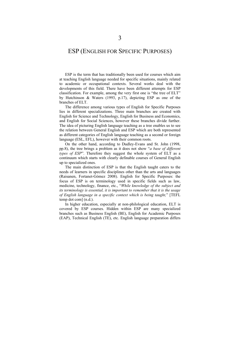# ESP (ENGLISH FOR SPECIFIC PURPOSES)

ESP is the term that has traditionally been used for courses which aim at teaching English language needed for specific situations, mainly related to academic or occupational contexts. Several works deal with the developments of this field. There have been different attempts for ESP classification. For example, among the very first one is "the tree of ELT" by Hutchinson & Waters (1993, p.17), depicting ESP as one of the branches of ELT.

The difference among various types of English for Specific Purposes lies in different specializations. Three main branches are created with English for Science and Technology, English for Business and Economics, and English for Social Sciences, however these branches divide further. The idea of picturing English language teaching as a tree enables us to see the relation between General English and ESP which are both represented as different categories of English language teaching as a second or foreign language (ESL, EFL), however with their common roots.

On the other hand, according to Dudley-Evans and St. John (1998, pp.8), the tree brings a problem as it does not show "*a base of different types of ESP*". Therefore they suggest the whole system of ELT as a continuum which starts with clearly definable courses of General English up to specialized ones.

The main distinction of ESP is that the English taught caters to the needs of learners in specific disciplines other than the arts and languages (Raisanen, Fortanet-Gómez 2008). English for Specific Purposes: the focus of ESP is on terminology used in specific fields such as law, medicine, technology, finance, etc., "*While knowledge of the subject and its terminology is essential, it is important to remember that it is the usage of English language in a specific context which is being taught,*" [TEFL temp dot com] (n.d.).

In higher education, especially at non-philological education, ELT is covered by ESP courses. Hidden within ESP are many specialized branches such as Business English (BE), English for Academic Purposes (EAP), Technical English (TE), etc. English language preparation differs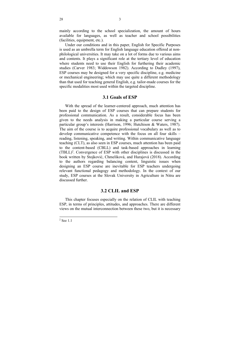mainly according to the school specialization, the amount of hours available for languages, as well as teacher and school possibilities (facilities, equipment, etc.).

Under our conditions and in this paper, English for Specific Purposes is used as an umbrella term for English language education offered at nonphilological universities. It may take on a lot of forms due to various aims and contents. It plays a significant role at the tertiary level of education where students need to use their English for furthering their academic studies (Carver 1983; Widdowson 1982). According to Dudley (1997), ESP courses may be designed for a very specific discipline, e.g. medicine or mechanical engineering; which may use quite a different methodology than that used for teaching general English, e.g. tailor-made courses for the specific modalities most used within the targeted discipline.

# **3.1 Goals of ESP**

With the spread of the learner-centered approach, much attention has been paid to the design of ESP courses that can prepare students for professional communication. As a result, considerable focus has been given to the needs analysis in making a particular course serving a particular group's interests (Harrison, 1996; Hutchison & Waters, 1987). The aim of the course is to acquire professional vocabulary as well as to develop communicative competence with the focus on all four skills – reading, listening, speaking, and writing. Within communicative language teaching (CLT), as also seen in ESP courses, much attention has been paid to the content-based (CBLL) and task-based approaches in learning  $(TBLL)<sup>2</sup>$ . Convergence of ESP with other disciplines is discussed in the book written by Stojković, Chmelíková, and Hurajová (2018). According to the authors regarding balancing content, linguistic issues when designing an ESP course are inevitable for ESP teachers undergoing relevant functional pedagogy and methodology. In the context of our study, ESP courses at the Slovak University in Agriculture in Nitra are discussed further.

# **3.2 CLIL and ESP**

This chapter focuses especially on the relation of CLIL with teaching ESP, in terms of principles, attitudes, and approaches. There are different views on the mutual interconnection between these two, but it is necessary

<sup>2</sup> See 1.1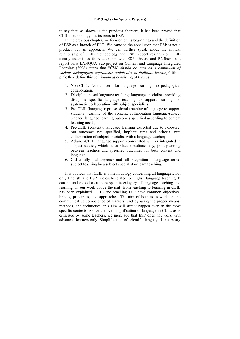to say that, as shown in the previous chapters, it has been proved that CLIL methodology has its roots in ESP.

In the previous chapter, we focused on its beginnings and the definition of ESP as a branch of ELT. We came to the conclusion that ESP is not a product but an approach. We can further speak about the mutual relationship of CLIL methodology and ESP. Recent research on CLIL clearly establishes its relationship with ESP. Greere and Räsänen in a report on a LANQUA Sub-project on Content and Language Integrated Learning (2008) states that "*CLIL should be seen as a continuum of various pedagogical approaches which aim to facilitate learning*" (ibid, p.5); they define this continuum as consisting of 6 steps:

- 1. Non-CLIL: Non-concern for language learning, no pedagogical collaboration;
- 2. Discipline-based language teaching: language specialists providing discipline specific language teaching to support learning, no systematic collaboration with subject specialists;
- 3. Pre-CLIL (language): pre-sessional teaching of language to support students' learning of the content, collaboration language-subject teacher, language learning outcomes specified according to content learning needs;
- 4. Pre-CLIL (content): language learning expected due to exposure, but outcomes not specified, implicit aims and criteria, rare collaboration of subject specialist with a language teacher;
- 5. Adjunct-CLIL: language support coordinated with or integrated in subject studies, which takes place simultaneously, joint planning between teachers and specified outcomes for both content and language;
- 6. CLIL: fully dual approach and full integration of language across subject teaching by a subject specialist or team teaching.

It is obvious that CLIL is a methodology concerning all languages, not only English, and ESP is closely related to English language teaching. It can be understood as a more specific category of language teaching and learning. In our work above the shift from teaching to learning in CLIL has been explained. CLIL and teaching ESP have common objectives, beliefs, principles, and approaches. The aim of both is to work on the communicative competence of learners, and by using the proper means, methods, and techniques, this aim will surely happen even in the most specific contexts. As for the oversimplification of language in CLIL, as is criticised by some teachers, we must add that ESP does not work with advanced learners only. Simplification of scientific language is necessary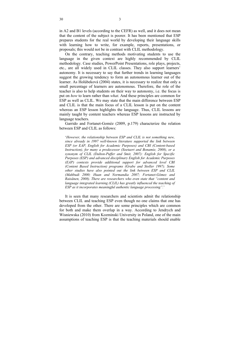in A2 and B1 levels (according to the CEFR) as well, and it does not mean that the content of the subject is poorer. It has been mentioned that ESP prepares students for the real world by developing their language skills

with learning how to write, for example, reports, presentations, or

proposals; this would not be in contrast with CLIL methodology. On the contrary, teaching methods motivating students to use the language in the given context are highly recommended by CLIL methodology. Case studies, PowerPoint Presentations, role plays, projects, etc., are all widely used in CLIL classes. They also support learners' autonomy. It is necessary to say that further trends in learning languages suggest the growing tendency to form an autonomous learner out of the learner. As Holúbeková (2004) states, it is necessary to realize that only a small percentage of learners are autonomous. Therefore, the role of the teacher is also to help students on their way to autonomy, i.e. the focus is put on *how* to learn rather than *what*. And these principles are common for ESP as well as CLIL. We may state that the main difference between ESP and CLIL is that the main focus of a CLIL lesson is put on the content whereas an ESP lesson highlights the language. Thus, CLIL lessons are mainly taught by content teachers whereas ESP lessons are instructed by language teachers.

Garrido and Fortanet-Goméz (2009, p.179) characterize the relation between ESP and CLIL as follows:

'*However, the relationship between ESP and CLIL is not something new, since already in 1997 well-known literature supported the link between ESP (or EAP, English for Academic Purposes) and CBI (Content-based Instruction), for many a predecessor (Soetaert and Bonamie, 2008), or a synonym of CLIL (Dalton-Puffer and Smit, 2007): English for Specific Purposes (ESP) and advanced disciplinary English for Academic Purposes (EAP) contexts provide additional support for advanced level CBI (Content Based Instruction) programs (Grabe and Stoller 1997). Some other studies have also pointed out the link between ESP and CLIL (Mahbudi 2000; Huan and Normandia 2007; Fortanet-Gómez and Raisänen, 2008). There are researchers who even state that "content and language integrated learning (CLIL) has greatly influenced the teaching of ESP as it incorporates meaningful authentic language processing".*'

It is seen that many researchers and scientists admit the relationship between CLIL and teaching ESP even though no one claims that one has developed from the other. There are some principles which are common for both and make them overlap in a way. According to Jendrych and Wisniewska (2010) from Kozminski University in Poland, one of the main assumptions of teaching ESP is that the teaching materials should enable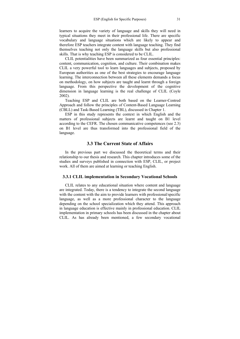learners to acquire the variety of language and skills they will need in typical situations they meet in their professional life. There are specific vocabulary and language situations which are likely to appear and therefore ESP teachers integrate content with language teaching. They find themselves teaching not only the language skills but also professional skills. That is why teaching ESP is considered to be CLIL.

CLIL potentialities have been summarized as four essential principles: content, communication, cognition, and culture. Their combination makes CLIL a very powerful tool to learn languages and subjects, proposed by European authorities as one of the best strategies to encourage language learning. The interconnection between all these elements demands a focus on methodology, on how subjects are taught and learnt through a foreign language. From this perspective the development of the cognitive dimension in language learning is the real challenge of CLIL (Coyle 2002).

Teaching ESP and CLIL are both based on the Learner-Centred Approach and follow the principles of Content-Based Language Learning (CBLL) and Task-Based Learning (TBL), discussed in Chapter 1.

ESP in this study represents the context in which English and the matters of professional subjects are learnt and taught on B1 level according to the CEFR. The chosen communicative competences (see 2.3) on B1 level are thus transformed into the professional field of the language.

# **3.3 The Current State of Affairs**

In the previous part we discussed the theoretical terms and their relationship to our thesis and research. This chapter introduces some of the studies and surveys published in connection with ESP, CLIL, or project work. All of them are aimed at learning or teaching English.

# **3.3.1 CLIL implementation in Secondary Vocational Schools**

CLIL relates to any educational situation where content and language are integrated. Today, there is a tendency to integrate the second language with the content with the aim to provide learners with professional/specific language, as well as a more professional character to the language depending on the school specialization which they attend. This approach in language education is effective mainly in professional education. CLIL implementation in primary schools has been discussed in the chapter about CLIL. As has already been mentioned, a few secondary vocational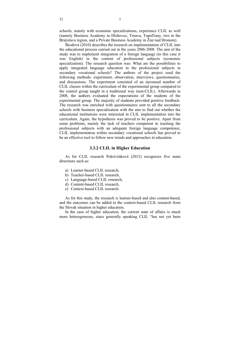schools, mainly with economic specializations, experience CLIL as well (namely Business Academy in Hlohovec, Trnava, Topoľčany, two in the Bratislava region, and a Private Business Academy in Žiar nad Hronom).

Škodová (2010) describes the research on implementation of CLIL into the educational process carried out in the years 2006-2008. The aim of the study was to implement integration of a foreign language (in this case it was English) in the content of professional subjects (economic specialization). The research question was: What are the possibilities to apply integrated language education in the professional subjects in secondary vocational schools? The authors of the project used the following methods: experiment, observation, interviews, questionnaires, and discussions. The experiment consisted of an increased number of CLIL classes within the curriculum of the experimental group compared to the control group taught in a traditional way (non-CLIL). Afterwards in 2008, the authors evaluated the expectations of the students of the experimental group. The majority of students provided positive feedback. The research was enriched with questionnaires sent to all the secondary schools with business specialization with the aim to find out whether the educational institutions were interested in CLIL implementation into the curriculum. Again, the hypothesis was proved to be positive. Apart from some problems, mainly the lack of teachers competent in teaching the professional subjects with an adequate foreign language competence, CLIL implementation within secondary vocational schools has proved to be an effective tool to follow new trends and approaches in education.

## **3.3.2 CLIL in Higher Education**

As for CLIL research Pokrivčáková (2012) recognizes five main directions such as:

- a) Learner-based CLIL research,
- b) Teacher-based CLIL research,
- c) Language-based CLIL research,
- d) Content-based CLIL research,
- e) Context-based CLIL research.

As for this study, the research is learner-based and also content-based, and the outcomes can be added to the context-based CLIL research from the Slovak situation in higher education.

In the case of higher education, the current state of affairs is much more heterogeneous, since generally speaking CLIL "has not yet been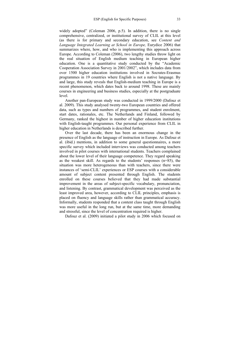widely adopted" (Coleman 2006, p.5). In addition, there is no single comprehensive, centralized, or institutional survey of CLIL at this level (as there is for primary and secondary education, see *Content and Language Integrated Learning at School in Europe,* Eurydice 2006) that summarizes where, how, and who is implementing this approach across Europe. According to Coleman (2006), two lengthy studies throw light on the real situation of English medium teaching in European higher education. One is a quantitative study conducted by the "Academic Cooperation Association Survey in 2001/2002", which includes data from over 1500 higher education institutions involved in Socrates-Erasmus programmes in 19 countries where English is not a native language. By and large, this study reveals that English-medium teaching in Europe is a recent phenomenon, which dates back to around 1998. These are mainly courses in engineering and business studies, especially at the postgraduate level.

Another pan-European study was conducted in 1999/2000 (Dafouz et al. 2009). This study analysed twenty-two European countries and offered data, such as types and numbers of programmes, and student enrolment, start dates, rationales, etc. The Netherlands and Finland, followed by Germany, ranked the highest in number of higher education institutions with English-taught programmes. Our personal experience from CLIL in higher education in Netherlands is described further.

Over the last decade, there has been an enormous change in the presence of English as the language of instruction in Europe. As Dafouz et al. (ibid.) mentions, in addition to some general questionnaires, a more specific survey which included interviews was conducted among teachers involved in pilot courses with international students. Teachers complained about the lower level of their language competence. They regard speaking as the weakest skill. As regards to the students' responses (n=85), the situation was more heterogeneous than with teachers, since there were instances of 'semi-CLIL' experiences or ESP courses with a considerable amount of subject content presented through English. The students enrolled on these courses believed that they had made substantial improvement in the areas of subject-specific vocabulary, pronunciation, and listening. By contrast, grammatical development was perceived as the least improved area, however, according to CLIL principles, emphasis is placed on fluency and language skills rather than grammatical accuracy. Informally, students responded that a content class taught through English was more useful in the long run, but at the same time, more demanding and stressful, since the level of concentration required is higher.

Dafouz et al. (2009) initiated a pilot study in 2006 which focused on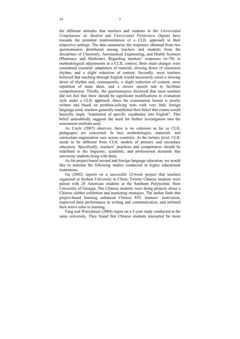the different attitudes that teachers and students in the *Universidad Complutense de Madrid* and *Universidad Politécnica* (Spain) have towards the potential implementation of a CLIL approach in their respective settings. The data summarise the responses obtained from two questionnaires distributed among teachers and students from the disciplines of Chemistry, Aeronautical Engineering, and Health Sciences (Pharmacy and Medicine). Regarding teachers' responses (n=70) to methodological adjustments in a CLIL context, three main changes were considered essential: adaptation of material, slowing down of classroom rhythm, and a slight reduction of content. Secondly, most teachers believed that teaching through English would necessarily entail a slowing down of rhythm and, consequently, a slight reduction of content, more repetition of main ideas, and a slower speech rate to facilitate comprehension. Thirdly, the questionnaires disclosed that most teachers did not feel that there should be significant modifications in evaluation style under a CLIL approach. Since the examination format is mostly written and based on problem-solving tests with very little foreign language used, teachers generally manifested their belief that exams would basically imply "translation of specific vocabulary into English". This belief undoubtedly suggests the need for further investigation into the assessment methods used.

As Coyle (2007) observes, there is no cohesion as far as CLIL pedagogies are concerned. In fact, methodologies, materials, and curriculum organisation vary across countries. At the tertiary level, CLIL needs to be different from CLIL models of primary and secondary education. Specifically, teachers' practices and competences should be redefined to the linguistic, academic, and professional demands that university students bring with them.

As for project-based second and foreign language education, we would like to mention the following studies conducted in higher educational institutions.

Gu (2002) reports on a successful 12-week project that teachers organized at Suzhou University in China. Twenty Chinese students were paired with 28 American students at the Southern Polytechnic State University of Georgia. The Chinese students were doing projects about a Chinese clothes exhibition and marketing strategies. The author finds that project-based learning enhanced Chinese EFL learners' motivation, improved their performance in writing and communication, and initiated their active roles in learning.

Fang and Warschauer (2004) report on a 5-year study conducted at the same university. They found that Chinese students interacted far more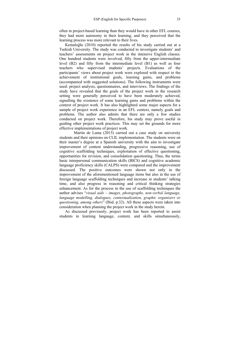often in project-based learning than they would have in other EFL courses, they had more autonomy in their learning, and they perceived that the learning process was more relevant to their lives.

Kemaloğlu (2010) reported the results of his study carried out at a Turkish University. The study was conducted to investigate students' and teachers' assessments on project work in the intensive English classes. One hundred students were involved, fifty from the upper-intermediate level (B2) and fifty from the intermediate level (B1) as well as four teachers who supervised students' projects. Evaluations of the participants' views about project work were explored with respect to the achievement of institutional goals, learning gains, and problems (accompanied with suggested solutions). The following instruments were used: project analysis, questionnaires, and interviews. The findings of the study have revealed that the goals of the project work in the research setting were generally perceived to have been moderately achieved, signalling the existence of some learning gains and problems within the context of project work. It has also highlighted some major aspects for a sample of project work experience in an EFL context, namely goals and problems. The author also admits that there are only a few studies conducted on project work. Therefore, his study may prove useful in guiding other project work practices. This may set the grounds for more effective implementations of project work.

 Martín de Lama (2015) carried out a case study on university students and their opinions on CLIL implementation. The students were on their master's degree at a Spanish university with the aim to investigate improvement of content understanding, progressive reasoning, use of cognitive scaffolding techniques, exploitation of effective questioning, opportunities for revision, and consolidation questioning. Thus, the terms basic interpersonal communication skills (BICS) and cognitive academic language proficiency skills (CALPS) were compared and the improvement discussed. The positive outcomes were shown not only in the improvement of the aforementioned language items but also in the use of foreign language scaffolding techniques and increase in students' talking time, and also progress in reasoning and critical thinking strategies enhancement. As for the process in the use of scaffolding techniques the author advises "*visual aids – images, photographs, non-verbal language, language modelling, dialogues, contextualization, graphic organizers or questioning, among others*" (Ibid. p.32). All these aspects were taken into consideration when planning the project work in the study herein.

As discussed previously, project work has been reported to assist students in learning language, content, and skills simultaneously,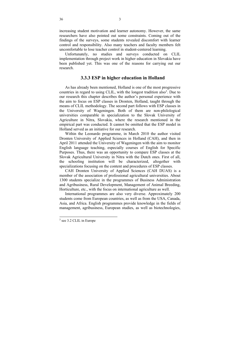increasing student motivation and learner autonomy. However, the same researchers have also pointed out some constraints. Coming out of the findings of the surveys, some students revealed discomfort with learner control and responsibility. Also many teachers and faculty members felt uncomfortable to lose teacher control in student-centered learning.

Unfortunately, no studies and surveys conducted on CLIL implementation through project work in higher education in Slovakia have been published yet. This was one of the reasons for carrying out our research.

# **3.3.3 ESP in higher education in Holland**

As has already been mentioned, Holland is one of the most progressive countries in regard to using CLIL, with the longest tradition also<sup>3</sup>. Due to our research this chapter describes the author's personal experience with the aim to focus on ESP classes in Dronten, Holland, taught through the means of CLIL methodology. The second part follows with ESP classes in the University of Wageningen. Both of them are non-philological universities comparable in specialization to the Slovak University of Agriculture in Nitra, Slovakia, where the research mentioned in the empirical part was conducted. It cannot be omitted that the ESP model in Holland served as an initiative for our research.

Within the Leonardo programme, in March 2010 the author visited Dronten University of Applied Sciences in Holland (CAH), and then in April 2011 attended the University of Wageningen with the aim to monitor English language teaching, especially courses of English for Specific Purposes. Thus, there was an opportunity to compare ESP classes at the Slovak Agricultural University in Nitra with the Dutch ones. First of all, the schooling institution will be characterized, altogether with specializations focusing on the content and procedures of ESP classes.

CAH Dronten University of Applied Sciences (CAH DUAS) is a member of the association of professional agricultural universities. About 1300 students specialize in the programmes of Business Administration and Agribusiness, Rural Development, Management of Animal Breeding, Horticulture, etc., with the focus on international agriculture as well.

International programmes are also very diverse. Approximately 200 students come from European countries, as well as from the USA, Canada, Asia, and Africa. English programmes provide knowledge in the fields of management, agribusiness, European studies, as well as biotechnologies,

<sup>3</sup> see 3.2 CLIL in Europe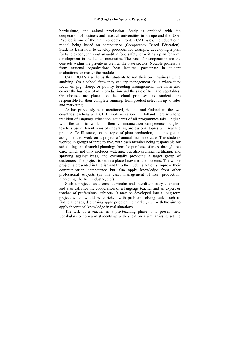horticulture, and animal production. Study is enriched with the cooperation of business and research universities in Europe and the USA. Practice is one of the main concepts Dronten CAH uses, the educational model being based on competence (Competency Based Education). Students learn how to develop products, for example, developing a plan for tulip export, carry out an audit in food safety, or writing a plan for rural development in the Italian mountains. The basis for cooperation are the contacts within the private as well as the state sectors. Notable professors from external organizations host lectures, participate in student evaluations, or master the modules.

CAH DUAS also helps the students to run their own business while studying. On a school farm they can try management skills where they focus on pig, sheep, or poultry breeding management. The farm also covers the business of milk production and the sale of fruit and vegetables. Greenhouses are placed on the school premises and students are responsible for their complete running, from product selection up to sales and marketing.

As has previously been mentioned, Holland and Finland are the two countries teaching with CLIL implementation. In Holland there is a long tradition of language education. Students of all programmes take English with the aim to work on their communication competence. English teachers use different ways of integrating professional topics with real life practice. To illustrate, on the topic of plant production, students got an assignment to work on a project of annual fruit tree care. The students worked in groups of three to five, with each member being responsible for scheduling and financial planning: from the purchase of trees, through tree care, which not only includes watering, but also pruning, fertilizing, and spraying against bugs, and eventually providing a target group of customers. The project is set in a place known to the students. The whole project is presented in English and thus the students not only improve their communication competence but also apply knowledge from other professional subjects (in this case: management of fruit production, marketing, the fruit industry, etc.).

Such a project has a cross-curricular and interdisciplinary character, and also calls for the cooperation of a language teacher and an expert or teacher of professional subjects. It may be developed into a long-term project which would be enriched with problem solving tasks such as financial crises, decreasing apple price on the market, etc., with the aim to apply theoretical knowledge in real situations.

The task of a teacher in a pre-teaching phase is to present new vocabulary or to warm students up with a text on a similar issue, set the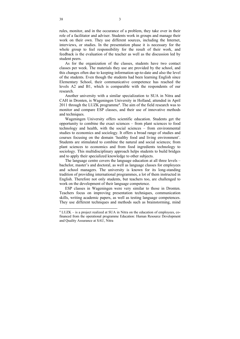rules, monitor, and in the occurance of a problem, they take over in their role of a facilitator and adviser. Students work in groups and manage their work on their own. They use different sources, including the Internet, interviews, or studies. In the presentation phase it is necessary for the whole group to feel responsibility for the result of their work, and feedback is the evaluation of the teacher as well as the discussion led by student peers.

As for the organization of the classes, students have two contact classes per week. The materials they use are provided by the school, and this changes often due to keeping information up-to-date and also the level of the students. Even though the students had been learning English since Elementary School, their communicative competence has reached the levels A2 and B1, which is comparable with the respondents of our research.

Another university with a similar specialization to SUA in Nitra and CAH in Dronten, is Wageningen University in Holland, attended in April 2011 through the LUZK programme<sup>4</sup>. The aim of the field research was to monitor and compare ESP classes, and their use of innovative methods and techniques.

Wageningen University offers scientific education. Students get the opportunity to combine the exact sciences – from plant sciences to food technology and health, with the social sciences – from environmental studies to economics and sociology. It offers a broad range of studies and courses focusing on the domain 'healthy food and living environment'. Students are stimulated to combine the natural and social sciences; from plant sciences to economics and from food ingredients technology to sociology. This multidisciplinary approach helps students to build bridges and to apply their specialized knowledge to other subjects.

The language centre covers the language education at all three levels – bachelor, master's and doctoral, as well as language classes for employees and school managers. The university is known for its long-standing tradition of providing international programmes, a lot of them instructed in English. Therefore not only students, but teachers too, are challenged to work on the development of their language competence.

ESP classes in Wageningen were very similar to those in Dronten. Teachers focus on improving presentation techniques, communication skills, writing academic papers, as well as testing language competences. They use different techniques and methods such as brainstorming, mind

<sup>4</sup> LUZK – is a project realized at SUA in Nitra on the education of employees, cofinanced from the operational programme Education: Human Resource Development and Quality Assurance at SAU, Nitra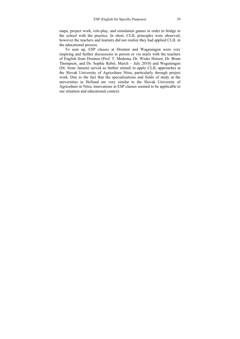maps, project work, role-play, and simulation games in order to bridge to the school with the practice. In short, CLIL principles were observed, however the teachers and learners did not realize they had applied CLIL in the educational process.

To sum up, ESP classes at Dronten and Wageningen were very inspiring and further discussions in person or via mails with the teachers of English from Dronten (Prof. T. Medema, Dr. Wieke Hetsen, Dr. Brian Thompson, and Dr. Sophie Rebel, March – July 2010) and Wageningen (Dr. Irene Jansen) served as further stimuli to apply CLIL approaches at the Slovak University of Agriculture Nitra, particularly through project work. Due to the fact that the specializations and fields of study at the universities in Holland are very similar to the Slovak University of Agriculture in Nitra, innovations in ESP classes seemed to be applicable to our situation and educational context.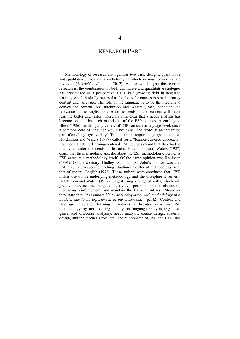# RESEARCH PART

Methodology of research distinguishes two basic designs: quantitative and qualitative. They are a dichotomy in which various techniques are involved (Pokrivčáková et al. 2012). As for which type this current research is, the combination of both qualitative and quantitative strategies has crystallized as a perspective. CLIL is a growing field in language teaching which basically means that the focus for courses is simultaneously content and language. The role of the language is to be the medium to convey the content. As Hutchinson and Waters (1987) conclude, the relevance of the English course to the needs of the learners will make learning better and faster. Therefore it is clear that a needs analysis has become one the basic characteristics of the ESP courses. According to Bloor (1986), teaching any variety of ESP can start at any age level, since a common core of language would not exist. The 'core' is an integrated part of any language 'variety'. Thus, learners acquire language in context. Hutchinson and Waters (1987) called for a "learner-centered approach". For them, teaching learning-centered ESP courses meant that they had to mainly consider the needs of learners. Hutchinson and Waters (1987) claim that there is nothing specific about the ESP methodology; neither is ESP actually a methodology itself. Of the same opinion was Robinson (1991). On the contrary, Dudley-Evans and St. John's opinion was that ESP may use, in specific teaching situations, a different methodology from that of general English (1998). These authors were convinced that "ESP makes use of the underlying methodology and the discipline it serves." Hutchinson and Waters (1987) suggest using a range of skills, which will greatly increase the range of activities possible in the classroom, increasing reinforcement, and maintain the learner's interest. Moreover they state that "*it is impossible to deal adequately with methodology in a book. It has to be experienced in the classroom,*" (p.142). Content and language integrated learning introduces a broader view on ESP methodology by not focusing mainly on language analysis (e.g. text, genre, and discourse analysis), needs analysis, course design, material design, and the teacher's role, etc. The relationship of ESP and CLIL has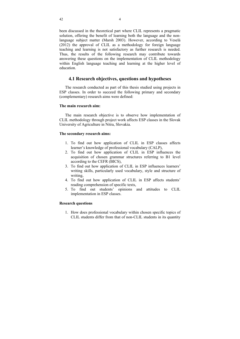been discussed in the theoretical part where CLIL represents a pragmatic solution, offering the benefit of learning both the language and the nonlanguage subject matter (Marsh 2003). However, according to Veselá (2012) the approval of CLIL as a methodology for foreign language teaching and learning is not satisfactory as further research is needed. Thus, the results of the following research may contribute towards answering these questions on the implementation of CLIL methodology within English language teaching and learning at the higher level of education.

# **4.1 Research objectives, questions and hypotheses**

The research conducted as part of this thesis studied using projects in ESP classes. In order to succeed the following primary and secondary (complementary) research aims were defined:

## **The main research aim:**

The main research objective is to observe how implementation of CLIL methodology through project work affects ESP classes in the Slovak University of Agriculture in Nitra, Slovakia.

## **The secondary research aims:**

- 1. To find out how application of CLIL in ESP classes affects learner's knowledge of professional vocabulary (CALP),
- 2. To find out how application of CLIL in ESP influences the acquisition of chosen grammar structures referring to B1 level according to the CEFR (BICS),
- 3. To find out how application of CLIL in ESP influences learners' writing skills, particularly used vocabulary, style and structure of writing,
- 4. To find out how application of CLIL in ESP affects students' reading comprehension of specific texts,
- 5. To find out students' opinions and attitudes to CLIL implementation in ESP classes.

## **Research questions**

1. How does professional vocabulary within chosen specific topics of CLIL students differ from that of non-CLIL students in its quantity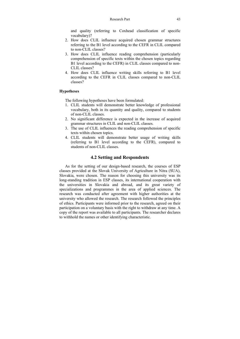and quality (referring to Coxhead classification of specific vocabulary)?

- 2. How does CLIL influence acquired chosen grammar structures referring to the B1 level according to the CEFR in CLIL compared to non-CLIL classes?
- 3. How does CLIL influence reading comprehension (particularly comprehension of specific texts within the chosen topics regarding B1 level according to the CEFR) in CLIL classes compared to non-CLIL classes?
- 4. How does CLIL influence writing skills referring to B1 level according to the CEFR in CLIL classes compared to non-CLIL classes?

## **Hypotheses**

The following hypotheses have been formulated:

- 1. CLIL students will demonstrate better knowledge of professional vocabulary, both in its quantity and quality, compared to students of non-CLIL classes.
- 2. No significant difference is expected in the increase of acquired grammar structures in CLIL and non-CLIL classes.
- 3. The use of CLIL influences the reading comprehension of specific texts within chosen topics.
- 4. CLIL students will demonstrate better usage of writing skills (referring to B1 level according to the CEFR), compared to students of non-CLIL classes.

# **4.2 Setting and Respondents**

As for the setting of our design-based research, the courses of ESP classes provided at the Slovak University of Agriculture in Nitra (SUA), Slovakia, were chosen. The reason for choosing this university was its long-standing tradition in ESP classes, its international cooperation with the universities in Slovakia and abroad, and its great variety of specializations and programmes in the area of applied sciences. The research was conducted after agreement with higher authorities at the university who allowed the research. The research followed the principles of ethics. Participants were informed prior to the research, agreed on their participation on a voluntary basis with the right to withdraw at any time. A copy of the report was available to all participants. The researcher declares to withhold the names or other identifying characteristic.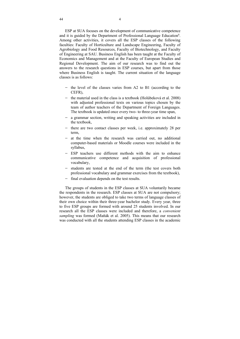ESP at SUA focuses on the development of communicative competence and it is guided by the Department of Professional Language Education<sup>6</sup>. Among other activities, it covers all the ESP classes of the following faculties: Faculty of Horticulture and Landscape Engineering, Faculty of Agrobiology and Food Resources, Faculty of Biotechnology, and Faculty of Engineering at SAU. Business English has been taught at the Faculty of Economics and Management and at the Faculty of European Studies and Regional Development. The aim of our research was to find out the answers to the research questions in ESP courses, but apart from those where Business English is taught. The current situation of the language classes is as follows:

- $-$  the level of the classes varies from A2 to B1 (according to the CEFR),
- $-$  the material used in the class is a textbook (Holúbeková et al. 2008) with adjusted professional texts on various topics chosen by the team of author teachers of the Department of Foreign Languages. The textbook is updated once every two- to three-year time span,
- a grammar section, writing and speaking activities are included in the textbook,
- $-$  there are two contact classes per week, i.e. approximately 28 per term,
- $-$  at the time when the research was carried out, no additional computer-based materials or Moodle courses were included in the syllabus,
- ESP teachers use different methods with the aim to enhance communicative competence and acquisition of professional vocabulary,
- students are tested at the end of the term (the test covers both professional vocabulary and grammar exercises from the textbook),
- final evaluation depends on the test results.

The groups of students in the ESP classes at SUA voluntarily became the respondents in the research. ESP classes at SUA are not compulsory; however, the students are obliged to take two terms of language classes of their own choice within their three-year bachelor study. Every year, three to five ESP groups are formed with around 25 students involved. In our research all the ESP classes were included and therefore, a *convenient sampling* was formed (Maňák et al. 2005). This means that our research was conducted with all the students attending ESP classes in the academic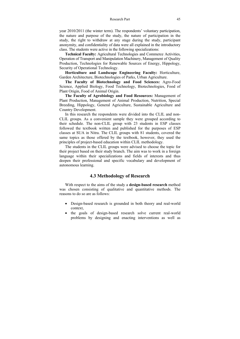year 2010/2011 (the winter term). The respondents' voluntary participation, the nature and purpose of the study, the nature of participation in the study, the right to withdraw at any stage during the study, participant anonymity, and confidentiality of data were all explained in the introductory class. The students were active in the following specializations:

**Technical Faculty:** Agricultural Technologies and Commerce Activities, Operation of Transport and Manipulation Machinery, Management of Quality Production, Technologies for Renewable Sources of Energy, Hippology, Security of Operational Technology.

**Horticulture and Landscape Engineering Faculty:** Horticulture, Garden Architecture, Biotechnologies of Parks, Urban Agriculture.

**The Faculty of Biotechnology and Food Sciences:** Agro-Food Science, Applied Biology, Food Technology, Biotechnologies, Food of Plant Origin, Food of Animal Origin.

**The Faculty of Agrobiology and Food Resources:** Management of Plant Production, Management of Animal Production, Nutrition, Special Breeding, Hippology, General Agriculture, Sustainable Agriculture and Country Development.

In this research the respondents were divided into the CLIL and non-CLIL groups. As a convenient sample they were grouped according to their schedule. The non-CLIL group with 23 students in ESP classes followed the textbook written and published for the purposes of ESP classes at SUA in Nitra. The CLIL groups with 81 students, covered the same topics as those offered by the textbook, however, they used the principles of project-based education within CLIL methodology.

The students in the CLIL groups were advised to choose the topic for their project based on their study branch. The aim was to work in a foreign language within their specializations and fields of interests and thus deepen their professional and specific vocabulary and development of autonomous learning.

# **4.3 Methodology of Research**

With respect to the aims of the study a **design-based research** method was chosen consisting of qualitative and quantitative methods. The reasons to do so are as follows:

- Design-based research is grounded in both theory and real-world context,
- the goals of design-based research solve current real-world problems by designing and enacting interventions as well as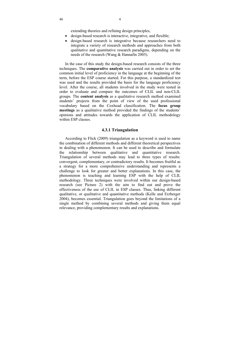extending theories and refining design principles,

- design-based research is interactive, integrative, and flexible;
- design-based research is integrative because researchers need to integrate a variety of research methods and approaches from both qualitative and quantitative research paradigms, depending on the needs of the research (Wang & Hannafin 2005).

In the case of this study the design-based research consists of the three techniques. The **comparative analysis** was carried out in order to set the common initial level of proficiency in the language at the beginning of the term, before the ESP course started. For this purpose, a standardized test was used and the results provided the basis for the language proficiency level. After the course, all students involved in the study were tested in order to evaluate and compare the outcomes of CLIL and non-CLIL groups. The **content analysis** as a qualitative research method examined students' projects from the point of view of the used professional vocabulary based on the Coxhead classification. The **focus group meetings** as a qualitative method provided the findings of the students' opinions and attitudes towards the application of CLIL methodology within ESP classes.

## **4.3.1 Triangulation**

According to Flick (2009) triangulation as a keyword is used to name the combination of different methods and different theoretical perspectives in dealing with a phenomenon. It can be used to describe and formulate the relationship between qualitative and quantitative research. Triangulation of several methods may lead to three types of results: convergent, complementary, or contradictory results. It becomes fruitful as a strategy for a more comprehensive understanding and represents a challenge to look for greater and better explanations. In this case, the phenomenon is teaching and learning ESP with the help of CLIL methodology. Three techniques were involved within our design-based research (see Picture 2) with the aim to find out and prove the effectiveness of the use of CLIL in ESP classes. Thus, linking different qualitative, or qualitative and quantitative methods (Kelle and Erzberger 2004), becomes essential. Triangulation goes beyond the limitations of a single method by combining several methods and giving them equal relevance, providing complementary results and explanations.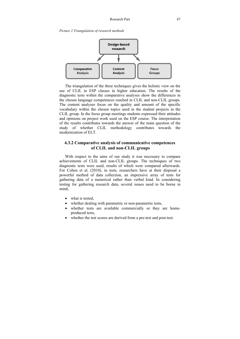*Picture 2 Triangulation of research methods* 



The triangulation of the three techniques gives the holistic view on the use of CLIL in ESP classes in higher education. The results of the diagnostic tests within the comparative analyses show the differences in the chosen language competences reached in CLIL and non-CLIL groups. The content analyses focus on the quality and amount of the specific vocabulary within the chosen topics used in the student projects in the CLIL group. In the focus group meetings students expressed their attitudes and opinions on project work used on the ESP course. The interpretation of the results contributes towards the answer of the main question of the study of whether CLIL methodology contributes towards the modernization of ELT.

# **4.3.2 Comparative analysis of communicative competences of CLIL and non-CLIL groups**

With respect to the aims of our study it was necessary to compare achievements of CLIL and non-CLIL groups. The techniques of two diagnostic tests were used, results of which were compared afterwards. For Cohen et al. (2010), in tests, researchers have at their disposal a powerful method of data collection, an impressive array of tests for gathering data of a numerical rather than verbal kind. In considering testing for gathering research data, several issues need to be borne in mind,

- what is tested.
- whether dealing with parametric or non-parametric tests,
- whether tests are available commercially or they are homeproduced tests,
- whether the test scores are derived from a pre-test and post-test.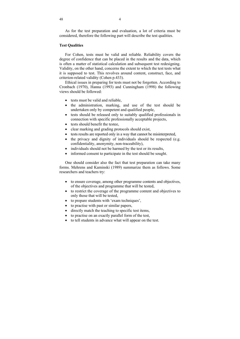As for the test preparation and evaluation, a lot of criteria must be considered, therefore the following part will describe the test qualities.

## **Test Qualities**

For Cohen, tests must be valid and reliable*.* Reliability covers the degree of confidence that can be placed in the results and the data, which is often a matter of statistical calculation and subsequent test redesigning. Validity, on the other hand, concerns the extent to which the test tests what it is supposed to test. This revolves around content, construct, face, and criterion-related validity (Cohen p.433).

Ethical issues in preparing for tests must not be forgotten. According to Cronbach (1970), Hanna (1993) and Cunningham (1998) the following views should be followed:

- tests must be valid and reliable.
- the administration, marking, and use of the test should be undertaken only by competent and qualified people,
- tests should be released only to suitably qualified professionals in connection with specific professionally acceptable projects,
- $\bullet$  tests should benefit the testee.
- clear marking and grading protocols should exist,
- tests results are reported only in a way that cannot be misinterpreted,
- the privacy and dignity of individuals should be respected (e.g. confidentiality, anonymity, non-traceability),
- individuals should not be harmed by the test or its results,
- informed consent to participate in the test should be sought.

One should consider also the fact that test preparation can take many forms. Mehrens and Kaminski (1989) summarize them as follows. Some researchers and teachers try:

- to ensure coverage, among other programme contents and objectives, of the objectives and programme that will be tested,
- to restrict the coverage of the programme content and objectives to only those that will be tested,
- to prepare students with 'exam techniques',
- to practise with past or similar papers,
- directly match the teaching to specific test items,
- to practise on an exactly parallel form of the test,
- to tell students in advance what will appear on the test.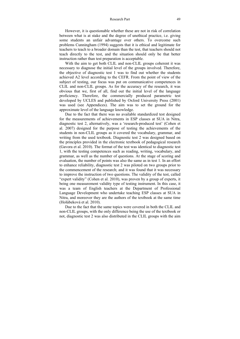#### Research Part 49

However, it is questionable whether these are not in risk of correlation between what is at stake and the degree of unethical practice, i.e. giving some students an unfair advantage over others. To overcome such problems Cunningham (1994) suggests that it is ethical and legitimate for teachers to teach to a broader domain than the test, that teachers should not teach directly to the test, and the situation should only be that better instruction rather than test preparation is acceptable.

With the aim to get both CLIL and non-CLIL groups coherent it was necessary to diagnose the initial level of the groups involved. Therefore, the objective of diagnostic test 1 was to find out whether the students achieved A2 level according to the CEFR. From the point of view of the subject of testing, our focus was put on communicative competences in CLIL and non-CLIL groups. As for the accuracy of the research, it was obvious that we, first of all, find out the initial level of the language proficiency. Therefore, the commercially produced parametric test developed by UCLES and published by Oxford University Press (2001) was used (see Appendices). The aim was to set the ground for the approximate level of the language knowledge.

Due to the fact that there was no available standardized test designed for the measurements of achievements in ESP classes at SUA in Nitra, diagnostic test 2, alternatively, was a 'research-produced test' (Cohen et al. 2007) designed for the purpose of testing the achievements of the students in non-CLIL groups as it covered the vocabulary, grammar, and writing from the used textbook. Diagnostic test 2 was designed based on the principles provided in the electronic textbook of pedagogical research (Gavora et al. 2010). The format of the test was identical to diagnostic test 1, with the testing competences such as reading, writing, vocabulary, and grammar, as well as the number of questions. At the stage of scoring and evaluation, the number of points was also the same as in test 1. In an effort to enhance reliability, diagnostic test 2 was piloted on two groups prior to the commencement of the research; and it was found that it was necessary to improve the instruction of two questions. The validity of the test, called "expert validity" (Cohen et al. 2010), was proven by a group of experts, it being one measurement validity type of testing instrument. In this case, it was a team of English teachers at the Department of Professional Language Development who undertake teaching ESP classes at SUA in Nitra, and moreover they are the authors of the textbook at the same time (Holúbeková et al. 2010).

Due to the fact that the same topics were covered in both the CLIL and non-CLIL groups, with the only difference being the use of the textbook or not, diagnostic test 2 was also distributed in the CLIL groups with the aim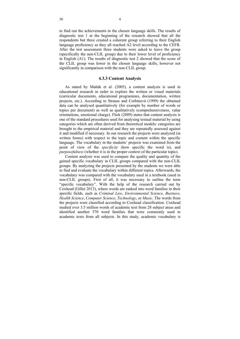to find out the achievements in the chosen language skills. The results of diagnostic test 1 at the beginning of the research showed that all the respondents but three created a coherent group referring to their English language proficiency as they all reached A2 level according to the CEFR. After the test assessment three students were asked to leave the group (specifically the non-CLIL group) due to their lower level of proficiency in English (A1). The results of diagnostic test 2 showed that the score of the CLIL group was lower in the chosen language skills, however not significantly in comparison with the non-CLIL group.

## **4.3.3 Content Analysis**

As stated by Maňák et al. (2005), a content analysis is used in educational research in order to explore the written or visual materials (curricular documents, educational programmes, documentation, written projects, etc.). According to Strauss and Corbinová (1999) the obtained data can be analysed quantitatively (for example by number of words or topics per document) as well as qualitatively (comprehensiveness, value orientations, emotional charge). Flick (2009) states that content analysis is one of the standard procedures used for analysing textual material by using categories which are often derived from theoretical models: categories are brought to the empirical material and they are repeatedly assessed against it and modified if necessary. In our research the projects were analyzed (in written forms) with respect to the topic and content within the specific language. The vocabulary in the students' projects was examined from the point of view of the *specificity* (how specific the word is), and *purposefulness* (whether it is in the proper context of the particular topic).

Content analysis was used to compare the quality and quantity of the gained specific vocabulary in CLIL groups compared with the non-CLIL groups. By analyzing the projects presented by the students we were able to find and evaluate the vocabulary within different topics. Afterwards, the vocabulary was compared with the vocabulary used in a textbook (used in non-CLIL groups). First of all, it was necessary to outline the term "specific vocabulary". With the help of the research carried out by Coxhead (Gillet 2013), where words are ranked into word families in their specific fields, such as *Criminal Law*, *Environmental Science*, *Business*, *Health Science*, *Computer Science*, *Technology*, or *Music*. The words from the projects were classified according to Coxhead classification. Coxhead studied over 3.5 million words of academic text from 28 subject areas and identified another 570 word families that were commonly used in academic texts from all subjects. In this study, academic vocabulary is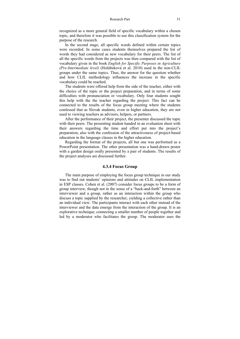recognized as a more general field of specific vocabulary within a chosen topic, and therefore it was possible to use this classification system for the purpose of the research.

In the second stage, all specific words defined within certain topics were recorded. In some cases students themselves prepared the list of words they had considered as new vocabulary for their peers. The list of all the specific words from the projects was then compared with the list of vocabulary given in the book *English for Specific Purposes in Agriculture (Pre-Intermediate level)* (Holúbeková et al. 2010) used in the non-CLIL groups under the same topics. Thus, the answer for the question whether and how CLIL methodology influences the increase in the specific vocabulary could be reached.

The students were offered help from the side of the teacher, either with the choice of the topic or the project preparation, and in terms of some difficulties with pronunciation or vocabulary. Only four students sought this help with the the teacher regarding the project. This fact can be connected to the results of the focus group meeting where the students confessed that as Slovak students, even in higher education, they are not used to viewing teachers as advisors, helpers, or partners.

After the performance of their project, the presenter discussed the topic with their peers. The presenting student handed in an evaluation sheet with their answers regarding the time and effort put into the project's preparation, also with the confession of the attractiveness of project-based education in the language classes in the higher education.

Regarding the format of the projects, all but one was performed as a PowerPoint presentation. The other presentation was a hand-drawn poster with a garden design orally presented by a pair of students. The results of the project analyses are discussed further.

## **4.3.4 Focus Group**

The main purpose of employing the focus group technique in our study was to find out students' opinions and attitudes on CLIL implementation in ESP classes. Cohen et al. (2007) consider focus groups to be a form of group interview, though not in the sense of a "back-and-forth" between an interviewer and a group, rather as an interaction within the group who discuss a topic supplied by the researcher, yielding a collective rather than an individual view. The participants interact with each other instead of the interviewer and the data emerge from the interaction of the group. It is an explorative technique, connecting a smaller number of people together and led by a moderator who facilitates the group. The moderator uses the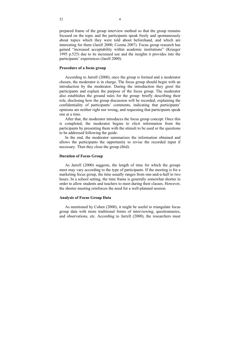prepared frame of the group interview method so that the group remains focused on the topic and the participants speak freely and spontaneously about topics which they were told about beforehand, and which are interesting for them (Jarell 2000; Cozma 2007). Focus group research has gained "increased acceptability within academic institutions" (Krueger 1995 p.525) due to its increased use and the insights it provides into the participants' experiences (Jarell 2000).

## **Procedure of a focus group**

According to Jarrell (2000), once the group is formed and a moderator chosen, the moderator is in charge. The focus group should begin with an introduction by the moderator. During the introduction they greet the participants and explain the purpose of the focus group. The moderator also establishes the ground rules for the group: briefly describing their role, disclosing how the group discussion will be recorded, explaining the confidentiality of participants' comments, indicating that participants' opinions are neither right nor wrong, and requesting that participants speak one at a time.

After that, the moderator introduces the focus group concept. Once this is completed, the moderator begins to elicit information from the participants by presenting them with the stimuli to be used or the questions to be addressed following the guide.

In the end, the moderator summarizes the information obtained and allows the participants the opportunity to revise the recorded input if necessary. Then they close the group (ibid).

#### **Duration of Focus Group**

As Jarrell (2000) suggests, the length of time for which the groups meet may vary according to the type of participants. If the meeting is for a marketing focus group, the time usually ranges from one-and-a-half to two hours. In a school setting, the time frame is generally somewhat shorter in order to allow students and teachers to meet during their classes. However, the shorter meeting reinforces the need for a well-planned session.

## **Analysis of Focus Group Data**

As mentioned by Cohen (2000), it might be useful to triangulate focus group data with more traditional forms of interviewing, questionnaires, and observations, etc. According to Jarrell (2000), the researchers must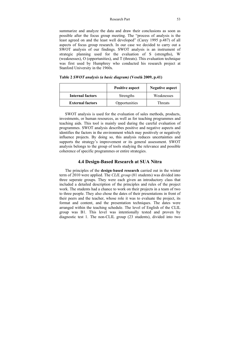summarize and analyze the data and draw their conclusions as soon as possible after the focus group meeting. The "process of analysis is the least agreed on and the least well developed" (Carey 1995 p.487) of all aspects of focus group research. In our case we decided to carry out a SWOT analysis of our findings. SWOT analysis is an instrument of strategic planning used for the evaluation of S (strengths), W (weaknesses), O (opportunities), and T (threats). This evaluation technique was first used by Humphrey who conducted his research project at Stanford University in the 1960s.

|                         | <b>Positive aspect</b> | <b>Negative aspect</b> |
|-------------------------|------------------------|------------------------|
| <b>Internal factors</b> | Strengths              | Weaknesses             |
| <b>External factors</b> | Opportunities          | Threats                |

**Table 2** *SWOT analysis (a basic diagram)* **(Veselá 2009, p.41)** 

SWOT analysis is used for the evaluation of sales methods, products, investments, or human resources, as well as for teaching programmes and teaching aids. This tool is mainly used during the careful evaluation of programmes. SWOT analysis describes positive and negative aspects and identifies the factors in the environment which may positively or negatively influence projects. By doing so, this analysis reduces uncertainties and supports the strategy's improvement or its general assessment. SWOT analysis belongs to the group of tools studying the relevance and possible coherence of specific programmes or entire strategies.

# **4.4 Design-Based Research at SUA Nitra**

The principles of the **design**-**based research** carried out in the winter term of 2010 were applied. The *CLIL group* (81 students) was divided into three seperate groups. They were each given an introductory class that included a detailed description of the principles and rules of the project work. The students had a chance to work on their projects in a team of two to three people. They also chose the dates of their presentations in front of their peers and the teacher, whose role it was to evaluate the project, its format and content, and the presentation techniques. The dates were arranged within the teaching schedule. The level of English of the CLIL group was B1. This level was intentionally tested and proven by diagnostic test 1. The non-CLIL group (23 students), divided into two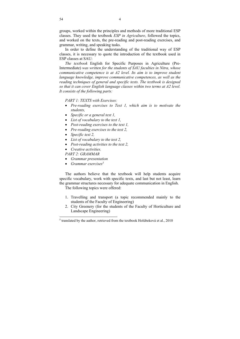groups, worked within the principles and methods of more traditional ESP classes. They used the textbook *ESP in Agriculture*, followed the topics, and worked on the texts, the pre-reading and post-reading exercises, and grammar, writing, and speaking tasks.

In order to define the understanding of the traditional way of ESP classes, it is necessary to quote the introduction of the textbook used in ESP classes at SAU:

*The textbook* English for Specific Purposes in Agriculture (Pre-Intermediate) *was written for the students of SAU faculties in Nitra, whose communicative competence is at A2 level. Its aim is to improve student language knowledge, improve communicative competences, as well as the reading techniques of general and specific texts. The textbook is designed so that it can cover English language classes within two terms at A2 level. It consists of the following parts:* 

*PART 1: TEXTS with Exercises:* 

- *Pre-reading exercises to Text 1, which aim is to motivate the students,*
- *Specific or a general text 1,*
- *List of vocabulary to the text 1,*
- *Post-reading exercises to the text 1,*
- *Pre-reading exercises to the text 2,*
- *Specific text 2,*
- *List of vocabulary to the text 2,*
- *Post-reading activities to the text 2,*
- *Creative activities.*

*PART 2: GRAMMAR* 

- *Grammar presentation*
- *Grammar exercises5*

The authors believe that the textbook will help students acquire specific vocabulary, work with specific texts, and last but not least, learn the grammar structures necessary for adequate communication in English.

The following topics were offered:

- 1. Travelling and transport (a topic recommended mainly to the students of the Faculty of Engineering)
- 2. City Greenery (for the students of the Faculty of Horticulture and Landscape Engineering)

<sup>5</sup> translated by the author, retrieved from the textbook Holúbeková et al., 2010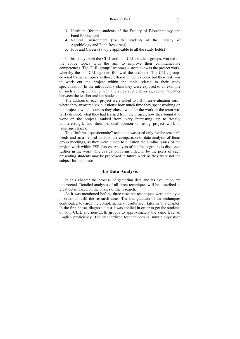#### Research Part 55

- 3. Nutrition (for the students of the Faculty of Biotechnology and Food Production)
- 4. Natural Environment (for the students of the Faculty of Agrobiology and Food Resources)
- 5. Jobs and Careers (a topic applicable to all the study fields)

In this study, both the CLIL and non-CLIL student groups, worked on the above topics with the aim to improve their communicative competences. The CLIL groups' *working instrument* was the project work, whereby the non-CLIL groups followed the textbook. The CLIL groups covered the same topics as those offered in the textbook but their task was to work out the project within the topic related to their study specialization. In the introductory class they were exposed to an example of such a project, along with the rules and criteria agreed on together between the teacher and the students.

The authors of each project were asked to fill in an evaluation form, where they answered six questions: how much time they spent working on the projects, which sources they chose, whether the work in the team was fairly divided, what they had learned from the project, how they found it to work on the project (ranked from 'very interesting' up to 'totally uninteresting'), and their personal opinion on using project work in language classes.

This "informal questionnaire" technique was used only for the teacher's needs and as a helpful tool for the comparison of data analysis of focus group meetings, as they were aimed to question the similar issues of the project work within ESP classes. Analysis of the focus groups is discussed further in the work. The evaluation forms filled in by the peers of each presenting students may be processed in future work as they were not the subject for this thesis.

# **4.5 Data Analysis**

In this chapter the process of gathering data and its evaluation are interpreted. Detailed analyses of all three techniques will be described in great detail based on the phases of the research.

As it was mentioned before, three research techniques were employed in order to fulfil the research aims. The triangulation of the techniques contributed towards the complementary results seen later in this chapter. In the first phase, diagnostic test 1 was applied in order to get the students of both CLIL and non-CLIL groups to approximately the same level of English proficiency. The standardized test includes 60 multiple-question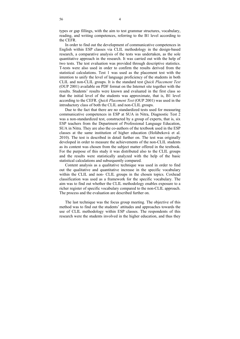types or gap fillings, with the aim to test grammar structures, vocabulary, reading, and writing competences, referring to the B1 level according to the CEFR.

In order to find out the development of communicative competences in English within ESP classes via CLIL methodology in the design-based research, a comparative analysis of the tests was undertaken, as the sole quantitative approach in the research. It was carried out with the help of two tests. The test evaluation was provided through descriptive statistics. T-tests were also used in order to confirm the results derived from the statistical calculations. Test 1 was used as the placement test with the intention to unify the level of language proficiency of the students in both CLIL and non-CLIL groups. It is the standard test *Quick Placement Test*  (OUP 2001) available on PDF format on the Internet site together with the results. Students' results were known and evaluated in the first class so that the initial level of the students was approximate, that is, B1 level according to the CEFR. *Quick Placement Test* (OUP 2001) was used in the introductory class of both the CLIL and non-CLIL groups.

Due to the fact that there are no standardized tests used for measuring communicative competences in ESP at SUA in Nitra, Diagnostic Test 2 was a non-standardized test, constructed by a group of experts, that is, six ESP teachers from the Department of Professional Language Education, SUA in Nitra. They are also the co-authors of the textbook used in the ESP classes at the same institution of higher education (Holúbeková et al. 2010). The test is described in detail further on. The test was originally developed in order to measure the achievements of the non-CLIL students as its content was chosen from the subject matter offered in the textbook. For the purpose of this study it was distributed also to the CLIL groups and the results were statistically analyzed with the help of the basic statistical calculations and subsequently compared.

Content analysis as a qualitative technique was used in order to find out the qualitative and quantitative increase in the specific vocabulary within the CLIL and non- CLIL groups in the chosen topics. Coxhead classification was used as a framework for the specific vocabulary. The aim was to find out whether the CLIL methodology enables exposure to a richer register of specific vocabulary compared to the non-CLIL approach. The process and the evaluation are described further on.

The last technique was the focus group meeting. The objective of this method was to find out the students' attitudes and approaches towards the use of CLIL methodology within ESP classes. The respondents of this research were the students involved in the higher education, and thus they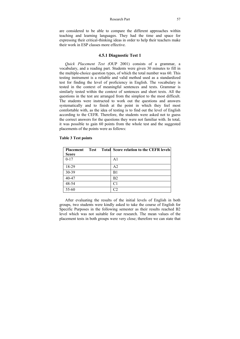### Research Part 57

are considered to be able to compare the different approaches within teaching and learning languages. They had the time and space for expressing their critical-thinking ideas in order to help their teachers make their work in ESP classes more effective.

# **4.5.1 Diagnostic Test 1**

*Quick Placement Test (*OUP 2001) consists of a grammar, a vocabulary, and a reading part. Students were given 30 minutes to fill in the multiple-choice question types, of which the total number was 60. This testing instrument is a reliable and valid method used as a standardized test for finding the level of proficiency in English. The vocabulary is tested in the context of meaningful sentences and texts. Grammar is similarly tested within the context of sentences and short texts. All the questions in the test are arranged from the simplest to the most difficult. The students were instructed to work out the questions and answers systematically and to finish at the point in which they feel most comfortable with, as the idea of testing is to find out the level of English according to the CEFR. Therefore, the students were asked not to guess the correct answers for the questions they were not familiar with. In total, it was possible to gain 60 points from the whole test and the suggested placements of the points were as follows:

| <b>Placement</b> | Test | <b>Total Score relation to the CEFR levels</b> |
|------------------|------|------------------------------------------------|
| <b>Score</b>     |      |                                                |
| $0 - 17$         |      | A1                                             |
| 18-29            |      | A <sub>2</sub>                                 |
| 30-39            |      | B1                                             |
| 40-47            |      | B <sub>2</sub>                                 |
| 48-54            |      | C1                                             |
| 55-60            |      |                                                |

## **Table 3 Test points**

After evaluating the results of the initial levels of English in both groups, two students were kindly asked to take the course of English for Specific Purposes in the following semester as their results reached B2 level which was not suitable for our research. The mean values of the placement tests in both groups were very close; therefore we can state that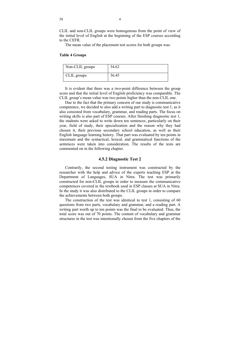CLIL and non-CLIL groups were homogenous from the point of view of the initial level of English at the beginning of the ESP courses according to the CEFR.

The mean value of the placement test scores for both groups was:

## **Table 4 Groups**

| Non-CLIL groups | 34.62 |
|-----------------|-------|
| CLIL groups     | 36.45 |

It is evident that there was a two-point difference between the group score and that the initial level of English proficiency was comparable. The CLIL group's mean value was two points higher than the non-CLIL one.

Due to the fact that the primary concern of our study is communicative competence, we decided to also add a writing part to diagnostic test 1, as it also consisted from vocabulary, grammar, and reading parts. The focus on writing skills is also part of ESP courses. After finishing diagnostic test 1, the students were asked to write down ten sentences, particularly on their year, field of study, their specialization and the reason why they had chosen it, their previous secondary school education, as well as their English language learning history. That part was evaluated by ten points in maximum and the syntactical, lexical, and grammatical functions of the sentences were taken into consideration. The results of the tests are commented on in the following chapter.

## **4.5.2 Diagnostic Test 2**

Contrarily, the second testing instrument was constructed by the researcher with the help and advice of the experts teaching ESP at the Department of Languages, SUA in Nitra. The test was primarily constructed for non-CLIL groups in order to measure the communicative competences covered in the textbook used in ESP classes at SUA in Nitra. In the study it was also distributed to the CLIL groups in order to compare the achievements between both groups.

The construction of the test was identical to test 1, consisting of 60 questions from two parts, vocabulary and grammar, and a reading part. A writing part worth up to ten points was the final to be evaluated. Thus, the total score was out of 70 points. The content of vocabulary and grammar structures in the test was intentionally chosen from the five chapters of the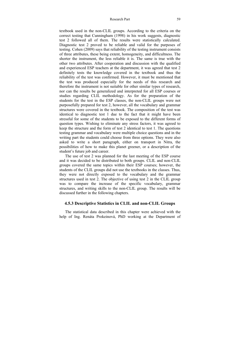### Research Part 59

textbook used in the non-CLIL groups. According to the criteria on the correct testing that Cunningham (1998) in his work suggests, diagnostic test 2 followed all of them. The results were statistically calculated. Diagnostic test 2 proved to be reliable and valid for the purposes of testing. Cohen (2009) says that reliability of the testing instrument consists of three attributes, these being extent, homogeneity, and difficultness. The shorter the instrument, the less reliable it is. The same is true with the other two attributes. After cooperation and discussion with the qualified and experienced ESP teachers at the department, it was agreed that test 2 definitely tests the knowledge covered in the textbook and thus the reliability of the test was confirmed. However, it must be mentioned that the test was produced especially for the needs of this research and therefore the instrument is not suitable for other similar types of research, nor can the results be generalized and interpreted for all ESP courses or studies regarding CLIL methodology. As for the preparation of the students for the test in the ESP classes, the non-CLIL groups were not purposefully prepared for test 2, however, all the vocabulary and grammar structures were covered in the textbook. The composition of the test was identical to diagnostic test 1 due to the fact that it might have been stressful for some of the students to be exposed to the different forms of question types. Wishing to eliminate any stress factors, it was agreed to keep the structure and the form of test 2 identical to test 1. The questions testing grammar and vocabulary were multiple choice questions and in the writing part the students could choose from three options. They were also asked to write a short paragraph, either on transport in Nitra, the possibilities of how to make this planet greener, or a description of the student's future job and career.

The use of test 2 was planned for the last meeting of the ESP course and it was decided to be distributed to both groups. CLIL and non-CLIL groups covered the same topics within their ESP courses; however, the students of the CLIL groups did not use the textbooks in the classes. Thus, they were not directly exposed to the vocabulary and the grammar structures used in test 2. The objective of using test 2 in the CLIL group was to compare the increase of the specific vocabulary, grammar structures, and writing skills to the non-CLIL group. The results will be discussed further in the following chapters.

# **4.5.3 Descriptive Statistics in CLIL and non-CLIL Groups**

The statistical data described in this chapter were achieved with the help of Ing. Renáta Prokeinová, PhD working at the Department of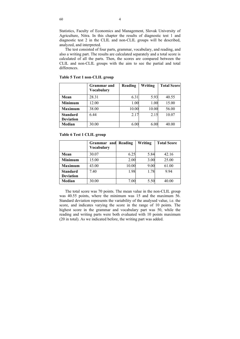Statistics, Faculty of Economics and Management, Slovak University of Agriculture, Nitra. In this chapter the results of diagnostic test 1 and diagnostic test 2 in the CLIL and non-CLIL groups will be described, analyzed, and interpreted.

The test consisted of four parts, grammar, vocabulary, and reading, and also a writing part. The results are calculated separately and a total score is calculated of all the parts. Then, the scores are compared between the CLIL and non-CLIL groups with the aim to see the partial and total differences.

|                  | <b>Grammar</b> and<br><b>Vocabulary</b> | Reading | Writing | <b>Total Score</b> |
|------------------|-----------------------------------------|---------|---------|--------------------|
| Mean             | 28.31                                   | 6.31    | 5.93    | 40.55              |
| <b>Minimum</b>   | 12.00                                   | 1.00    | 1.00    | 15.00              |
| <b>Maximum</b>   | 38.00                                   | 10.00   | 10.00   | 56.00              |
| <b>Standard</b>  | 6.44                                    | 2.17    | 2.15    | 10.07              |
| <b>Deviation</b> |                                         |         |         |                    |
| Median           | 30.00                                   | 6.00    | 6.00    | 40.00              |

**Table 5 Test 1 non**-**CLIL group** 

**Table 6 Test 1 CLIL group** 

|                  | Grammar and<br><b>Vocabulary</b> | Reading | Writing | <b>Total Score</b> |
|------------------|----------------------------------|---------|---------|--------------------|
| Mean             | 30.07                            | 6.25    | 5.84    | 42.16              |
| <b>Minimum</b>   | 15.00                            | 2.00    | 3.00    | 25.00              |
| <b>Maximum</b>   | 43.00                            | 10.00   | 9.00    | 61.00              |
| <b>Standard</b>  | 7.40                             | 1.98    | 1.78    | 9.94               |
| <b>Deviation</b> |                                  |         |         |                    |
| Median           | 30.00                            | 7.00    | 5.50    | 40.00              |

The total score was 70 points. The mean value in the non-CLIL group was 40.55 points, where the minimum was 15 and the maximum 56. Standard deviation represents the variability of the analysed value, i.e. the score, and indicates varying the score in the range of 10 points. The highest score in the grammar and vocabulary part was 50, while the reading and writing parts were both evaluated with 10 points maximum (20 in total). As we indicated before, the writing part was added.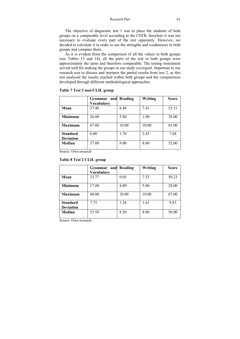The objective of diagnostic test 1 was to place the students of both groups on a comparable level according to the CEFR, therefore it was not necessary to evaluate every part of the test separately. However, we decided to calculate it in order to see the strengths and weaknesses in both groups and compare them.

As it is evident from the comparison of all the values in both groups (see Tables 13 and 14), all the parts of the test in both groups were approximately the same and therefore comparable. The testing instrument served well for making the groups in our study covergent. Important to our research was to discuss and interpret the partial results from test 2, as this test analysed the results reached within both groups and the competences developed through different methodological approaches.

|                                     | and<br><b>Grammar</b><br>Vocabularv | Reading | Writing | <b>Score</b> |
|-------------------------------------|-------------------------------------|---------|---------|--------------|
| Mean                                | 37.48                               | 8.48    | 7.41    | 53.31        |
| <b>Minimum</b>                      | 26.00                               | 5.00    | 1.00    | 38.00        |
| <b>Maximum</b>                      | 47.00                               | 10.00   | 10.00   | 65.00        |
| <b>Standard</b><br><b>Deviation</b> | 6.00                                | 1.70    | 2.43    | 7.68         |
| Median                              | 37.00                               | 9.00    | 8.00    | 52.00        |

**Table 7 Test 2 non-CLIL group** 

Source: Own research

# **Table 8 Test 2 CLIL group**

|                                     | and<br>Grammar<br>Vocabulary | Reading | Writing | <b>Score</b> |
|-------------------------------------|------------------------------|---------|---------|--------------|
| Mean                                | 33.77                        | 9.05    | 7.52    | 50.23        |
| <b>Minimum</b>                      | 17.00                        | 4.00    | 5.00    | 28.00        |
| <b>Maximum</b>                      | 48.00                        | 10.00   | 10.00   | 67.00        |
| <b>Standard</b><br><b>Deviation</b> | 7.75                         | 1.38    | 1.61    | 9.83         |
| Median                              | 33.50                        | 9.50    | 8.00    | 50.00        |

Source: Own research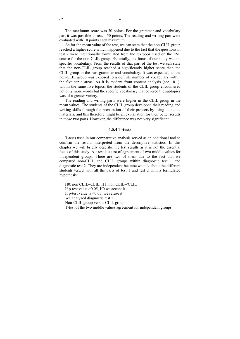The maximum score was 70 points. For the grammar and vocabulary part it was possible to reach 50 points. The reading and writing part were evaluated with 10 points each maximum.

As for the mean value of the test, we can state that the non-CLIL group reached a higher score which happened due to the fact that the questions in test 2 were intentionally formulated from the textbook used on the ESP course for the non-CLIL group. Especially, the focus of our study was on specific vocabulary. From the results of that part of the test we can state that the non-CLIL group reached a significantly higher score than the CLIL group in the part grammar and vocabulary. It was expected, as the non-CLIL group was exposed to a definite number of vocabulary within the five topic areas. As it is evident from content analysis (see 10.1), within the same five topics, the students of the CLIL group encountered not only more words but the specific vocabulary that covered the subtopics was of a greater variety.

The reading and writing parts were higher in the CLIL group in the mean values. The students of the CLIL group developed their reading and writing skills through the preparation of their projects by using authentic materials, and this therefore might be an explanation for their better results in those two parts. However, the difference was not very significant.

# **4.5.4 T-tests**

T-tests used in our comparative analysis served as an additional tool to confirm the results interpreted from the descriptive statistics. In this chapter we will briefly describe the test results as it is not the essential focus of this study. A *t-test* is a test of agreement of two middle values for independent groups. There are two of them due to the fact that we compared non-CLIL and CLIL groups within diagnostic test 1 and diagnostic test 2. They are independent because we talk about the different students tested with all the parts of test 1 and test 2 with a formulated hypothesis:

H0: non CLIL=CLIL, H1: non CLIL=/CLIL If p-test value  $>0.05$ , H0 we accept it If p-test value is <0.05, we refuse it We analyzed diagnostic test 1 Non-CLIL group versus CLIL group T-test of the two middle values agreement for independent groups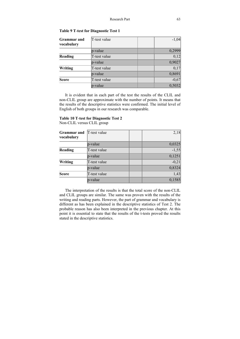| <b>Grammar</b> and<br>vocabulary | T-test value |  | $-1,04$           |
|----------------------------------|--------------|--|-------------------|
|                                  | p-value      |  | 0,2999            |
| Reading                          | T-test value |  | 0,12              |
|                                  | p-value      |  | 0,9027            |
| Writing                          | T-test value |  | $\overline{0,17}$ |
|                                  | p-value      |  | 0,8691            |
| <b>Score</b>                     | T-test value |  | $-0,67$           |
|                                  | p-value      |  | 0,5032            |

**Table 9 T**-**test for Diagnostic Test 1** 

It is evident that in each part of the test the results of the CLIL and non-CLIL group are approximate with the number of points. It means that the results of the descriptive statistics were confirmed. The initial level of English of both groups in our research was comparable.

# **Table 10 T**-**test for Diagnostic Test 2**

Non-CLIL versus CLIL group

| <b>Grammar</b> and<br>vocabulary | T-test value | 2,18    |
|----------------------------------|--------------|---------|
|                                  | p-value      | 0,0325  |
| Reading                          | T-test value | $-1,55$ |
|                                  | p-value      | 0,1251  |
| Writing                          | T-test value | $-0,21$ |
|                                  | p-value      | 0,8324  |
| <b>Score</b>                     | T-test value | 1,43    |
|                                  | p-value      | 0,1585  |

The interpretation of the results is that the total score of the non-CLIL and CLIL groups are similar. The same was proven with the results of the writing and reading parts. However, the part of grammar and vocabulary is different as has been explained in the descriptive statistics of Test 2. The probable reason has also been interpreted in the previous chapter. At this point it is essential to state that the results of the t-tests proved the results stated in the descriptive statistics.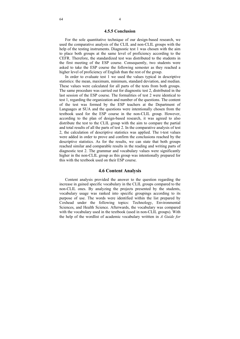### **4.5.5 Conclusion**

For the sole quantitative technique of our design-based research, we used the comparative analysis of the CLIL and non-CLIL groups with the help of the testing instruments. Diagnostic test 1 was chosen with the aim to place both groups at the same level of proficiency according to the CEFR. Therefore, the standardized test was distributed to the students in the first meeting of the ESP course. Consequently, two students were asked to take the ESP course the following semester as they reached a higher level of proficiency of English than the rest of the group.

In order to evaluate test 1 we used the values typical in descriptive statistics: the mean, maximum, minimum, standard deviation, and median. These values were calculated for all parts of the tests from both groups. The same procedure was carried out for diagnostic test 2, distributed in the last session of the ESP course. The formalities of test 2 were identical to test 1, regarding the organization and number of the questions. The content of the test was formed by the ESP teachers at the Department of Languages at SUA and the questions were intentionally chosen from the textbook used for the ESP course in the non-CLIL group. However, according to the plan of design-based research, it was agreed to also distribute the test to the CLIL group with the aim to compare the partial and total results of all the parts of test 2. In the comparative analysis of test 2, the calculation of descriptive statistics was applied. The t-test values were added in order to prove and confirm the conclusions reached by the descriptive statistics. As for the results, we can state that both groups reached similar and comparable results in the reading and writing parts of diagnostic test 2. The grammar and vocabulary values were significantly higher in the non-CLIL group as this group was intentionally prepared for this with the textbook used on their ESP course.

# **4.6 Content Analysis**

Content analysis provided the answer to the question regarding the increase in gained specific vocabulary in the CLIL groups compared to the non-CLIL ones. By analyzing the projects presented by the students, vocabulary usage was ranked into specific groupings according to its purpose of use. The words were identified within the list prepared by Coxhead under the following topics: Technology, Environmental Sciences, and Health Science. Afterwards, the vocabulary was compared with the vocabulary used in the textbook (used in non-CLIL groups). With the help of the wordlist of academic vocabulary writtten in *A Guide for*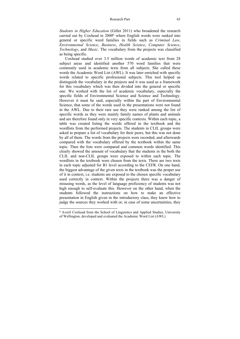### Research Part 65

*Students in Higher Education* (Gillet 2011) who broadened the research carried out by Coxhead in 2000<sup>6</sup> where English words were ranked into general or specific word families in fields such as *Criminal Law*, *Environmental Science*, *Business*, *Health Science*, *Computer Science*, *Technology*, and *Music*. The vocabulary from the projects was classified as being specific.

Coxhead studied over 3.5 million words of academic text from 28 subject areas and identified another 570 word families that were commonly used in academic texts from all subjects. She called these words the Academic Word List (AWL). It was later enriched with specific words related to specific professional subjects. This tool helped us distinguish the vocabulary in the projects and it was used as a framework for this vocabulary which was then divided into the general or specific one. We worked with the list of academic vocabulary, especially the specific fields of Environmental Science and Science and Technology. However it must be said, especially within the part of Environmental Science, that some of the words used in the presentations were not found in the AWL. Due to their rare use they were ranked among the list of specific words as they were mainly family names of plants and animals and are therefore found only in very specific contexts. Within each topic, a table was created listing the words offered in the textbook and the wordlists from the performed projects. The students in CLIL groups were asked to prepare a list of vocabulary for their peers, but this was not done by all of them. The words from the projects were recorded, and afterwards compared with the vocabulary offered by the textbook within the same topic. Then the lists were compared and common words identified. This clearly showed the amount of vocabulary that the students in the both the CLIL and non-CLIL groups were exposed to within each topic. The wordlists in the textbook were chosen from the texts. There are two texts in each topic adjusted for B1 level according to the CEFR. On one hand, the biggest advantage of the given texts in the textbook was the proper use of it in context, i.e. students are exposed to the chosen specific vocabulary used correctly in context. Within the projects there was a danger of misusing words, as the level of language proficiency of students was not high enough to self-evaluate this. However on the other hand, when the students followed the instructions on how to make an effective presentation in English given in the introductory class, they knew how to judge the sources they worked with or, in case of some uncertainties, they

<sup>6</sup> Averil Coxhead from the School of Linguistics and Applied Studies, University of Wellington, developed and evaluated the Academic Word List (AWL)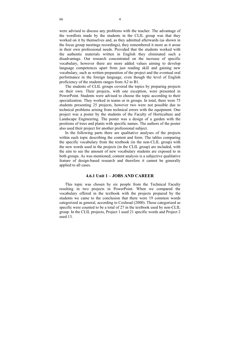were advised to discuss any problems with the teacher. The advantage of the wordlists made by the students in the CLIL group was that they worked on it by themselves and, as they admitted afterwards (as shown in the focus group meetings recordings), they remembered it more as it arose in their own professional needs. Provided that the students worked with the authentic materials written in English they eliminated such a disadvantage. Our research concentrated on the increase of specific vocabulary, however there are more added values aiming to develop language competences apart from just reading skill and gaining new vocabulary, such as written preparation of the project and the eventual oral performance in the foreign language, even though the level of English proficiency of the students ranges from A2 to B1.

The students of CLIL groups covered the topics by preparing projects on their own. Their projects, with one exception, were presented in PowerPoint. Students were advised to choose the topic according to their specialization. They worked in teams or in groups. In total, there were 75 students presenting 25 projects, however two were not possible due to technical problems arising from technical errors with the equipment. One project was a poster by the students of the Faculty of Horticulture and Landscape Engineering. The poster was a design of a garden with the positions of trees and plants with specific names. The authors of the poster also used their project for another professional subject.

In the following parts there are qualitative analyses of the projects within each topic describing the content and form. The tables comparing the specific vocabulary from the textbook (in the non-CLIL group) with the new words used in the projects (in the CLIL group) are included, with the aim to see the amount of new vocabulary students are exposed to in both groups. As was mentioned, content analysis is a subjective qualitative feature of design-based research and therefore it cannot be generally applied to all cases.

# **4.6.1 Unit 1 – JOBS AND CAREER**

This topic was chosen by six people from the Technical Faculty resulting in two projects in PowerPoint. When we compared the vocabulary offered in the textbook with the projects prepared by the students we came to the conclusion that there were 19 common words categorized as general, according to Coxhead (2000). Those categorized as specific were counted to be a total of 27 in the textbook used by non-CLIL group. In the CLIL projects, Project 1 used 21 specific words and Project 2 used 13.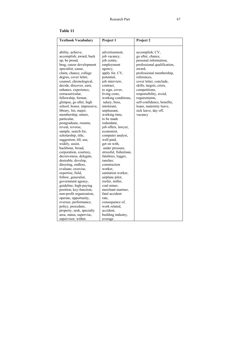# **Table 11**

| <b>Textbook Vocabulary</b> | Project 1             | Project 2                   |
|----------------------------|-----------------------|-----------------------------|
| ability, achieve,          | advertisement,        | accomplish, CV,             |
| accomplish, award, back    | job vacancy,          | go after, chance,           |
| up, be proud,              | job centre,           | personal information,       |
| brag, career development   | employment            | professional qualification, |
| specialist, cause,         | agency,               | award,                      |
| claim, chance, college     | apply for, CV,        | professional membership,    |
| degree, cover letter,      | potential,            | references,                 |
| counsel, chronological,    | job interview,        | cover letter, conclude,     |
| decide, discover, earn,    | contract,             | skills, targets, crisis,    |
| enhance, experience,       | to sign, cover,       | competitions,               |
| extracurricular,           | living costs,         | responsibility, avoid,      |
| fellowship, format,        | working conditions,   | requirements,               |
| glimpse, go after, high    | salary, boss,         | self-confidence, benefits,  |
| school, honor, impressive, | intolerant,           | loans, maternity leave,     |
| library, list, major,      | unpleasant,           | sick leave, day off,        |
| membership, minor,         | working time,         | vacancy                     |
| particular,                | to be made            |                             |
| postgraduate, resume,      | redundant,            |                             |
| reveal, reverse,           | job offers, lawyer,   |                             |
| sample, search for,        | economist,            |                             |
| scholarship, title,        | computer analyst,     |                             |
| suggestion, till, use,     | well-paid,            |                             |
| widely, assist,            | get on with,          |                             |
| backbone, broad,           | under pressure,       |                             |
| corporation, courtesy,     | stressful, fisherman, |                             |
| decisiveness, delegate,    | fatalities, logger,   |                             |
| desirable, develop,        | rancher,              |                             |
| directing, endless,        | construction          |                             |
| evaluate, exercise,        | worker,               |                             |
| expertise, field,          | sanitation worker,    |                             |
| follow, generalist,        | airplane pilot,       |                             |
| government agency,         | roofer, miller,       |                             |
| guideline, high-paying     | coal miner,           |                             |
| position, key-function,    | merchant mariner,     |                             |
| non-profit organization,   | fatal accident        |                             |
| operate, opportunity,      | rate,                 |                             |
| oversee, performance,      | consequence of,       |                             |
| policy, procedure,         | work related,         |                             |
| property, seek, specialty  | accident,             |                             |
| area, status, supervise,   | building industry,    |                             |
| supervisor, within         | average               |                             |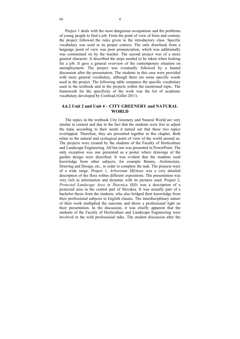Project 1 deals with the most dangerous occupations and the problems of young people to find a job. From the point of view of form and content, the project followed the rules given in the introductory class. Specific vocabulary was used in its proper context. The only drawback from a language point of view was poor pronunciation, which was additionally was commented on by the teacher. The second project was of a more general character. It described the steps needed to be taken when looking for a job. It gave a general overview of the contemporary situation on unemployment. The project was eventually followed by a heated discussion after the presentation. The students in this case were provided with more general vocabulary, although there are some specific words used in the project. The following table compares the specific vocabulary used in the textbook and in the projects within the mentioned topic. The framework for the specificity of the work was the list of academic vocabulary developed by Coxhead (Gillet 2011).

# **4.6.2 Unit 2 and Unit 4 – CITY GREENERY and NATURAL WORLD**

The topics in the textbook City Greenery and Natural World are very similar in content and due to the fact that the students were free to adjust the topic according to their needs it turned out that these two topics overlapped. Therefore, they are presented together in this chapter. Both relate to the natural and ecological point of view of the world around us. The projects were created by the students of the Faculty of Horticulture and Landscape Engineering. All but one was presented in PowerPoint. The only exception was one presented as a poster where drawings of the garden design were described. It was evident that the students used knowledge from other subjects, for example Botany, Architecture, Drawing and Design, etc., in order to complete the task. The projects were of a wide range. Project 1, *Arboretum Mlýňany* was a very detailed description of the flora within different expositions. The presentation was very rich in information and dynamic with its pictures used. Project 2, *Protected Landscape Area in Štiavnica Hills* was a description of a protected area in the central part of Slovakia. It was actually part of a bachelor thesis from the students, who also bridged their knowledge from their professional subjects in English classes. The interdisciplinary nature of their work multiplied the outcome and threw a professional light on their presentation. In the discussion, it was chiefly apparent that the students of the Faculty of Horticulture and Landscape Engineering were involved in the wild professional talks. The student discussion after the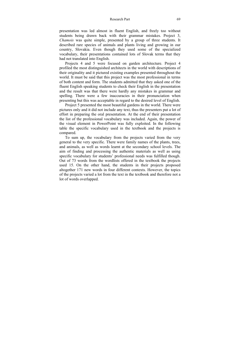### Research Part 69

presentation was led almost in fluent English, and freely too without students being drawn back with their grammar mistakes. Project 3, *Chamois* was quite simple, presented by a group of three students. It described rare species of animals and plants living and growing in our country, Slovakia. Even though they used some of the specialized vocabulary, their presentations contained lots of Slovak terms that they had not translated into English.

Projects 4 and 5 were focused on garden architecture. Project 4 profiled the most distinguished architects in the world with descriptions of their originality and it pictured existing examples presented throughout the world. It must be said that this project was the most professional in terms of both content and form. The students admitted that they asked one of the fluent English speaking students to check their English in the presentation and the result was that there were hardly any mistakes in grammar and spelling. There were a few inaccuracies in their pronunciation when presenting but this was acceptable in regard to the desired level of English.

Project 5 presented the most beautiful gardens in the world. There were pictures only and it did not include any text, thus the presenters put a lot of effort in preparing the oral presentation. At the end of their presentation the list of the professional vocabulary was included. Again, the power of the visual element in PowerPoint was fully exploited. In the following table the specific vocabulary used in the textbook and the projects is compared.

To sum up, the vocabulary from the projects varied from the very general to the very specific. There were family names of the plants, trees, and animals, as well as words learnt at the secondary school levels. The aim of finding and processing the authentic materials as well as using specific vocabulary for students' professional needs was fulfilled though. Out of 73 words from the wordlists offered in the textbook the projects used 15. On the other hand, the students in their projects proposed altogether 171 new words in four different contexts. However, the topics of the projects varied a lot from the text in the textbook and therefore not a lot of words overlapped.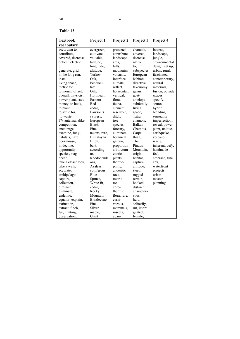# **Table 12**

| <b>Textbook</b>     | Project 1          | Project <sub>2</sub> | Project 3   | Project 4       |
|---------------------|--------------------|----------------------|-------------|-----------------|
| vocabulary          |                    |                      |             |                 |
| according to,       | evergreen,         | protected,           | chamois,    | intense,        |
| contribute,         | cultivate,         | contribute,          | covered,    | landscape,      |
| covered, decrease,  | valuable,          | landscape            | decrease,   | jungle,         |
| deflect, electric   | latitude,          | area,                | native      | environmental   |
| bill,               | longitude,         | hills.               | to,         | design, set up, |
| generate, grid,     | altitude,          | mountains            | subspecies  | urban, rural,   |
| in the long run,    | Turkey             | volcanic,            | European    | fascinated,     |
| install,            | Oak,               | interface,           | habitats    | contemporary,   |
| living space,       | Penducu-           | climate,             | directive,  | natural         |
| metric ton,         | late               | reflect,             | taxonomy,   | materials.      |
| to mount, offset,   | Oak,               | horizontal.          | genus,      | fusion, outside |
| overall, physicist, | Hornbeam           | vertical,            | goat-       | spaces,         |
| power plant, save   | Eastern            | flora,               | antelope    | specify,        |
| money, to hook,     | Red-               | fauna,               | subfamily,  | source,         |
| to plant,           | cedar,             | element,             | living      | hybrid,         |
| to settle for,      | Lawson's           | reservoir,           | space,      | blending,       |
| to waste.           | cypress,           | ditch,               | Tatra       | sensuality,     |
| TV antenna, alike,  | European           | tree                 | chamois.    | imperfection,   |
| competition,        | <b>Black</b>       | species,             | Balkan      | reveal, power   |
| encourage,          | Pine,              | forestry,            | Chamois,    | plant, unique,  |
| examine, fungi,     | taxons, rare,      | eliminate,           | Carpa-      | earthquake,     |
| habitats, hazel     | Himalayan          | botanical            | thian.      | volcano,        |
| doormouse,          | Birch,             | garden,              | The         | waste,          |
| in decline,         | bark,              | proportion           | Pindus      | inherent, defy, |
| opportunity,        | according          | arboretum            | Mountain,   | handmade        |
| species, stag       | to,                | exotic               | origin,     | feel.           |
| beetle,             | Rhododendr         | plants,              | habitat,    | embrace, fine   |
| take a closer look, | ons,               | thermo-              | capture,    | arts,           |
| take a walk,        | Azaleas,           | philic,              | altitude,   | waterfront      |
| accurate,           | coniferous,        | andesitic            | steep,      | projects,       |
| archipelago,        | Blue               | rock.                | rugged      | urban           |
| capture,            | Spruce,            | metric               | terrain,    | master          |
| collection,         | White fir,         | ton,                 | hooked,     | planning        |
| diminish,           | cedar,             | xero-                | distinct    |                 |
| eliminate,          | Rocky              | thermic              | characteri- |                 |
| endemic,            | Mountain           | flora, rare,         | stics,      |                 |
| equator, explain,   | <b>Bristlecone</b> | carni-               | herd,       |                 |
| extinction.         | Pine,              | vorous,              | solitarily, |                 |
| extract, finch,     | Silver             | mammals,             | rut, impre- |                 |
| fur, hunting,       | maple,             | insects,             | gnated,     |                 |
| observation.        | Giant              | aban-                | female,     |                 |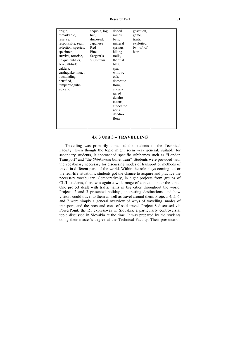| origin,<br>remarkable,<br>reserve,<br>responsible, seal,<br>selection, species,<br>specimen,  | sequoia, log<br>hut,<br>disposed,<br>Japanese<br>Red<br>Pine,<br>Sargent's | doned<br>mines,<br>bats,<br>mineral<br>springs,<br>hiking<br>trails,                                                            | gestation,<br>game,<br>traits,<br>exploited<br>by, tuft of<br>hair |  |
|-----------------------------------------------------------------------------------------------|----------------------------------------------------------------------------|---------------------------------------------------------------------------------------------------------------------------------|--------------------------------------------------------------------|--|
| caldera,<br>earthquake, intact,<br>outstanding,<br>petrified,<br>temperate, tribe,<br>volcano |                                                                            | spa,<br>willow,<br>oak,<br>domestic<br>flora,<br>endan-<br>gered<br>dendro-<br>taxons,<br>autochtho<br>nous<br>dendro-<br>flora |                                                                    |  |

# **4.6.3 Unit 3 – TRAVELLING**

Travelling was primarily aimed at the students of the Technical Faculty. Even though the topic might seem very general, suitable for secondary students, it approached specific subthemes such as "London Transport" and "the *Shinkansen* bullet train". Students were provided with the vocabulary necessary for discussing modes of transport or methods of travel in different parts of the world. Within the role-plays coming out or the real-life situations, students got the chance to acquire and practice the necessary vocabulary. Comparatively, in eight projects from groups of CLIL students, there was again a wide range of contexts under the topic. One project dealt with traffic jams in big cities throughout the world, Projects 2 and 3 presented holidays, interesting destinations, and how visitors could travel to them as well as travel around them. Projects 4, 5, 6, and 7 were simply a general overview of ways of travelling, modes of transport, and the pros and cons of said travel. Project 8 discussed via PowerPoint, the R1 expressway in Slovakia, a particularly controversial topic discussed in Slovakia at the time. It was prepared by the students doing their master's degree at the Technical Faculty. Their presentation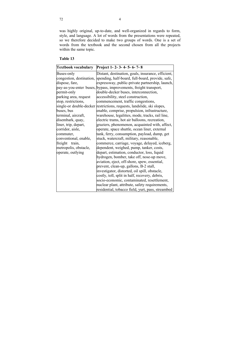was highly original, up-to-date, and well-organized in regards to form, style, and language. A lot of words from the presentations were repeated, so we therefore decided to make two groups of words. One is a set of words from the textbook and the second chosen from all the projects within the same topic.

# **Table 13**

| <b>Textbook vocabulary</b> | Project 1-2-3-4-5-6-7-8                                                   |
|----------------------------|---------------------------------------------------------------------------|
| Buses-only                 | Distant, destination, goals, insurance, efficient,                        |
|                            | congestion, destination, spending, half-board, full-board, provide, safe, |
| dispose, fare,             | expressway, public-private partnership, launch,                           |
|                            | pay-as-you-enter buses, bypass, improvements, freight transport,          |
| permit-only                | double-decker buses, interconnection,                                     |
| parking area, request      | accessibility, steel construction,                                        |
| stop, restrictions,        | commencement, traffic congestions,                                        |
|                            | single-or double-decker restrictions, requests, landslide, ski slopes,    |
| buses, bus                 | enable, comprise, propulsion, infrastructure,                             |
| terminal, aircraft,        | warehouse, legalities, mode, tracks, rail line,                           |
| disembark, quay,           | electric trams, hot air balloons, recreation,                             |
| liner, trip, depart,       | graziers, phenomenon, acquainted with, affect,                            |
| corridor, aisle,           | operate, space shuttle, ocean liner, external                             |
| commuter,                  | tank, ferry, consumption, payload, dump, get                              |
| conventional, enable,      | stuck, watercraft, military, reasonable,                                  |
| freight<br>train,          | commerce, carriage, voyage, delayed, iceberg,                             |
| metropolis, obstacle,      | dependent, weighed, pump, tanker, costs,                                  |
| operate, outlying          | depart, estimation, conductor, loss, liquid                               |
|                            | hydrogen, bomber, take off, nose-up move,                                 |
|                            | aviation, eject, off-shore, spew, essential,                              |
|                            | prevent, clean-up, gallons, B-2 stall,                                    |
|                            | investigator, distorted, oil spill, obstacle,                             |
|                            | costly, toll, split in half, recovery, debris,                            |
|                            | socio-economic, contaminated, resettlement,                               |
|                            | nuclear plant, attribute, safety requirements,                            |
|                            | residential, tobacco field, yurt, pass, streambed                         |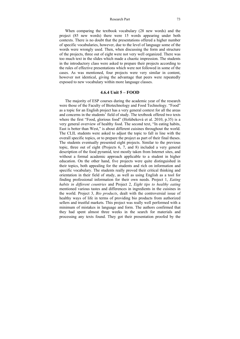### Research Part 73

When comparing the textbook vocabulary (28 new words) and the project (85 new words) there were 15 words appearing under both contexts. There is no doubt that the presentations offered a higher number of specific vocabularies, however, due to the level of language some of the words were wrongly used. Then, when discussing the form and structure of the projects, three out of eight were not very well organized. There was too much text in the slides which made a chaotic impression. The students in the introductory class were asked to prepare their projects according to the rules of effective presentations which were not followed in some of the cases. As was mentioned, four projects were very similar in content, however not identical, giving the advantage that peers were repeatedly exposed to new vocabulary within more language classes.

# **4.6.4 Unit 5 – FOOD**

The majority of ESP courses during the academic year of the research were those of the Faculty of Biotechnology and Food Technology. "Food" as a topic for an English project has a very general context for all the areas and concerns in the students' field of study. The textbook offered two texts where the first "Food, glorious food" (Holúbeková et al. 2010, p.35) is a very general overview of healthy food. The second text, "In eating habits, East is better than West," is about different cuisines throughout the world. The CLIL students were asked to adjust the topic to fall in line with the overall specific topics, or to prepare the project as part of their final theses. The students eventually presented eight projects. Similar to the previous topic, three out of eight (Projects 6, 7, and 8) included a very general description of the food pyramid, text mostly taken from Internet sites, and without a formal academic approach applicable to a student in higher education. On the other hand, five projects were quite distinguished in their topics, both appealing for the students and rich on information and specific vocabulary. The students really proved their critical thinking and orientation in their field of study, as well as using English as a tool for finding professional information for their own needs. Project 1, *Eating habits in different countries* and Project 2, *Eight tips to healthy eating*  mentioned various tastes and differences in ingredients in the cuisines in the world. Project 3, *Bio products*, dealt with the controversial issue of healthy ways of life in terms of providing bio products from authorized sellers and trustful markets. This project was really well performed with a minimum of mistakes in language and form. The authors confirmed that they had spent almost three weeks in the search for materials and processing any texts found. They got their presentation proofed by the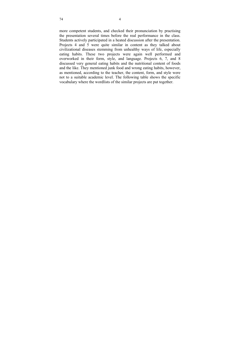more competent students, and checked their pronunciation by practising the presentation several times before the real performance in the class. Students actively participated in a heated discussion after the presentation. Projects 4 and 5 were quite similar in content as they talked about civilizational diseases stemming from unhealthy ways of life, especially eating habits. These two projects were again well performed and overworked in their form, style, and language. Projects 6, 7, and 8 discussed very general eating habits and the nutritional content of foods and the like. They mentioned junk food and wrong eating habits, however, as mentioned, according to the teacher, the content, form, and style were not to a suitable academic level. The following table shows the specific vocabulary where the wordlists of the similar projects are put together.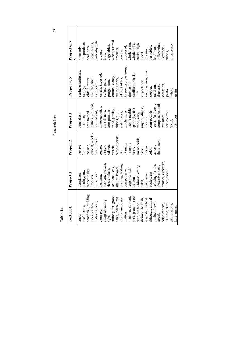| Textbook                              | Project 1                           | Project 2                  | Project 3                         | Project 4, 5           | Project 6, 7,                             |
|---------------------------------------|-------------------------------------|----------------------------|-----------------------------------|------------------------|-------------------------------------------|
| amount,                               | avoidance,                          | deprive                    | depend on,                        | replacementtissue,     |                                           |
| beef, beans,                          | poultry, raw,                       | from,                      | nutrition,                        | supply,                |                                           |
| beneficial, building                  | rennet, dairy                       | include,                   | heat-treated,                     | obtain, water          | Sparingly,<br>bio products,<br>beef, pork |
| block, carbo-                         | products,                           | low-fat, whole-            | matters, amyloid,                 | soluble, fibre,        | meat, beans,                              |
| hydrates, corn,                       | infrequent                          | bread, main                | heap, afford,                     | synthesize,            | carbo-hydrate                             |
| damaged,                              | narming,                            | course,                    | phyto-genetics,<br>dis-solvable,  | origin, ingested,      | organic                                   |
| disagree, eating                      | nutrient, protein,                  | dessert,                   |                                   | refuse, gain,          | food,                                     |
| right,                                | rice, exclude,                      | balance                    |                                   | purge, corn,           | vegetables,                               |
| entirely, fat, grow,                  | scallions, leek,<br>shallot, bowel, |                            | corn products,<br>dried, parsley, | crumb, kidney,         | wheat, animal                             |
| habit, iodine, iron,                  |                                     | protein,<br>carbo-hydrate, | chives, dill,                     | water supply,          | products,                                 |
| lobster, made up,                     | purging, fasting,                   | fat,                       | water cress,                      | slice, truffles,       | cereals,                                  |
| mutton,                               | compul-sive,                        | vitamins                   | saccha-rides,                     | tissue, pro-gesterone, |                                           |
| nutrition, nutrient,                  | response, self-                     | minerals                   | irrepla-ceable,                   | diosgenin,             | processed,<br>whole grain,                |
| pork, protein, rice,                  | esteem,                             |                            | sparingly, fair                   | scallions, shallot,    | whole milk,                               |
| taste, seafood,                       | Chinese, eating                     | pastry,<br>amino-acids,    | trade, vary,                      | life                   | stroke, high                              |
| shrimp, shellfish                     | habit,                              | blood                      | suspect, digest,                  | expectancy,            | blood                                     |
| vegetable, wheat,<br>although, animal | excessive                           | pressure                   | phenolic                          | enemas, iron, zinc,    | pressure,                                 |
|                                       | adolescent                          | colon,                     | com-pounds,                       | copper,                | pesticides,                               |
| product, bowl,                        | refusing, brittle,                  | cancer,                    | seeds, fertilizers,               | calcium,               | fertilizers,                              |
| cereal,                               | obsessive-ness,                     | chole-sterol               | compost, root sti-                | diabetes,              | differentiate                             |
| colon cancer,                         | enamel, exposure,                   |                            | imulators,                        | occasion,              | livestock,                                |
| Chinese, diet,                        | ulcer, extent                       |                            | pest control,                     | pasta,                 | chives,                                   |
| eating habits,                        |                                     |                            | GMO,                              | whole                  | interference                              |
| fibre, gram,                          |                                     |                            | nutritious,                       | grain,                 |                                           |

Research Part 75 Research Part

**Table 14**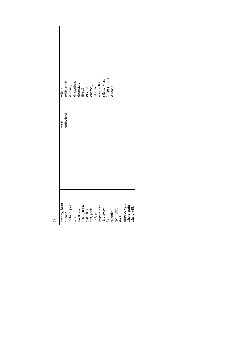| whole                 | $\begin{tabular}{c} \hline \text{milk, rend} \\ \text{disease,} \\ \text{dementias,} \\ \text{dunctics,} \\ \text{dunctics,} \\ \text{cavity,} \\ \text{cavity,} \\ \text{cavity,} \\ \text{cavity,} \\ \text{d} \\ \text{tanh} \\ \text{cnumel,} \\ \text{tomach} \\ \text{stomach} \end{tabular}$ |       |           |  |  | ulcers, BMI<br>(Body Mass<br>Index), heart                                                            |                                              | disease |  |                                              |  |
|-----------------------|-----------------------------------------------------------------------------------------------------------------------------------------------------------------------------------------------------------------------------------------------------------------------------------------------------|-------|-----------|--|--|-------------------------------------------------------------------------------------------------------|----------------------------------------------|---------|--|----------------------------------------------|--|
| uthorized<br>topsoil, |                                                                                                                                                                                                                                                                                                     |       |           |  |  |                                                                                                       |                                              |         |  |                                              |  |
|                       |                                                                                                                                                                                                                                                                                                     |       |           |  |  |                                                                                                       |                                              |         |  |                                              |  |
|                       |                                                                                                                                                                                                                                                                                                     |       |           |  |  |                                                                                                       |                                              |         |  |                                              |  |
| healthy, heart        | disease,<br>include, joint,                                                                                                                                                                                                                                                                         | lots, | occasion, |  |  | meat, pasta,<br>plant-based<br>diet, poor<br>diet, prime<br>diet, prime<br>suspect, rate,<br>suspaway | from,<br>scientist,<br>sparingly,<br>stroke, |         |  | suspect, vary,<br>whole grain,<br>whole milk |  |

h

 $\overline{ }$ 

 $\mathbf{r}$ 

 $76$ 76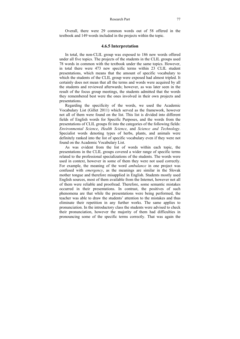Overall, there were 29 common words out of 58 offered in the textbook and 149 words included in the projects within the topic.

# **4.6.5 Interpretation**

In total, the non-CLIL group was exposed to 186 new words offered under all five topics. The projects of the students in the CLIL groups used 78 words in common with the textbook under the same topics. However, in total there were 473 new specific terms within 23 CLIL student presentations, which means that the amount of specific vocabulary to which the students of the CLIL group were exposed had almost tripled. It certainly does not mean that all the terms and words were acquired by all the students and reviewed afterwards; however, as was later seen in the result of the focus group meetings, the students admitted that the words they remembered best were the ones involved in their own projects and presentations.

Regarding the specificity of the words, we used the Academic Vocabulary List (Gillet 2011) which served as the framework, however not all of them were found on the list. This list is divided into different fields of English words for Specific Purposes, and the words from the presentations of CLIL groups fit into the categories of the following fields: *Environmental Science*, *Health Science*, and *Science and Technology*. Specialist words denoting types of herbs, plants, and animals were definitely ranked into the list of specific vocabulary even if they were not found on the Academic Vocabulary List.

As was evident from the list of words within each topic, the presentations in the CLIL groups covered a wider range of specific terms related to the professional specializations of the students. The words were used in context, however in some of them they were not used correctly. For example, the meaning of the word *ambulance* in one project was confused with *emergency*, as the meanings are similar in the Slovak mother tongue and therefore misapplied in English. Students mostly used English sources, most of them available from the Internet, however not all of them were reliable and proofread. Therefore, some semantic mistakes occurred in their presentations. In contrast, the positives of such phenomena are that while the presentations were being performed, the teacher was able to draw the students' attention to the mistakes and thus eliminate their repetition in any further works. The same applies to pronunciation. In the introductory class the students were advised to check their pronunciation, however the majority of them had difficulties in pronouncing some of the specific terms correctly. That was again the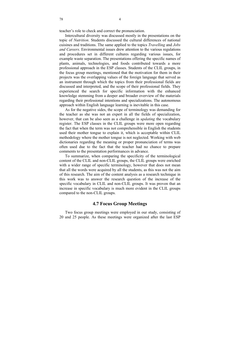teacher's role to check and correct the pronunciation.

Intercultural diversity was discussed mostly in the presentations on the topic of *Nutrition*. Students discussed the cultural differences of national cuisines and traditions. The same applied to the topics *Travelling* and *Jobs and Careers*. Environmental issues drew attention to the various regulations and procedures set in different cultures regarding various issues, for example waste separation. The presentations offering the specific names of plants, animals, technologies, and foods contributed towards a more professional approach in the ESP classes. Students of the CLIL groups, in the focus group meetings, mentioned that the motivation for them in their projects was the overlapping values of the foreign language that served as an instrument through which the topics from their professional fields are discussed and interpreted, and the scope of their professional fields. They experienced the search for specific information with the enhanced knowledge stemming from a deeper and broader overview of the materials regarding their professional intentions and specializations. The autonomous approach within English language learning is inevitable in this case.

As for the negative sides, the scope of terminology was demanding for the teacher as she was not an expert in all the fields of specialization, however, that can be also seen as a challenge in *updating* the vocabulary register. The ESP classes in the CLIL groups were more open regarding the fact that when the term was not comprehensible in English the students used their mother tongue to explain it, which is acceptable within CLIL methodology where the mother tongue is not neglected. Working with web dictionaries regarding the meaning or proper pronunciation of terms was often used due to the fact that the teacher had no chance to prepare comments to the presentation performances in advance.

To summarize, when comparing the specificity of the terminological content of the CLIL and non-CLIL groups, the CLIL groups were enriched with a wider range of specific terminology, however that does not mean that all the words were acquired by all the students, as this was not the aim of this research. The aim of the content analysis as a research technique in this work was to answer the research question of the increase of the specific vocabulary in CLIL and non-CLIL groups. It was proven that an increase in specific vocabulary is much more evident in the CLIL groups compared to the non-CLIL groups.

# **4.7 Focus Group Meetings**

Two focus group meetings were employed in our study, consisting of 20 and 25 people. As these meetings were organized after the last ESP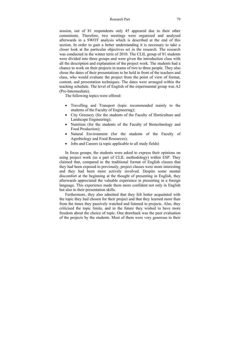### Research Part 79

session, out of 81 respondents only 45 appeared due to their other commitents. Therefore, two meetings were organized and analysed afterwards in a SWOT analysis which is described at the end of this section. In order to gain a better understanding it is necessary to take a closer look at the particular objectives set in the research. The research was conducted in the winter term of 2010. The CLIL group of 81 students were divided into three groups and were given the introduction class with all the description and explanation of the project work. The students had a chance to work on their projects in teams of two to three people. They also chose the dates of their presentations to be held in front of the teachers and class, who would evaluate the project from the point of view of format, content, and presentation techniques. The dates were arranged within the teaching schedule. The level of English of the experimental group was A2 (Pre-Intermediate).

The following topics were offered:

- Travelling and Transport (topic recommended mainly to the students of the Faculty of Engineering);
- City Greenery (for the students of the Faculty of Horticulture and Landscape Engineering);
- Nutrition (for the students of the Faculty of Biotechnology and Food Production);
- Natural Environment (for the students of the Faculty of Agrobiology and Food Resources);
- Jobs and Careers (a topic applicable to all study fields)

In focus groups, the students were asked to express their opinions on using project work (as a part of CLIL methodology) within ESP. They claimed that, compared to the traditional format of English classes that they had been exposed to previously, project classes were more interesting and they had been more actively involved. Despite some mental discomfort at the beginning at the thought of presenting in English, they afterwards appreciated the valuable experience in presenting in a foreign language. This experience made them more confident not only in English but also in their presentation skills.

Furthermore, they also admitted that they felt better acquainted with the topic they had chosen for their project and that they learned more than from the times they passively watched and listened to projects. Also, they criticised the topic limits, and in the future they wished to have more freedom about the choice of topic. One drawback was the peer evaluation of the projects by the students. Most of them were very generous to their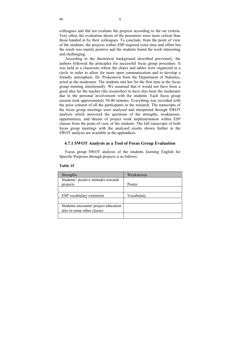colleagues and did not evaluate the projects according to the set criteria. Very often, the evaluation sheets of the presenters were more critical than those handed in by their colleagues. To conclude, from the point of view of the students, the projects within ESP required extra time and effort but the result was mainly positive and the students found the work interesting and challenging.

According to the theoretical background described previously, the authors followed the principles for successful focus group procedure. It was held in a classroom where the chairs and tables were organized in a circle in order to allow for more open communication and to develop a friendly atmosphere. Dr. Prokeinová from the Department of Statistics, acted as the moderator. The students met her for the first time at the focus group meeting intentionally. We assumed that it would not have been a good idea for the teacher (the researcher) to have also been the moderator due to the personal involvement with the students. Each focus group session took approximately 30-40 minutes. Everything was recorded with the prior consent of all the participants in the research. The transcripts of the focus group meetings were analysed and interpreted through SWOT analysis which answered the questions of the strengths, weaknesses, opportunities, and threats of project work implementation within ESP classes from the point of view of the students. The full transcripts of both focus group meetings with the analysed results shown further in the SWOT analysis are available in the appendices.

# **4.7.1 SWOT Analysis as a Tool of Focus Group Evaluation**

Focus group SWOT analysis of the students learning English for Specific Purposes through projects is as follows:

| Strengths                            | Weaknesses |
|--------------------------------------|------------|
| Students' positive attitudes towards |            |
| projects                             | Poster     |
|                                      |            |
| ESP vocabulary extension             | Vocabulary |
|                                      |            |
| Students encounter project education |            |
| also in some other classes           |            |
|                                      |            |

**Table 15**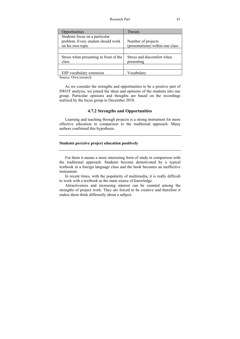| Opportunities                                   | <b>Threats</b>                           |
|-------------------------------------------------|------------------------------------------|
| Students focus on a particular                  |                                          |
| problem. Every student should work              | Number of projects                       |
| on his own topic                                | (presentations) within one class         |
|                                                 |                                          |
| Stress when presenting in front of the<br>class | Stress and discomfort when<br>presenting |
|                                                 |                                          |
| ESP vocabulary extension                        | Vocabulary                               |

Source: Own research

As we consider the strengths and opportunities to be a positive part of SWOT analysis, we joined the ideas and opinions of the students into one group. Particular opinions and thoughts are based on the recordings realized by the focus group in December 2010.

# **4.7.2 Strengths and Opportunities**

Learning and teaching through projects is a strong instrument for more effective education in comparison to the traditional approach. Many authors confirmed this hypothesis.

# **Students perceive project education positively**

For them it means a more interesting form of study in comparison with the traditional approach. Students become demotivated by a typical textbook in a foreign language class and the book becomes an ineffective instrument.

In recent times, with the popularity of multimedia, it is really difficult to work with a textbook as the main source of knowledge.

Attractiveness and increasing interest can be counted among the strengths of project work. They are forced to be creative and therefore it makes them think differently about a subject.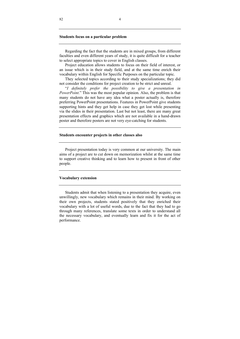#### **Students focus on a particular problem**

Regarding the fact that the students are in mixed groups, from different faculties and even different years of study, it is quite difficult for a teacher to select appropriate topics to cover in English classes.

Project education allows students to focus on their field of interest, or an issue which is in their study field, and at the same time enrich their vocabulary within English for Specific Purposes on the particular topic.

They selected topics according to their study specializations; they did not consider the conditions for project creation to be strict and unreal.

"*I definitely prefer the possibility to give a presentation in PowerPoint.*" This was the most popular opinion. Also, the problem is that many students do not have any idea what a poster actually is, therefore preferring PowerPoint presentations. Features in PowerPoint give students supporting hints and they get help in case they get lost while presenting via the slides in their presentation. Last but not least, there are many great presentation effects and graphics which are not available in a hand-drawn poster and therefore posters are not very eye-catching for students.

#### **Students encounter projects in other classes also**

Project presentation today is very common at our university. The main aims of a project are to cut down on memorization whilst at the same time to support creative thinking and to learn how to present in front of other people.

#### **Vocabulary extension**

Students admit that when listening to a presentation they acquire, even unwillingly, new vocabulary which remains in their mind. By working on their own projects, students stated positively that they enriched their vocabulary with a lot of useful words, due to the fact that they had to go through many references, translate some texts in order to understand all the necessary vocabulary, and eventually learn and fix it for the act of performance.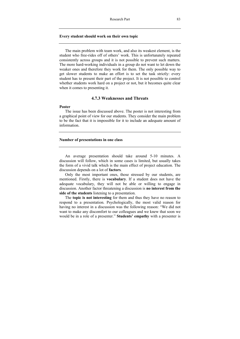#### **Every student should work on their own topic**

The main problem with team work, and also its weakest element, is the student who free-rides off of others' work. This is unfortunately repeated consistently across groups and it is not possible to prevent such matters. The more hard-working individuals in a group do not want to let down the weaker ones and therefore they work for them. The only possible way to get slower students to make an effort is to set the task strictly: every student has to present their part of the project. It is not possible to control whether students work hard on a project or not, but it becomes quite clear when it comes to presenting it.

# **4.7.3 Weaknesses and Threats**

### **Poster**

The issue has been discussed above. The poster is not interesting from a graphical point of view for our students. They consider the main problem to be the fact that it is impossible for it to include an adequate amount of information.

### **Number of presentations in one class**

An average presentation should take around 5-10 minutes. A discussion will follow, which in some cases is limited, but usually takes the form of a vivid talk which is the main effect of project education. The discussion depends on a lot of **factors**.

Only the most important ones, those stressed by our students, are mentioned. Firstly, there is **vocabulary**. If a student does not have the adequate vocabulary, they will not be able or willing to engage in discussion. Another factor threatening a discussion is **no interest from the side of the students** listening to a presentation.

The **topic is not interesting** for them and thus they have no reason to respond to a presentation. Psychologically, the most valid reason for having no interest in a discussion was the following reason: "We did not want to make any discomfort to our colleagues and we knew that soon we would be in a role of a presenter." **Students' empathy** with a presenter is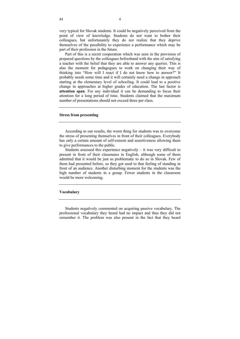very typical for Slovak students. It could be negatively perceived from the point of view of knowledge. Students do not want to bother their colleagues, but unfortunately they do not realize that they deprive themselves of the possibility to experience a performance which may be part of their profession in the future.

Part of this is a secret cooperation which was seen in the provision of prepared questions by the colleagues beforehand with the aim of satisfying a teacher with the belief that they are able to answer any queries. This is also the moment for pedagogues to work on changing their way of thinking into "How will I react if I do not know how to answer?" It probably needs some time and it will certainly need a change in approach starting at the elementary level of schooling. It could lead to a positive change in approaches at higher grades of education. The last factor is **attention span**. For any individual it can be demanding to focus their attention for a long period of time. Students claimed that the maximum number of presentations should not exceed three per class.

#### **Stress from presenting**

According to our results, the worst thing for students was to overcome the stress of presenting themselves in front of their colleagues. Everybody has only a certain amount of self-esteem and assertiveness allowing them to give performances to the public.

Students assessed this experience negatively  $-$  it was very difficult to present in front of their classmates in English, although some of them admitted that it would be just as problematic to do so in Slovak. Few of them had presented before, so they got used to that feeling of standing in front of an audience. Another disturbing moment for the students was the high number of students in a group. Fewer students in the classroom would be more welcoming.

#### **Vocabulary**

Students negatively commented on acquiring passive vocabulary. The professional vocabulary they heard had no impact and thus they did not remember it. The problem was also present in the fact that they heard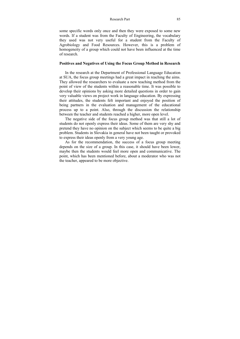#### Research Part 85

some specific words only once and then they were exposed to some new words. If a student was from the Faculty of Engineering, the vocabulary they used was not very useful for a student from the Faculty of Agrobiology and Food Resources. However, this is a problem of homogeneity of a group which could not have been influenced at the time of research.

### **Positives and Negatives of Using the Focus Group Method in Research**

In the research at the Department of Professional Language Education at SUA, the focus group meetings had a great impact in reaching the aims. They allowed the researchers to evaluate a new teaching method from the point of view of the students within a reasonable time. It was possible to develop their opinions by asking more detailed questions in order to gain very valuable views on project work in language education. By expressing their attitudes, the students felt important and enjoyed the position of being partners in the evaluation and management of the educational process up to a point. Also, through the discussion the relationship between the teacher and students reached a higher, more open level.

The negative side of the focus group method was that still a lot of students do not openly express their ideas. Some of them are very shy and pretend they have no opinion on the subject which seems to be quite a big problem. Students in Slovakia in general have not been taught or provoked to express their ideas openly from a very young age.

As for the recommendation, the success of a focus group meeting depends on the size of a group. In this case, it should have been lower, maybe then the students would feel more open and communicative. The point, which has been mentioned before, about a moderator who was not the teacher, appeared to be more objective.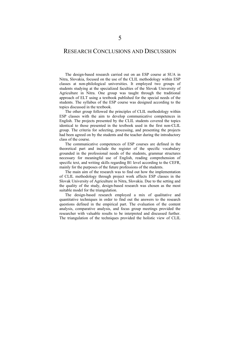# RESEARCH CONCLUSIONS AND DISCUSSION

The design-based research carried out on an ESP course at SUA in Nitra, Slovakia, focused on the use of the CLIL methodology within ESP classes at non-philological universities. It employed two groups of students studying at the specialized faculties of the Slovak University of Agriculture in Nitra. One group was taught through the traditional approach of ELT using a textbook published for the special needs of the students. The syllabus of the ESP course was designed according to the topics discussed in the textbook.

The other group followed the principles of CLIL methodology within ESP classes with the aim to develop communicative competences in English. The projects presented by the CLIL students covered the topics identical to those presented in the textbook used in the first non-CLIL group. The criteria for selecting, processing, and presenting the projects had been agreed on by the students and the teacher during the introductory class of the course.

The communicative competences of ESP courses are defined in the theoretical part and include the register of the specific vocabulary grounded in the professional needs of the students, grammar structures necessary for meaningful use of English, reading comprehension of specific text, and writing skills regarding B1 level according to the CEFR, mainly for the purposes of the future professions of the students.

The main aim of the research was to find out how the implementation of CLIL methodology through project work affects ESP classes in the Slovak University of Agriculture in Nitra, Slovakia. Due to the setting and the quality of the study, design-based research was chosen as the most suitable model for the triangulation.

The design-based research employed a mix of qualitative and quantitative techniques in order to find out the answers to the research questions defined in the empirical part. The evaluation of the content analysis, comparative analysis, and focus group meetings provided the researcher with valuable results to be interpreted and discussed further. The triangulation of the techniques provided the holistic view of CLIL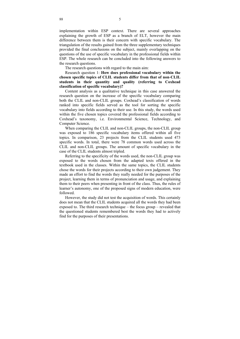implementation within ESP context. There are several approaches explaining the growth of ESP as a branch of ELT, however the main difference between them is their concern with specific vocabulary. The triangulation of the results gained from the three supplementary techniques provided the final conclusions on the subject, mainly overlapping on the questions of the use of specific vocabulary in the professional fields within ESP. The whole research can be concluded into the following answers to the research questions.

The research questions with regard to the main aim:

Research question 1: **How does professional vocabulary within the chosen specific topics of CLIL students differ from that of non**-**CLIL students in their quantity and quality (referring to Coxhead classification of specific vocabulary)?** 

Content analysis as a qualitative technique in this case answered the research question on the increase of the specific vocabulary comparing both the CLIL and non-CLIL groups. Coxhead's classification of words ranked into specific fields served as the tool for sorting the specific vocabulary into fields according to their use. In this study, the words used within the five chosen topics covered the professional fields according to Coxhead's taxonomy, i.e. Environmental Science, Technology, and Computer Science.

When comparing the CLIL and non-CLIL groups, the non-CLIL group was exposed to 186 specific vocabulary items offered within all five topics. In comparison, 23 projects from the CLIL students used 473 specific words. In total, there were 78 common words used across the CLIL and non-CLIL groups. The amount of specific vocabulary in the case of the CLIL students almost tripled.

Referring to the specificity of the words used, the non-CLIL group was exposed to the words chosen from the adapted texts offered in the textbook used in the classes. Within the same topics, the CLIL students chose the words for their projects according to their own judgement. They made an effort to find the words they really needed for the purposes of the project, learning them in terms of pronunciation and usage, and explaining them to their peers when presenting in front of the class. Thus, the rules of learner's autonomy, one of the proposed signs of modern education, were followed.

However, the study did not test the acquisition of words. This certainly does not mean that the CLIL students acquired all the words they had been exposed to. The third research technique – the focus group – revealed that the questioned students remembered best the words they had to actively find for the purposes of their presentations.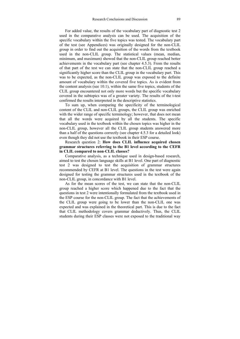For added value, the results of the vocabulary part of diagnostic test 2 used in the comparative analysis can be used. The acquisition of the specific vocabulary within the five topics was tested. The vocabulary part of the test (see Appendices) was originally designed for the non-CLIL group in order to find out the acquisition of the words from the textbook used in the non-CLIL group. The statistical values (mean, median, minimum, and maximum) showed that the non-CLIL group reached better achievements in the vocabulary part (see chapter 4.5.3). From the results of that part of the test we can state that the non-CLIL group reached a significantly higher score than the CLIL group in the vocabulary part. This was to be expected, as the non-CLIL group was exposed to the definite amount of vocabulary within the covered five topics. As is evident from the content analysis (see 10.1), within the same five topics, students of the CLIL group encountered not only more words but the specific vocabulary covered in the subtopics was of a greater variety. The results of the t-test confirmed the results interpreted in the descriptive statistics.

To sum up, when comparing the specificity of the terminological content of the CLIL and non-CLIL groups, the CLIL group was enriched with the wider range of specific terminology; however, that does not mean that all the words were acquired by all the students. The specific vocabulary used in the textbook within the chosen topics was higher in the non-CLIL group, however all the CLIL group students answered more than a half of the questions correctly (see chapter 4.5.3 for a detailed look) even though they did not use the textbook in their ESP course.

Research question 2: **How does CLIL influence acquired chosen grammar structures referring to the B1 level according to the CEFR in CLIL compared to non**-**CLIL classes?** 

Comparative analysis, as a technique used in design-based research, aimed to test the chosen language skills at B1 level. One part of diagnostic test 2 was designed to test the acquisition of grammar structures recommended by CEFR at B1 level. The questions in the test were again designed for testing the grammar structures used in the textbook of the non-CLIL group, in concordance with B1 level.

As for the mean scores of the test, we can state that the non-CLIL group reached a higher score which happened due to the fact that the questions in test 2 were intentionally formulated from the textbook used in the ESP course for the non-CLIL group. The fact that the achievements of the CLIL group were going to be lower than the non-CLIL one was expected and was explained in the theoretical part. This is due to the fact that CLIL methodology covers grammar deductively. Thus, the CLIL students during their ESP classes were not exposed to the traditional way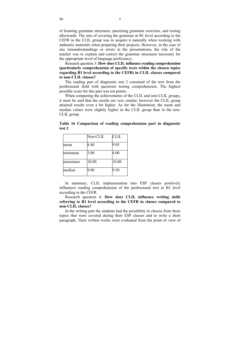of learning grammar structures, practising grammar exercises, and testing afterwards. The aim of covering the grammar at B1 level according to the CEFR in the CLIL group was to acquire it naturally when working with authentic materials when preparing their projects. However, in the case of any misunderstandings or errors in the presentations, the role of the teacher was to explain and correct the grammar structures necessary for the appropriate level of language proficiency.

Research question 3: **How does CLIL influence reading comprehension (particularly comprehension of specific texts within the chosen topics regarding B1 level according to the CEFR) in CLIL classes compared to non**-**CLIL classes?** 

The reading part of diagnostic test 2 consisted of the text from the professional field with questions testing comprehension. The highest possible score for this part was ten points.

When comparing the achievements of the CLIL and non-CLIL groups, it must be said that the results are very similar, however the CLIL group attained results even a bit higher. As for the illustration, the mean and median values were slightly higher in the CLIL group than in the non-CLIL group.

|         | Non-CLIL | CLIL  |
|---------|----------|-------|
| mean    | 8.48     | 9.05  |
| minimum | 5.00     | 4.00  |
| maxımum | 10.00    | 10.00 |
| median  | 9.00     | 9.50  |

**Table 16 Comparison of reading comprehension part in diagnostic test 2** 

In summary, CLIL implemenation into ESP classes positively influences reading comprehension of the professional text at B1 level according to the CEFR.

Research question 4: **How does CLIL influence writing skills referring to B1 level according to the CEFR in classes compared to non**-**CLIL classes?** 

In the writing part the students had the possibility to choose from three topics that were covered during their ESP classes and to write a short paragraph. Their written works were evaluated from the point of view of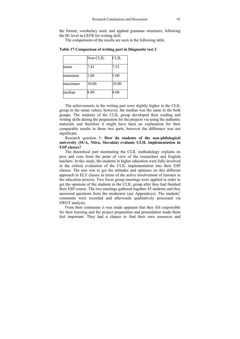the format, vocabulary used, and applied grammar structures, following the B1 level in CEFR for writing skill.

The comparisons of the results are seen in the following table.

|         | Non-CLIL | <b>CLIL</b> |
|---------|----------|-------------|
| mean    | 7.41     | 7.52        |
| minimum | 1.00     | 5.00        |
| maximum | 10.00    | 10.00       |
| median  | 8.00     | 8.00        |

**Table 17 Comparison of writing part in Diagnostic test 2** 

The achievements in the writing part were slightly higher in the CLIL group in the mean values; however, the median was the same in the both groups. The students of the CLIL group developed their reading and writing skills during the preparation for the projects via using the authentic materials and therefore it might have been an explanation for their comparable results in those two parts, however the difference was not significant.

Research question 5: **How do students of the non**-**philological university (SUA, Nitra, Slovakia) evaluate CLIL implementation in ESP classes?** 

The theoretical part mentioning the CLIL methodology explains its pros and cons from the point of view of the researchers and English teachers. In this study, the students in higher education were fully involved in the critical evaluation of the CLIL implementation into their ESP classes. The aim was to get the attitudes and opinions on this different approach in ELT classes in terms of the active involvement of learners in the education process. Two focus group meetings were applied in order to get the opinions of the students in the CLIL group after they had finished their ESP course. The two meetings gathered together 45 students and they answered questions from the moderator (see Appendices). The students' comments were recorded and afterwards qualitatively processed via SWOT analysis.

From their comments it was made apparent that they felt responsible for their learning and the project preparation and presentation made them feel important. They had a chance to find their own resources and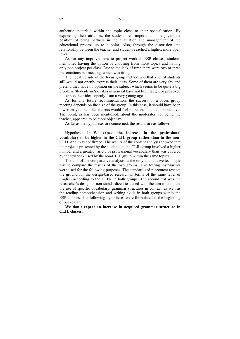authentic materials within the topic close to their specialization. By expressing their attitudes, the students felt important and enjoyed the position of being partners in the evaluation and management of the educational process up to a point. Also, through the discussion, the relationship between the teacher and students reached a higher, more open level.

As for any improvements to project work in ESP classes, students mentioned having the option of choosing from more topics and having only one project per class. Due to the lack of time there were two or three presentations per meeting, which was tiring.

The negative side of the focus group method was that a lot of students still would not openly express their ideas. Some of them are very shy and pretend they have no opinion on the subject which seems to be quite a big problem. Students in Slovakia in general have not been taught or provoked to express their ideas openly from a very young age.

As for any future recommendation, the success of a focus group meeting depends on the size of the group. In this case, it should have been lower, maybe then the students would feel more open and communicative. The point, as has been mentioned, about the moderator not being the teacher, appeared to be more objective.

As far as the hypotheses are concerned, the results are as follows.

Hypothesis 1: **We expect the increase in the professional vocabulary to be higher in the CLIL group rather than in the non**-**CLIL one**, was confirmed. The results of the content analysis showed that the projects presented by the students in the CLIL group involved a higher number and a greater variety of professional vocabulary than was covered by the textbook used by the non-CLIL group within the same topics.

The aim of the comparative analysis as the only quantitative technique was to compare the results of the two groups. Two testing instruments were used for the following purposes. The standardized placement test set the ground for the design-based research in terms of the same level of English according to the CEFR in both groups. The second test was the researcher's design, a non-standardized test used with the aim to compare the use of specific vocabulary, grammar structures in context, as well as the reading comprehension and writing skills in both groups within the ESP courses. The following hypotheses were formulated at the beginning of our research.

**We don't expect an increase in acquired grammar structure in CLIL classes.**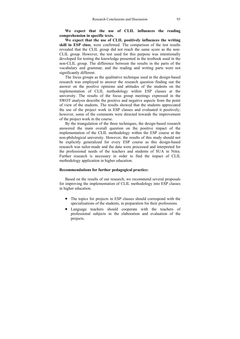### **We expect that the use of CLIL influences the reading comprehension in specific texts.**

**We expect that the use of CLIL positively influences the writing skill in ESP class**, were confirmed. The comparison of the test results revealed that the CLIL group did not reach the same score as the non-CLIL group. However, the test used for this purpose was intentionally developed for testing the knowledge presented in the textbook used in the non-CLIL group. The difference between the results in the parts of the vocabulary and grammar, and the reading and writing parts were not significantly different.

The focus groups as the qualitative technique used in the design-based research was employed to answer the research question finding out the answer on the positive opinions and attitudes of the students on the implementation of CLIL methodology within ESP classes at the university. The results of the focus group meetings expressed in the SWOT analysis describe the positive and negative aspects from the point of view of the students. The results showed that the students appreciated the use of the project work in ESP classes and evaluated it positively; however, some of the comments were directed towards the improvement of the project work in the course.

By the triangulation of the three techniques, the design-based research answered the main overall question on the positive impact of the implementation of the CLIL methodology within the ESP course at the non-philological university. However, the results of this study should not be explicitly generalized for every ESP course as this design-based research was tailor-made and the data were processed and interpreted for the professional needs of the teachers and students of SUA in Nitra. Further research is necessary in order to find the impact of CLIL methodology application in higher education.

### **Recommendations for further pedagogical practice:**

Based on the results of our research, we recommend several proposals for improving the implementation of CLIL methodology into ESP classes in higher education.

- The topics for projects in ESP classes should correspond with the specialisations of the students, in preparation for their professions.
- Language teachers should cooperate with the teachers of professional subjects in the elaboration and evaluation of the projects.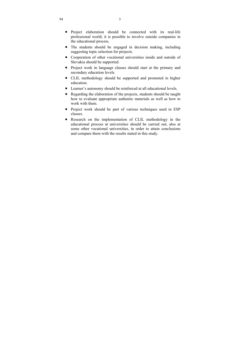- Project elaboration should be connected with its real-life professional world; it is possible to involve outside companies in the educational process.
- The students should be engaged in decision making, including suggesting topic selection for projects.
- Cooperation of other vocational universities inside and outside of Slovakia should be supported.
- Project work in language classes should start at the primary and secondary education levels.
- CLIL methodology should be supported and promoted in higher education.
- Learner's autonomy should be reinforced at all educational levels.
- Regarding the elaboration of the projects, students should be taught how to evaluate appropriate authentic materials as well as how to work with them.
- Project work should be part of various techniques used in ESP classes.
- Research on the implementation of CLIL methodology in the educational process at universities should be carried out, also at some other vocational universities, in order to attain conclusions and compare them with the results stated in this study.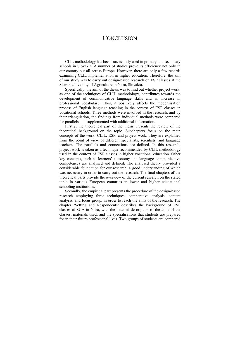# **CONCLUSION**

CLIL methodology has been successfully used in primary and secondary schools in Slovakia. A number of studies prove its efficiency not only in our country but all across Europe. However, there are only a few records examining CLIL implementation in higher education. Therefore, the aim of our study was to carry out design-based research on ESP classes at the Slovak University of Agriculture in Nitra, Slovakia.

Specifically, the aim of the thesis was to find out whether project work, as one of the techniques of CLIL methodology, contributes towards the development of communicative language skills and an increase in professional vocabulary. Thus, it positively affects the modernisation process of English language teaching in the context of ESP classes in vocational schools. Three methods were involved in the research, and by their triangulation, the findings from individual methods were compared for parallels and supplemented with additional information.

Firstly, the theoretical part of the thesis presents the review of the theoretical background on the topic. Subchapters focus on the main concepts of the work: CLIL, ESP, and project work. They are explained from the point of view of different specialists, scientists, and language teachers. The parallels and connections are defined. In this research, project work is taken as a technique recommended by CLIL methodology used in the context of ESP classes in higher vocational education. Other key concepts, such as learners' autonomy and language communicative competences are analysed and defined. The analysed theory provided a considerable foundation for our research, a good understanding of which was necessary in order to carry out the research. The final chapters of the theoretical parts provide the overview of the current research on the stated topic in various European countries in lower and higher educational schooling institutions.

Secondly, the empirical part presents the procedure of the design-based research employing three techniques, comparative analysis, content analysis, and focus group, in order to reach the aims of the research. The chapter 'Setting and Respondents' describes the background of ESP classes at SUA in Nitra, with the detailed description of the aims of the classes, materials used, and the specialisations that students are prepared for in their future professional lives. Two groups of students are compared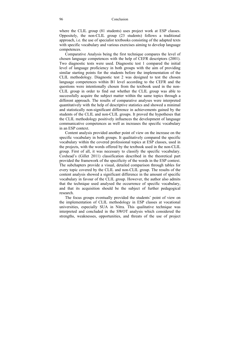where the CLIL group (81 students) uses project work at ESP classes. Oppositely, the non-CLIL group (23 students) follows a traditional approach, i.e. the use of specialist textbooks consisting of the adapted texts with specific vocabulary and various exercises aiming to develop language competences.

Comparative Analysis being the first technique compares the level of chosen language competences with the help of CEFR descriptors (2001). Two diagnostic tests were used. Diagnostic test 1 compared the initial level of language proficiency in both groups with the aim of providing similar starting points for the students before the implementation of the CLIL methodology. Diagnostic test 2 was designed to test the chosen language competences within B1 level according to the CEFR and the questions were intentionally chosen from the textbook used in the non-CLIL group in order to find out whether the CLIL group was able to successfully acquire the subject matter within the same topics through a different approach. The results of comparative analyses were interpreted quantitatively with the help of descriptive statistics and showed a minimal and statistically non-significant difference in achievements gained by the students of the CLIL and non-CLIL groups. It proved the hypotheses that the CLIL methodology positively influences the development of language communicative competences as well as increases the specific vocabulary in an ESP context.

Content analysis provided another point of view on the increase on the specific vocabulary in both groups. It qualitatively compared the specific vocabulary within the covered professional topics at ESP classes, used in the projects, with the words offered by the textbook used in the non-CLIL group. First of all, it was necessary to classify the specific vocabulary. Coxhead's (Gillet 2011) classification described in the theoretical part provided the framework of the specificity of the words in the ESP context. The subchapters provide a visual, detailed comparison through tables for every topic covered by the CLIL and non-CLIL group. The results of the content analysis showed a significant difference in the amount of specific vocabulary in favour of the CLIL group. However, the author also admits that the technique used analysed the occurrence of specific vocabulary, and that its acquisition should be the subject of further pedagogical research.

The focus groups eventually provided the students' point of view on the implementation of CLIL methodology in ESP classes at vocational universities, especially SUA in Nitra. This qualitative technique was interpreted and concluded in the SWOT analysis which considered the strengths, weaknesses, opportunities, and threats of the use of project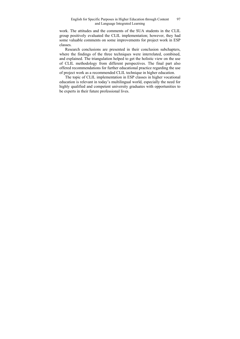work. The attitudes and the comments of the SUA students in the CLIL group positively evaluated the CLIL implementation; however, they had some valuable comments on some improvements for project work in ESP classes.

Research conclusions are presented in their conclusion subchapters, where the findings of the three techniques were interrelated, combined, and explained. The triangulation helped to get the holistic view on the use of CLIL methodology from different perspectives. The final part also offered recommendations for further educational practice regarding the use of project work as a recommended CLIL technique in higher education.

The topic of CLIL implementation in ESP classes in higher vocational education is relevant in today's multilingual world, especially the need for highly qualified and competent university graduates with opportunities to be experts in their future professional lives.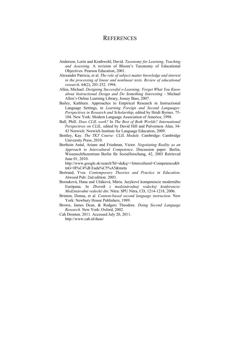# **REFERENCES**

- Anderson, Lorin and Krathwohl, David. *Taxonomy for Learning, Teaching and Assessing.* A revision of Bloom's Taxonomy of Educational Objectives. Pearson Education, 2001.
- Alexander Patricia, et al. *The role of subject matter knowledge and interest in the processing of linear and nonlinear texts. Review of educational research,* 64(2), 201-252. 1994.
- Allen, Michael. *Designing Successful e-Learning: Forget What You Know about Instructional Design and Do Something Interesting* - Michael Allen's Online Learning Library, Jossey Bass, 2007.
- Bailey, Kathleen. Approaches to Empirical Research in Instructional Language Settings, in *Learning Foreign and Second Languages: Perspectives in Research and Scholarship*, edited by Heidi Byrnes. 75- 104. New York: Modern Language Association of America, 1998.
- Ball, Phill. *Does CLIL work?* In *The Best of Both Worlds? International Perspectives on CLIL,* edited by David Hill and Pulverness Alan, 34- 43 Norwich: Norwich Institute for Language Education, 2009.
- Bentley, Kay. *The TKT Course: CLIL Module.* Cambridge: Cambridge University Press, 2010.
- Berthoin Antal, Ariane and Friedman, Victor. *Negotiating Reality as an Approach to Intercultural Competence*. Discussion paper. Berlin, Wissenschftszentrum Berlin fűr Sozialforschung, 42, 2003 Retrieved June 01, 2010.

http://www.google.sk/search?hl=sk&q=+Intercultural+Competence&b tnG=H%C4%B Eada%C5%A5&meta

- Bertrand, Yves. *Contemporary Theories and Practice in Education*. Atwood Pub: 2nd edition. 2003.
- Borsuková, Hana and Užáková, Mária. Jazykové kompetencie moderného Európana. In *Zborník z medzinárodnej vedeckej konferencie*: *Medzinárodné vedecké dni*. Nitra: SPU Nitra, CD, 1214-1218, 2006.
- Brinton, Donna, et al. *Content-based second language instruction.* New York: Newbury House Publishers, 1989.
- Brown, James Dean, & Rodgers Theodore. *Doing Second Language Research.* New York: Oxford, 2002.
- Cah Dronten. 2011. Accessed July 20, 2011. http://www.cah.nl/duas/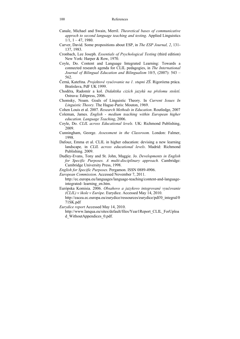- Canale, Michael and Swain, Merril. *Theoretical bases of communicative approch to second language teaching and testing*. Applied Linguistics  $1/1, 1 - 47, 1980.$
- Carver, David. Some propositions about ESP, in *The ESP Journal, 2*, 131- 137, 1983.
- Cronbach, Lee Joseph. *Essentials of Psychological Testing* (third edition) New York: Harper & Row, 1970.
- Coyle, Do. Content and Language Integrated Learning: Towards a connected research agenda for CLIL pedagogies, in *The International Journal of Bilingual Education and Bilingualism* 10/5, (2007): 543 – 562.
- Černá, Kateřina. *Projektové vyučovanie na 1. stupni ZŠ*. Rigorózna práca. Bratislava, PdF UK 1999.
- Choděra, Radomír a kol. *Didaktika cizích jazyků na přelomu století.*  Ostrava: Editpress, 2006.
- Chomsky, Noam. Goals of Linguistic Theory. In *Current Issues In Linguistic Theory.* The Hague-Paris: Mouton, 1969.
- Cohen Louis et al. 2007. *Research Methods in Education*. Routledge, 2007
- Coleman, James. *English medium teaching within European higher education. Language Teaching*, 2006.
- Coyle, Do. *CLIL across Educational levels.* UK: Richmond Publishing, 2009.
- Cunningham, George. *Assessment in the Classroom.* London: Falmer, 1998.
- Dafouz, Emma et al. CLIL in higher education: devising a new learning landscape*,* in *CLIL across educational levels*. Madrid: Richmond Publishing. 2009.
- Dudley-Evans, Tony and St. John, Maggie. Jo. *Developments in English for Specific Purposes. A multi-disciplinary approach.* Cambridge: Cambridge University Press, 1998.

*English for Specific Purposes.* Pergamon. ISSN 0889-4906.

*European Commission*. Accessed November 7, 2011.

http://ec.europa.eu/languages/language-teaching/content-and-languageintegrated- learning\_en.htm.

- Európska Komisia. 2006. *Obsahovo a jazykovo integrované vyučovanie (CLIL) v škole v Európe*. Eurydice. Accessed May 14, 2010. http://eacea.ec.europa.eu/eurydice/ressources/eurydice/pdf/0\_integral/0
	- 71SK.pdf

*Eurydice report* Accessed May 14, 2010.

 http://www.lanqua.eu/sites/default/files/Year1Report\_CLIL\_ForUploa d\_WithoutAppendices\_0.pdf.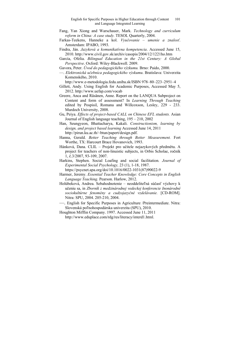- Fang, Yan Xiong and Warschauer, Mark. *Technology and curriculum reform in China: A case study.* TESOL Quarterly, 2004.
- Farkas-Teekens, Hanneke a kol. *Vyučovanie umenie a znalosť*. Amsterdam: IPABO, 1993.
- Findra, Ján. *Jazyková a komunikatívna kompetencia*. Accessed June 15, 2010. http://www.civil.gov.sk/archiv/casopis/2004/12/1221ho.htm
- García, Ofelia. *Bilingual Education in the 21st Century: A Global Perspective*. Oxford: Wiley-Blackwell. 2009.

Gavora, Peter. *Úvod do pedagogického výzkumu.* Brno: Paido, 2000.

—. *Elektronická učebnica pedagogického výskumu*. Bratislava: Univerzita Komenského, 2010.

http://www.e-metodologia.fedu.uniba.sk/ISBN 978–80–223–2951–4

- Gillett, Andy. Using English for Academic Purposes, Accessed May 5, 2012. http://www.uefap.com/vocab
- Greere, Anca and Räsänen, Anne. Report on the LANQUA Subproject on Content and form of assessment? In *Learning Through Teaching* edited by Pospisil, Romana and Willcoxson, Lesley, 229 - 233. Murdoch University, 2008.
- Gu, Peiya. *Effects of project-based CALL on Chinese EFL students.* Asian Journal of English language teaching, 195 – 210, 2002
- Han, Seungyeon, Bhattacharya, Kakali. *Constructionism, learning by design, and project based learning* Accessed June 14, 2011 http://pirun.ku.ac.th/~btun/papert/design.pdf.
- Hanna, Gerald. *Better Teaching through Better Measurement.* Fort Worthe, TX: Harcourt Brace Hovanovich, 1993.
- Hánková, Dana. CLIL Projekt pro učitele nejazykových předmětu. A project for teachers of non-linuistic subjects, in Orbis Scholae, ročník 1, č.3/2007, 93-109, 2007.
- Harkins, Stephen. Social Loafing and social facilitation*. Journal of Experimental Social Psychology,* 23 (1), 1-18, 1987. https://psycnet.apa.org/doi/10.1016/0022-1031(87)90022-9
- Harmer, Jeremy. *Essential Teacher Knowledge: Core Concepts in English Language Teaching.* Pearson. Harlow, 2012.
- Holúbeková, Andrea. Sebahodnotenie neoddeliteľná súčasť výchovy k učeniu sa, in *Zborník z medzinárodnej vedeckej konferencie Inonárodné sociokultúrne fenomény a cudzojazyčné vzdelávanie.* [CD-ROM]. Nitra: SPU, 2004. 205-210, 2004.
- —. English for Specific Purposes in Agriculture /Preintermediate. Nitra: Slovenská poľnohospodárska univerzita (SPU), 2010.
- Houghton Mifflin Company. 1997. Accessed June 11, 2011 http://www.eduplace.com/rdg/res/literacy/interd1.html.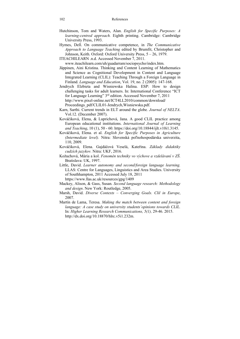- Hutchinson, Tom and Waters, Alan. *English for Specific Purposes: A learning-centred approach.* Eighth printing. Cambridge: Cambridge University Press, 1993.
- Hymes, Dell. On communicative competence, in *The Communicative Approach to Language Teaching* edited by Brumfit, Christopher and Johnson, Keith. Oxford: Oxford University Press, 5 – 26, 1979.
- ITEACHILEARN .n.d. Accessed November 7, 2011.

www.iteachilearn.com/uh/guadarram/sociopsycho/index.htm.

- Jäppinen, Aini Kristina. Thinking and Content Learning of Mathematics and Science as Cognitional Development in Content and Language Integrated Learning (CLIL): Teaching Through a Foreign Language in Finland. *Language and Education*, Vol. 19, no. 2 (2005): 147-168.
- Jendrych Elzbieta and Wisniewska Halina. ESP: How to design challenging tasks for adult learners. In: International Conference "ICT for Language Learning" 3rd edition. Accessed November 7, 2011 http://www.pixel-online.net/ICT4LL2010/common/download/ Proceedings\_pdf/CLIL01-Jendrych,Wisniewska.pdf.
- Karn, Sarthi. Current trends in ELT around the globe*. Journal of NELTA*. Vol.12. (December 2007).
- Kováčiková, Elena, & Luprichová, Jana. A good CLIL practice among European educational institutions. *International Journal of Learning and Teaching*, 10 (1), 50 - 60. https://doi.org/10.18844/ijlt.v10i1.3145.
- Kováčiková, Elena. et al. *English for Specific Purposes in Agriculture (Intermediate level).* Nitra: Slovenská poľnohospodárska univerzita, 110, 2009.
- Kováčiková, Elena. Gajdáčová Veselá, Kateřina. *Základy didaktiky cudzích jazykov.* Nitra: UKF, 2016.
- Kožuchová, Mária a kol. *Fenomén techniky vo výchove a vzdelávaní v ZŠ*. Bratislava: UK, 1997.
- Little, David. *Learner autonomy and second/foreign language learning.*  LLAS: Centre for Languages, Linguistics and Area Studies. University of Southhampton, 2011 Accessed July 18, 2011 https://www.llas.ac.uk/resources/gpg/1409
- Mackey, Alison, & Gass, Susan. *Second language research: Methodology and design*. New York: Routledge, 2005.
- Marsh, David. *Diverse Contexts Converging Goals. Clil in Europe*, 2007.
- Martín de Lama, Teresa. *Making the match between content and foreign language: A case study on university students´opinions towards CLIL.*  In: *Higher Learning Research Communications, 5(1),* 29-46. 2015. http://dx.doi.org/10.18870/hlrc.v5i1.232m.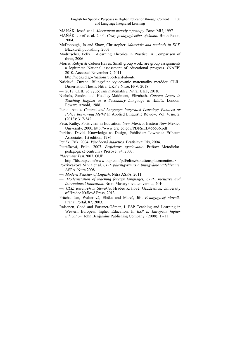- MAŇÁK, Josef. et al. *Alternativní metody a postupy.* Brno: MU, 1997.
- MAŇÁK, Josef et al. 2004. *Cesty pedagogického výzkumu.* Brno: Paido, 2004.
- McDonough, Jo and Shaw, Christopher. *Materials and methods in ELT.*  Blackwell publishing, 2003.
- Modritscher, Felix. E-Learning Theories in Practice: A Comparison of three, 2006
- Morris, Robyn & Coleen Hayes. Small group work: are group assignments a legitimate National assessment of educational progress. (NAEP) 2010. Accessed November 7, 2011.

http://nces.ed.gov/nationsreportcard/about/.

- Naštická, Zuzana. Bilingválne vyučovanie matematiky metódou CLIL. Dissertation Thesis. Nitra: UKF v Nitre, FPV, 2018.
- —. 2018. CLIL vo vyučovaní matematiky. Nitra: UKF, 2018.
- Nichols, Sandra and Hoadley-Maidment, Elizabeth. *Current Issues in Teaching English as a Secondary Language to Adults.* London: Edward Arnold, 1988.
- Paran, Amos. *Content and Language Integrated Learning: Panacea or Policy Borrowing Myth?* In Applied Linguistic Review. Vol. 4, no. 2, (2013): 317-342.
- Peca, Kathy. Positivism in Education. New Mexico: Eastern New Mexico University, 2000. http://www.eric.ed.gov/PDFS/ED456536.pdf
- Perkins, David. Knowledge as Design, Publisher: Lawrence Erlbaum Associates; 1st edition, 1986
- Petlák, Erik. 2004. *Všeobecná didaktika.* Bratislava: Iris, 2004.
- Petráśková, Erika. 2007. *Projektové vyučovanie*. Prešov: Metodickopedagogické centrum v Prešove, 84, 2007.
- *Placement Test.*2007. OUP.

http://fds.oup.com/www.oup.com/pdf/elt/cz/solutionsplacementtest>

- Pokrivčáková Silvia et al. *CLIL pluriligvizmus a bilingválne vzdelávanie*. ASPA. Nitra 2008.
- —. *Modern Teacher of English*. Nitra ASPA, 2011.
- —. *Modernization of teaching foreign languages, CLIL, Inclusive and Intercultural Education.* Brno: Masarykova Univerzita, 2010.
- —. *CLIL Research in Slovakia*. Hradec Králové: Gaudeamus, University of Hradec Králové Press, 2013.
- Průcha, Jan, Walterová, Eliška and Mareš, Jiří. *Pedagogický slovník*. Praha: Portál, 87, 2003.
- Raisanen, Chad and Fortanet-Gómez, I. ESP Teaching and Learning in Western European higher Education. In *ESP in European higher Education.* John Benjamins Publishing Company. (2008): 1 - 11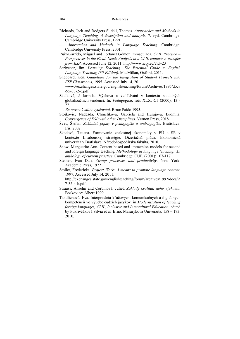Richards, Jack and Rodgers Slidell, Thomas. *Approaches and Methods in Language Teaching. A description and analysis.* 7. vyd. Cambridge: Cambridge University Press, 1991.

- Ruiz-Garrido, Miguel and Fortanet Gómez Immaculada. *CLIL Practice Perspectives in the Field. Needs Analysis in a CLIL context: A transfer from ESP*. Accessed June 12, 2011. http://www.icpj.eu/?id=23
- Scrivener, Jim. *Learning Teaching: The Essential Guide to English Language Teaching (3rd Edition).* MacMillan, Oxford, 2011.
- Sheppard, Ken. *Guidelines for the Integration of Student Projects into ESP Classrooms,* 1995. Accessed July 14, 2011 www://exchanges.state.gov/englishteaching/forum/Archives/1995/docs /95-33-2-c.pdf.
- Skalková, J Jarmila. Výchova a vzdělávání v kontextu soudobých globalizačních tendencí. In: *Pedagogika*, roč. XLX, č.1 (2000): 13 - 22.
- —. *Za novou kvalitu vyučování*. Brno: Paido 1995.
- Stojkovič, Nadežda, Chmelíková, Gabriela and Hurajová, Ľudmila. *Convergence of ESP with other Disciplines.* Vernon Press, 2018.
- Švec, Štefan. *Základné pojmy v pedagogike a andragogike.* Bratislava: Iris, 2002.
- Škodová, Tatiana. Formovanie znalostnej ekonomiky v EÚ a SR v kontexte Lisabonskej stratégie. Dizertačná práca. Ekonomická univerzita v Bratislave. Národohospodárska fakulta, 2010.
- Snow, Marguerite Ann. Content-based and immersion models for second and foreign language teaching*. Methodology in language teaching: An anthology of current practice*. Cambridge: CUP, (2001): 107-117
- Steiner, Ivan Dale. *Group processes and productivity*. New York: Academic Press, 1972
- Stoller, Fredericka. *Project Work: A means to promote language content.*  1997. Accessed July 14, 2011.

http://exchanges.state.gov/englishteaching/forum/archives/1997/docs/9 7-35-4-b.pdf.

- Strauss, Anselm and Corbinová, Juliet. *Základy kvalitatívneho výskumu.*  Boskovice: Albert 1999.
- Tandlichová, Eva. Interpretácia kľúčových, komunikačných a digitálnych kompetencií vo výučbe cudzích jazykov*,* in *Modernization of teaching foreign languages, CLIL, Inclusive and Intercultural Education*, edited by Pokrivčáková Silvia et al*.* Brno: Masarykova Univerzita. 158 – 173, 2010.

<sup>—.</sup> *Approaches and Methods in Language Teaching.* Cambridge: Cambridge University Press, 2001.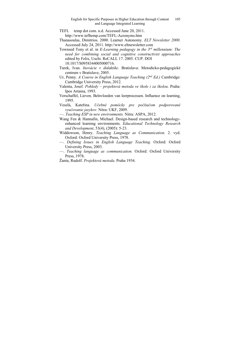- TEFL temp dot com. n.d. Accessed June 20, 2011. http://www.tefltemp.com/TEFL-Acronyms.htm
- Thanasoulas, Dimitrios. 2000. Learner Autonomy. *ELT Newsletter 2000.*  Accessed July 24, 2011. http://www.eltnewsletter.com
- Townsed Tony et al. in *E-Learning pedagogy in the 3rd millennium: The need for combining social and cognitive constructivist approaches*  edited by Felix, Uschi. ReCALL 17. 2005. CUP. DOI 10.1017/S0958344005000716.
- Turek, Ivan. *Inovácie v didaktike*. Bratislava: Metodicko-pedagogické centrum v Bratislave, 2005.
- Ur, Penny. *A Course in English Language Teaching (2nd Ed.)* Cambridge: Cambridge University Press, 2012.
- Valenta, Josef. *Pohledy projektová metoda ve škole i za školou*. Praha: Ipos Artama, 1993.
- Verschaffel, Lieven. Beïnvloeden van leerprocessen. Influence on learning, 1995.
- Veselá, Kateřina. *Učebné pomôcky pre počítačom podporované vyučovanie jazykov.* Nitra: UKF, 2009.
- —. *Teaching ESP in new environments.* Nitra: ASPA, 2012.
- Wang Fen & Hannafin, Michael. Design-based research and technologyenhanced learning environments. *Educational Technology Research and Development*, 53(4), (2005): 5-23.
- Widdowson, Henry. *Teaching Language as Communication.* 2. vyd. Oxford: Oxford University Press, 1978.
- —. *Defining Issues in English Language Teaching.* Oxford: Oxford University Press, 2003.
- —. *Teaching language as communication.* Oxford: Oxford University Press, 1978.
- Žanta, Rudolf. *Projektová metoda*. Praha 1934.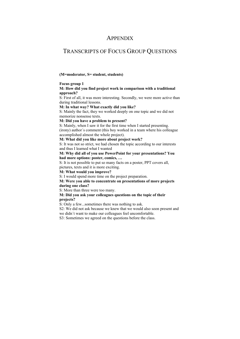# APPENDIX

# TRANSCRIPTS OF FOCUS GROUP QUESTIONS

#### **(M=moderator, S= student, students)**

#### **Focus group 1**

#### **M: How did you find project work in comparison with a traditional approach?**

S: First of all, it was more interesting. Secondly, we were more active than during traditional lessons.

#### **M: In what way? What exactly did you like?**

S: Mainly the fact, they we worked deeply on one topic and we did not memorize nonsense texts.

#### **M: Did you have a problem to present?**

S: Mainly, when I saw it for the first time when I started presenting. (irony) author´s comment (this boy worked in a team where his colleague accomplished almost the whole project).

#### **M: What did you like more about project work?**

S: It was not so strict, we had chosen the topic according to our interests and thus I learned what I wanted

#### **M: Why did all of you use PowerPoint for your presentations? You had more options: poster, comics, …**

S: It is not possible to put so many facts on a poster, PPT covers all, pictures, texts and it is more exciting.

#### **M: What would you improve?**

S: I would spend more time on the project preparation.

#### **M: Were you able to concentrate on presentations of more projects during one class?**

S: More than three were too many.

#### **M: Did you ask your colleagues questions on the topic of their projects?**

S: Only a few...sometimes there was nothing to ask.

S2: We did not ask because we knew that we would also soon present and we didn´t want to make our colleagues feel uncomfortable.

S3: Sometimes we agreed on the questions before the class.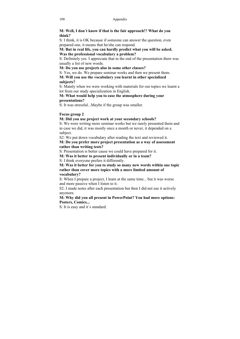### **M: Well, I don´t know if that is the fair approach!? What do you think?**

S: I think, it is OK because if someone can answer the question, even prepared one, it means that he/she can respond.

#### **M: But in real life, you can hardly predict what you will be asked. Was the professional vocabulary a problem?**

S: Definitely yes. I appreciate that in the end of the presentation there was usually a list of new words.

## **M: Do you use projects also in some other classes?**

S: Yes, we do. We prepare seminar works and then we present them.

#### **M: Will you use the vocabulary you learnt in other specialized subjects?**

S: Mainly when we were working with materials for our topics we learnt a lot from our study specialization in English.

### **M: What would help you to ease the atmosphere during your presentations?**

S: It was stressful...Maybe if the group was smaller.

## **Focus group 2**

## **M: Did you use project work at your secondary schools?**

S: We were writing more seminar works but we rarely presented them and in case we did, it was mostly once a month or never, it depended on a subject.

S2: We put down vocabulary after reading the text and reviewed it.

### **M: Do you prefer more project presentation as a way of assessment rather than writing tests?**

S: Presentation is better cause we could have prepared for it.

## **M: Was it better to present individually or in a team?**

S: I think everyone prefers it differently.

#### **M: Was it better for you to study so many new words within one topic rather than cover more topics with a more limited amount of vocabulary?**

S: When I prepare a project, I learn at the same time... but it was worse and more passive when I listen to it.

S2: I made notes after each presentation but then I did not use it actively anymore.

## **M: Why did you all present in PowerPoint? You had more options: Posters, Comics...**

S: It is easy and it´s standard.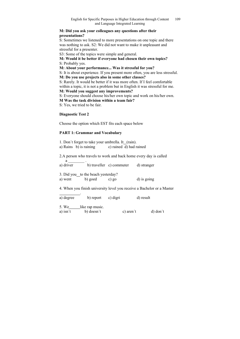#### **M: Did you ask your colleagues any questions after their presentations?**

S: Sometimes we listened to more presentations on one topic and there was nothing to ask. S2: We did not want to make it unpleasant and stressful for a presenter.

S3: Some of the topics were simple and general.

**M: Would it be better if everyone had chosen their own topics?**  S: Probably yes.

## **M: About your performance... Was it stressful for you?**

S: It is about experience. If you present more often, you are less stressful.

## **M: Do you use projects also in some other classes?**

S: Rarely. It would be better if it was more often. If I feel comfortable within a topic, it is not a problem but in English it was stressful for me.

## **M: Would you suggest any improvements?**

S: Everyone should choose his/her own topic and work on his/her own.

## **M Was the task division within a team fair?**

S: Yes, we tried to be fair.

## **Diagnostic Test 2**

Choose the option which EST fits each space below

# **PART 1: Grammar and Vocabulary**

| 1. Don't forget to take your umbrella. It (rain). |                         |
|---------------------------------------------------|-------------------------|
| a) Rains b) is raining                            | c) rained d) had rained |

2.A person who travels to work and back home every day is called

 $a \qquad \qquad .$ a) driver b) traveller c) commuter d) stranger

3. Did you to the beach yesterday? a) went b) goed c) go d) is going

4. When you finish university level you receive a Bachelor or a Master

| a) degree         | b) report                     | c) digri |           | d) result  |
|-------------------|-------------------------------|----------|-----------|------------|
| 5. We<br>a) isn't | like rap music.<br>b) doesn't |          | c) aren't | $d)$ don't |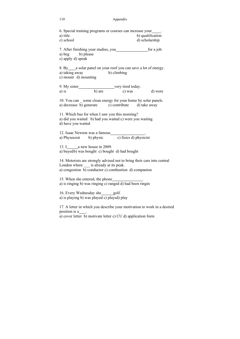#### 110 Appendix

6. Special training programs or courses can increase your . a) title b) qualification c) school d) scholarship 7. After finishing your studies, you for a job. a) beg b) please c) apply d) speak 8. By a solar panel on your roof you can save a lot of energy. a) taking away b) climbing c) mount d) mounting 9. My sister very tired today. a) is b) are c) was d) were 10. You can some clean energy for your home by solar panels. a) decrease b) generate c) contribute d) take away 11. Which bus for when I saw you this morning? a) did you waited b) had you waited c) were you waiting d) have you waited 12. Isaac Newton was a famous<br>
a) Physocost b) physic c) fisics d) physicist a) Physocost b) physic 13. I a new house in 2009. a) buyed b) was bought c) bought d) had bought 14. Motorists are strongly advised not to bring their cars into central London where \_\_\_ is already at its peak. a) congestion b) conductor c) combustion d) companion 15. When she entered, the phone a) is ringing b) was ringing c) ranged d) had been ringin 16. Every Wednesday she golf. a) is playing b) was played c) playsd) play 17. A letter in which you describe your motivation to work in a desired position is a . a) cover letter b) motivate letter c) CU d) application form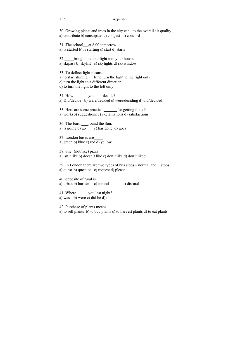#### 112 Appendix

30. Growing plants and trees in the city can \_to the overall air quality a) contribute b) constipate c) congest d) concord

31. The school at 8,00 tomorrow. a) is started b) is starting c) start d) starts

32. bring in natural light into your house. a) skipass b) skylift c) skylights d) skywindow

33. To deflect light means: a) to start shining b) to turn the light to the right only c) turn the light to a different direction d) to turn the light to the left only

34. How you decide? a) Did/decide b) were/decided c) were/deciding d) did/decided

35. Here are some practical for getting the job. a) works b) suggestions c) exclamations d) satisfactions

36. The Earth round the Sun. a) is going b) go c) has gone d) goes

37. London buses are a) green b) blue c) red d) yellow

38. She (not/like) pizza. a) isn´t like b) doesn´t like c) don´t like d) don´t liked

39. In London there are two types of bus stops – normal and stops. a) quest b) question c) request d) please

40. opposite of rural is a) urban b) hurban c) inrural d) disrural

41. Where you last night? a) was b) were c) did be d) did is

42. Purchase of plants means......... a) to sell plants b) to buy plants c) to harvest plants d) to eat plants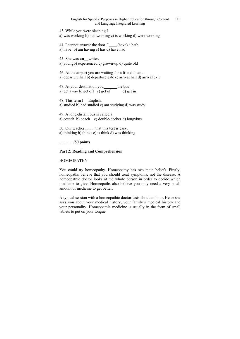43. While you were sleeping I a) was working b) had working c) is working d) were working

44. I cannot answer the door. I (have) a bath. a) have b) am having c) has d) have had

45. She was **an** writer. a) youngb) experienced c) grown-up d) quite old

46. At the airport you are waiting for a friend in an... a) departure hall b) departure gate c) arrival hall d) arrival exit

47. At your destination you the bus a) get away b) get of c) get of d) get in

48. This term I English. a) studied b) had studied c) am studying d) was study

49. A long-distant bus is called a a) coutch b) coach c) double-decker d) longybus

50. Our teacher ......... that this test is easy. a) thinking b) thinks c) is think d) was thinking

**............../50 points** 

### **Part 2: Reading and Comprehension**

### HOMEOPATHY

You could try homeopathy. Homeopathy has two main beliefs. Firstly, homeopaths believe that you should treat symptoms, not the disease. A homeopathic doctor looks at the whole person in order to decide which medicine to give. Homeopaths also believe you only need a very small amount of medicine to get better.

A typical session with a homeopathic doctor lasts about an hour. He or she asks you about your medical history, your family´s medical history and your personality. Homeopathic medicine is usually in the form of small tablets to put on your tongue.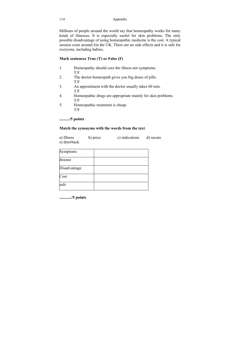Millions of people around the world say that homeopathy works for many kinds of illnesses. It is especially useful for skin problems. The only possible disadvantage of using homeopathic medicine is the cost. A typical session costs around £in the UK. There are no side effects and it is safe for everyone, including babies.

## **Mark sentences True (T) or False (F)**

- 1. Homeopathy should cure the illness not symptoms. T/F
- 2. The doctor-homeopath gives you big doses of pills. T/F
- 3. An appointment with the doctor usually takes 60 min. T/F
- 4. Homeopathic drugs are appropriate mainly for skin problems. T/F
- 5. Homeopathic treatment is cheap. T/F

## **........../5 points**

### **Match the synonyms with the words from the text**

| a) Illness  | b) price | c) indications | d) secure |
|-------------|----------|----------------|-----------|
| e) drawback |          |                |           |

| Symptoms     |  |
|--------------|--|
| disease      |  |
| Disadvantage |  |
| Cost         |  |
| safe         |  |

**............/5 points**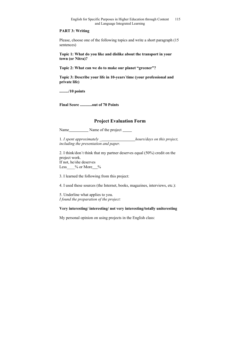#### **PART 3: Writing**

Please, choose one of the following topics and write a short paragraph (15 sentences)

**Topic 1: What do you like and dislike about the transport in your town (or Nitra)?** 

**Topic 2: What can we do to make our planet "greener"?** 

**Topic 3: Describe your life in 10-years´time (your professional and private life)** 

**........./10 points** 

**Final Score ............out of 70 Points** 

# **Project Evaluation Form**

Name Name of the project

1. *I spent approximately \_ hours/days on this project, including the presentation and paper.* 

2. I think/don´t think that my partner deserves equal (50%) credit on the project work. If not, he/she deserves Less  $\%$  or More  $\%$ 

3. I learned the following from this project:

4. I used these sources (the Internet, books, magazines, interviews, etc.):

5. Underline what applies to you. *I found the preparation of the project:* 

## **Very interesting/ interesting/ not very interesting/totally uniteresting**

My personal opinion on using projects in the English class: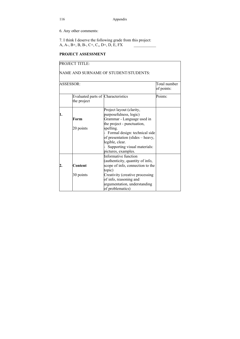116 Appendix

6. Any other comments:

7. I think I deserve the following grade from this project: A, A-, B+, B, B-, C+, C,, D+, D, E, FX

## **PROJECT ASSESSMENT**

|    | <b>PROJECT TITLE:</b> |                                                                                                                                                                                                                         |                            |
|----|-----------------------|-------------------------------------------------------------------------------------------------------------------------------------------------------------------------------------------------------------------------|----------------------------|
|    |                       | NAME AND SURNAME OF STUDENT/STUDENTS:                                                                                                                                                                                   |                            |
|    | ASSESSOR:             |                                                                                                                                                                                                                         | Total number<br>of points: |
|    | the project           | Evaluated parts of Characteristics                                                                                                                                                                                      | Points:                    |
| 1. | Form                  | Project layout (clarity,<br>purposefulness, logic)<br>Grammar - Language used in                                                                                                                                        |                            |
|    | 20 points             | the project - punctuation,<br>spelling.<br>Formal design: technical side<br>of presentation (slides – heavy,<br>legible, clear.<br>Supporting visual materials:<br>pictures, examples.                                  |                            |
|    | Content<br>30 points  | Informative function<br>(authenticity, quantity of info,<br>scope of info, connection to the<br>topic)<br>Creativity (creative processing<br>of info, reasoning and<br>argumentation, understanding<br>of problematics) |                            |